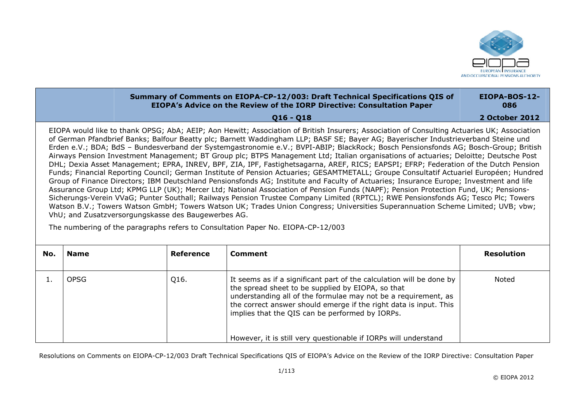

## **Summary of Comments on EIOPA-CP-12/003: Draft Technical Specifications QIS of EIOPA's Advice on the Review of the IORP Directive: Consultation Paper Q16 Q18 EIOPA-BOS-12-086 2 October 2012**

EIOPA would like to thank OPSG; AbA; AEIP; Aon Hewitt; Association of British Insurers; Association of Consulting Actuaries UK; Association of German Pfandbrief Banks; Balfour Beatty plc; Barnett Waddingham LLP; BASF SE; Bayer AG; Bayerischer Industrieverband Steine und Erden e.V.; BDA; BdS – Bundesverband der Systemgastronomie e.V.; BVPI-ABIP; BlackRock; Bosch Pensionsfonds AG; Bosch-Group; British Airways Pension Investment Management; BT Group plc; BTPS Management Ltd; Italian organisations of actuaries; Deloitte; Deutsche Post DHL; Dexia Asset Management; EPRA, INREV, BPF, ZIA, IPF, Fastighetsagarna, AREF, RICS; EAPSPI; EFRP; Federation of the Dutch Pension Funds; Financial Reporting Council; German Institute of Pension Actuaries; GESAMTMETALL; Groupe Consultatif Actuariel Européen; Hundred Group of Finance Directors; IBM Deutschland Pensionsfonds AG; Institute and Faculty of Actuaries; Insurance Europe; Investment and life Assurance Group Ltd; KPMG LLP (UK); Mercer Ltd; National Association of Pension Funds (NAPF); Pension Protection Fund, UK; PensionsSicherungs-Verein VVaG; Punter Southall; Railways Pension Trustee Company Limited (RPTCL); RWE Pensionsfonds AG; Tesco Plc; Towers Watson B.V.; Towers Watson GmbH; Towers Watson UK; Trades Union Congress; Universities Superannuation Scheme Limited; UVB; vbw; VhU; and Zusatzversorgungskasse des Baugewerbes AG.

The numbering of the paragraphs refers to Consultation Paper No. EIOPA-CP-12/003

| No. | <b>Name</b> | Reference | Comment                                                                                                                                                                                                                                                                                                                                                                                | <b>Resolution</b> |
|-----|-------------|-----------|----------------------------------------------------------------------------------------------------------------------------------------------------------------------------------------------------------------------------------------------------------------------------------------------------------------------------------------------------------------------------------------|-------------------|
|     | OPSG        | Q16.      | It seems as if a significant part of the calculation will be done by<br>the spread sheet to be supplied by EIOPA, so that<br>understanding all of the formulae may not be a requirement, as<br>the correct answer should emerge if the right data is input. This<br>implies that the QIS can be performed by IORPs.<br>However, it is still very questionable if IORPs will understand | Noted             |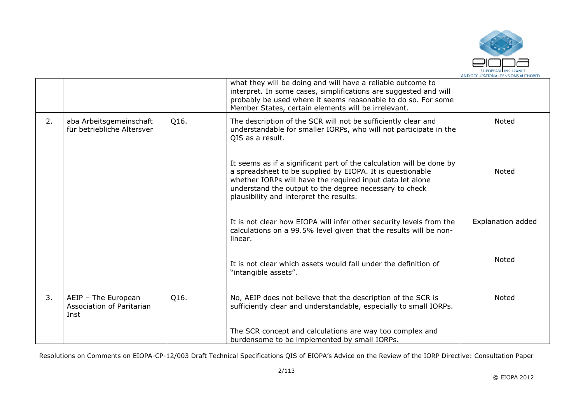

|    |                                                          |      | what they will be doing and will have a reliable outcome to<br>interpret. In some cases, simplifications are suggested and will<br>probably be used where it seems reasonable to do so. For some<br>Member States, certain elements will be irrelevant.                                             |                          |
|----|----------------------------------------------------------|------|-----------------------------------------------------------------------------------------------------------------------------------------------------------------------------------------------------------------------------------------------------------------------------------------------------|--------------------------|
| 2. | aba Arbeitsgemeinschaft<br>für betriebliche Altersver    | Q16. | The description of the SCR will not be sufficiently clear and<br>understandable for smaller IORPs, who will not participate in the<br>QIS as a result.                                                                                                                                              | <b>Noted</b>             |
|    |                                                          |      | It seems as if a significant part of the calculation will be done by<br>a spreadsheet to be supplied by EIOPA. It is questionable<br>whether IORPs will have the required input data let alone<br>understand the output to the degree necessary to check<br>plausibility and interpret the results. | Noted                    |
|    |                                                          |      | It is not clear how EIOPA will infer other security levels from the<br>calculations on a 99.5% level given that the results will be non-<br>linear.                                                                                                                                                 | <b>Explanation added</b> |
|    |                                                          |      | It is not clear which assets would fall under the definition of<br>"intangible assets".                                                                                                                                                                                                             | Noted                    |
| 3. | AEIP - The European<br>Association of Paritarian<br>Inst | Q16. | No, AEIP does not believe that the description of the SCR is<br>sufficiently clear and understandable, especially to small IORPs.                                                                                                                                                                   | Noted                    |
|    |                                                          |      | The SCR concept and calculations are way too complex and<br>burdensome to be implemented by small IORPs.                                                                                                                                                                                            |                          |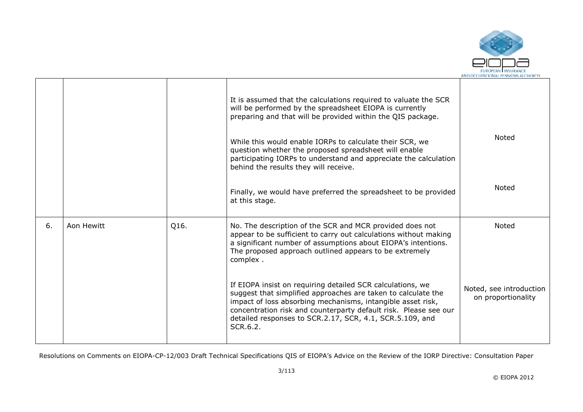

|    |            |      | It is assumed that the calculations required to valuate the SCR<br>will be performed by the spreadsheet EIOPA is currently<br>preparing and that will be provided within the QIS package.<br>While this would enable IORPs to calculate their SCR, we<br>question whether the proposed spreadsheet will enable<br>participating IORPs to understand and appreciate the calculation<br>behind the results they will receive. | <b>Noted</b>                                  |
|----|------------|------|-----------------------------------------------------------------------------------------------------------------------------------------------------------------------------------------------------------------------------------------------------------------------------------------------------------------------------------------------------------------------------------------------------------------------------|-----------------------------------------------|
|    |            |      | Finally, we would have preferred the spreadsheet to be provided<br>at this stage.                                                                                                                                                                                                                                                                                                                                           | <b>Noted</b>                                  |
| 6. | Aon Hewitt | Q16. | No. The description of the SCR and MCR provided does not<br>appear to be sufficient to carry out calculations without making<br>a significant number of assumptions about EIOPA's intentions.<br>The proposed approach outlined appears to be extremely<br>complex.                                                                                                                                                         | <b>Noted</b>                                  |
|    |            |      | If EIOPA insist on requiring detailed SCR calculations, we<br>suggest that simplified approaches are taken to calculate the<br>impact of loss absorbing mechanisms, intangible asset risk,<br>concentration risk and counterparty default risk. Please see our<br>detailed responses to SCR.2.17, SCR, 4.1, SCR.5.109, and<br>SCR.6.2.                                                                                      | Noted, see introduction<br>on proportionality |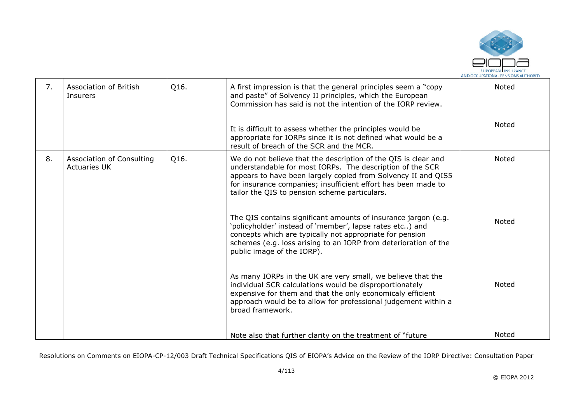

| 7. | Association of British<br>Insurers               | Q16. | A first impression is that the general principles seem a "copy"<br>and paste" of Solvency II principles, which the European<br>Commission has said is not the intention of the IORP review.                                                                                                                    | <b>Noted</b> |
|----|--------------------------------------------------|------|----------------------------------------------------------------------------------------------------------------------------------------------------------------------------------------------------------------------------------------------------------------------------------------------------------------|--------------|
|    |                                                  |      | It is difficult to assess whether the principles would be<br>appropriate for IORPs since it is not defined what would be a<br>result of breach of the SCR and the MCR.                                                                                                                                         | Noted        |
| 8. | Association of Consulting<br><b>Actuaries UK</b> | Q16. | We do not believe that the description of the QIS is clear and<br>understandable for most IORPs. The description of the SCR<br>appears to have been largely copied from Solvency II and QIS5<br>for insurance companies; insufficient effort has been made to<br>tailor the QIS to pension scheme particulars. | Noted        |
|    |                                                  |      | The QIS contains significant amounts of insurance jargon (e.g.<br>'policyholder' instead of 'member', lapse rates etc) and<br>concepts which are typically not appropriate for pension<br>schemes (e.g. loss arising to an IORP from deterioration of the<br>public image of the IORP).                        | Noted        |
|    |                                                  |      | As many IORPs in the UK are very small, we believe that the<br>individual SCR calculations would be disproportionately<br>expensive for them and that the only economicaly efficient<br>approach would be to allow for professional judgement within a<br>broad framework.                                     | <b>Noted</b> |
|    |                                                  |      | Note also that further clarity on the treatment of "future"                                                                                                                                                                                                                                                    | <b>Noted</b> |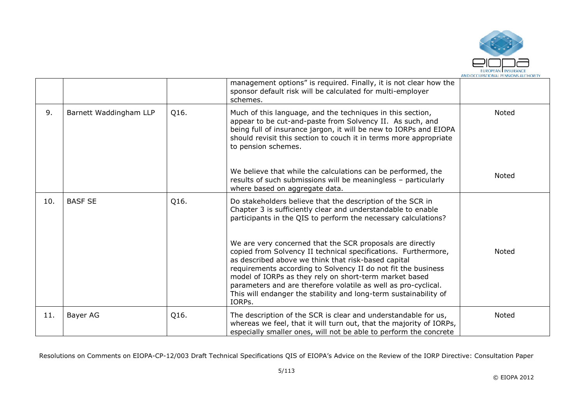

|     |                        |      | management options" is required. Finally, it is not clear how the<br>sponsor default risk will be calculated for multi-employer<br>schemes.                                                                                                                                                                                                                                                                                                                   |              |
|-----|------------------------|------|---------------------------------------------------------------------------------------------------------------------------------------------------------------------------------------------------------------------------------------------------------------------------------------------------------------------------------------------------------------------------------------------------------------------------------------------------------------|--------------|
| 9.  | Barnett Waddingham LLP | Q16. | Much of this language, and the techniques in this section,<br>appear to be cut-and-paste from Solvency II. As such, and<br>being full of insurance jargon, it will be new to IORPs and EIOPA<br>should revisit this section to couch it in terms more appropriate<br>to pension schemes.                                                                                                                                                                      | <b>Noted</b> |
|     |                        |      | We believe that while the calculations can be performed, the<br>results of such submissions will be meaningless - particularly<br>where based on aggregate data.                                                                                                                                                                                                                                                                                              | <b>Noted</b> |
| 10. | <b>BASF SE</b>         | Q16. | Do stakeholders believe that the description of the SCR in<br>Chapter 3 is sufficiently clear and understandable to enable<br>participants in the QIS to perform the necessary calculations?                                                                                                                                                                                                                                                                  |              |
|     |                        |      | We are very concerned that the SCR proposals are directly<br>copied from Solvency II technical specifications. Furthermore,<br>as described above we think that risk-based capital<br>requirements according to Solvency II do not fit the business<br>model of IORPs as they rely on short-term market based<br>parameters and are therefore volatile as well as pro-cyclical.<br>This will endanger the stability and long-term sustainability of<br>IORPs. | <b>Noted</b> |
| 11. | Bayer AG               | Q16. | The description of the SCR is clear and understandable for us,<br>whereas we feel, that it will turn out, that the majority of IORPs,<br>especially smaller ones, will not be able to perform the concrete                                                                                                                                                                                                                                                    | Noted        |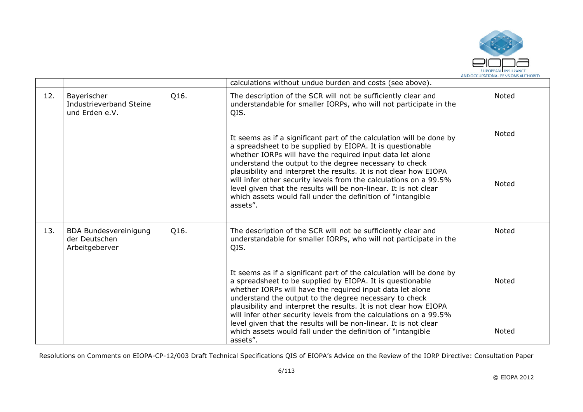

|     |                                                                 |      | calculations without undue burden and costs (see above).                                                                                                                                                                                                                                                                                                                                                                                                               |              |
|-----|-----------------------------------------------------------------|------|------------------------------------------------------------------------------------------------------------------------------------------------------------------------------------------------------------------------------------------------------------------------------------------------------------------------------------------------------------------------------------------------------------------------------------------------------------------------|--------------|
| 12. | Bayerischer<br>Industrieverband Steine<br>und Erden e.V.        | Q16. | The description of the SCR will not be sufficiently clear and<br>understandable for smaller IORPs, who will not participate in the<br>QIS.                                                                                                                                                                                                                                                                                                                             | Noted        |
|     |                                                                 |      | It seems as if a significant part of the calculation will be done by<br>a spreadsheet to be supplied by EIOPA. It is questionable<br>whether IORPs will have the required input data let alone                                                                                                                                                                                                                                                                         | Noted        |
|     |                                                                 |      | understand the output to the degree necessary to check<br>plausibility and interpret the results. It is not clear how EIOPA<br>will infer other security levels from the calculations on a 99.5%<br>level given that the results will be non-linear. It is not clear<br>which assets would fall under the definition of "intangible<br>assets".                                                                                                                        | <b>Noted</b> |
| 13. | <b>BDA Bundesvereinigung</b><br>der Deutschen<br>Arbeitgeberver | Q16. | The description of the SCR will not be sufficiently clear and<br>understandable for smaller IORPs, who will not participate in the<br>QIS.                                                                                                                                                                                                                                                                                                                             | Noted        |
|     |                                                                 |      | It seems as if a significant part of the calculation will be done by<br>a spreadsheet to be supplied by EIOPA. It is questionable<br>whether IORPs will have the required input data let alone<br>understand the output to the degree necessary to check<br>plausibility and interpret the results. It is not clear how EIOPA<br>will infer other security levels from the calculations on a 99.5%<br>level given that the results will be non-linear. It is not clear | <b>Noted</b> |
|     |                                                                 |      | which assets would fall under the definition of "intangible"<br>assets".                                                                                                                                                                                                                                                                                                                                                                                               | Noted        |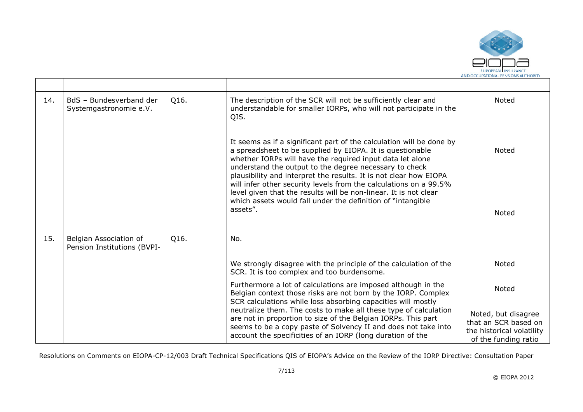

| 14. | BdS - Bundesverband der<br>Systemgastronomie e.V.     | Q16. | The description of the SCR will not be sufficiently clear and<br>understandable for smaller IORPs, who will not participate in the<br>QIS.                                                                                                                                                                                                                                                                                                                                                                                                         | Noted                                                                                            |
|-----|-------------------------------------------------------|------|----------------------------------------------------------------------------------------------------------------------------------------------------------------------------------------------------------------------------------------------------------------------------------------------------------------------------------------------------------------------------------------------------------------------------------------------------------------------------------------------------------------------------------------------------|--------------------------------------------------------------------------------------------------|
|     |                                                       |      | It seems as if a significant part of the calculation will be done by<br>a spreadsheet to be supplied by EIOPA. It is questionable<br>whether IORPs will have the required input data let alone<br>understand the output to the degree necessary to check<br>plausibility and interpret the results. It is not clear how EIOPA<br>will infer other security levels from the calculations on a 99.5%<br>level given that the results will be non-linear. It is not clear<br>which assets would fall under the definition of "intangible"<br>assets". | <b>Noted</b>                                                                                     |
|     |                                                       |      |                                                                                                                                                                                                                                                                                                                                                                                                                                                                                                                                                    | Noted                                                                                            |
| 15. | Belgian Association of<br>Pension Institutions (BVPI- | Q16. | No.                                                                                                                                                                                                                                                                                                                                                                                                                                                                                                                                                |                                                                                                  |
|     |                                                       |      | We strongly disagree with the principle of the calculation of the<br>SCR. It is too complex and too burdensome.                                                                                                                                                                                                                                                                                                                                                                                                                                    | Noted                                                                                            |
|     |                                                       |      | Furthermore a lot of calculations are imposed although in the<br>Belgian context those risks are not born by the IORP. Complex<br>SCR calculations while loss absorbing capacities will mostly                                                                                                                                                                                                                                                                                                                                                     | Noted                                                                                            |
|     |                                                       |      | neutralize them. The costs to make all these type of calculation<br>are not in proportion to size of the Belgian IORPs. This part<br>seems to be a copy paste of Solvency II and does not take into<br>account the specificities of an IORP (long duration of the                                                                                                                                                                                                                                                                                  | Noted, but disagree<br>that an SCR based on<br>the historical volatility<br>of the funding ratio |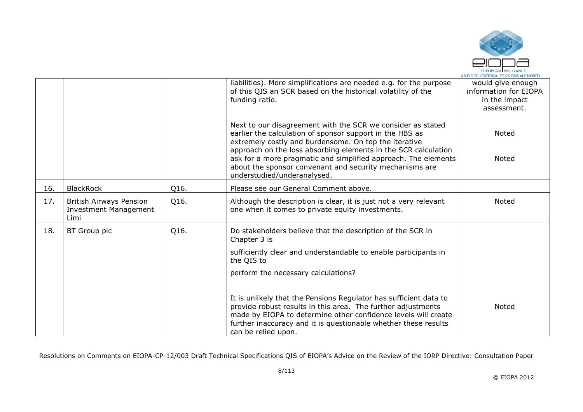

|     |                                                                 |      | liabilities). More simplifications are needed e.g. for the purpose<br>of this QIS an SCR based on the historical volatility of the<br>funding ratio.                                                                                                                                          | would give enough<br>information for EIOPA<br>in the impact<br>assessment. |
|-----|-----------------------------------------------------------------|------|-----------------------------------------------------------------------------------------------------------------------------------------------------------------------------------------------------------------------------------------------------------------------------------------------|----------------------------------------------------------------------------|
|     |                                                                 |      | Next to our disagreement with the SCR we consider as stated<br>earlier the calculation of sponsor support in the HBS as<br>extremely costly and burdensome. On top the iterative<br>approach on the loss absorbing elements in the SCR calculation                                            | <b>Noted</b>                                                               |
|     |                                                                 |      | ask for a more pragmatic and simplified approach. The elements<br>about the sponsor convenant and security mechanisms are<br>understudied/underanalysed.                                                                                                                                      | Noted                                                                      |
| 16. | <b>BlackRock</b>                                                | Q16. | Please see our General Comment above.                                                                                                                                                                                                                                                         |                                                                            |
| 17. | British Airways Pension<br><b>Investment Management</b><br>Limi | Q16. | Although the description is clear, it is just not a very relevant<br>one when it comes to private equity investments.                                                                                                                                                                         | Noted                                                                      |
| 18. | BT Group plc                                                    | Q16. | Do stakeholders believe that the description of the SCR in<br>Chapter 3 is                                                                                                                                                                                                                    |                                                                            |
|     |                                                                 |      | sufficiently clear and understandable to enable participants in<br>the QIS to                                                                                                                                                                                                                 |                                                                            |
|     |                                                                 |      | perform the necessary calculations?                                                                                                                                                                                                                                                           |                                                                            |
|     |                                                                 |      | It is unlikely that the Pensions Regulator has sufficient data to<br>provide robust results in this area. The further adjustments<br>made by EIOPA to determine other confidence levels will create<br>further inaccuracy and it is questionable whether these results<br>can be relied upon. | <b>Noted</b>                                                               |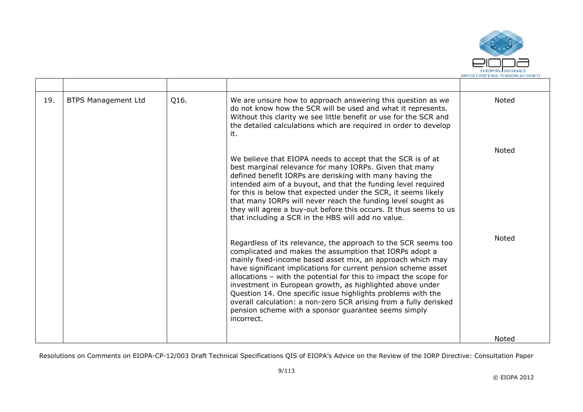

| 19. | <b>BTPS Management Ltd</b> | Q16. | We are unsure how to approach answering this question as we<br>do not know how the SCR will be used and what it represents.<br>Without this clarity we see little benefit or use for the SCR and<br>the detailed calculations which are required in order to develop<br>it.                                                                                                                                                                                                                                                                                                                            | Noted        |
|-----|----------------------------|------|--------------------------------------------------------------------------------------------------------------------------------------------------------------------------------------------------------------------------------------------------------------------------------------------------------------------------------------------------------------------------------------------------------------------------------------------------------------------------------------------------------------------------------------------------------------------------------------------------------|--------------|
|     |                            |      | We believe that EIOPA needs to accept that the SCR is of at<br>best marginal relevance for many IORPs. Given that many<br>defined benefit IORPs are derisking with many having the<br>intended aim of a buyout, and that the funding level required<br>for this is below that expected under the SCR, it seems likely<br>that many IORPs will never reach the funding level sought as<br>they will agree a buy-out before this occurs. It thus seems to us<br>that including a SCR in the HBS will add no value.                                                                                       | <b>Noted</b> |
|     |                            |      | Regardless of its relevance, the approach to the SCR seems too<br>complicated and makes the assumption that IORPs adopt a<br>mainly fixed-income based asset mix, an approach which may<br>have significant implications for current pension scheme asset<br>allocations - with the potential for this to impact the scope for<br>investment in European growth, as highlighted above under<br>Question 14. One specific issue highlights problems with the<br>overall calculation: a non-zero SCR arising from a fully derisked<br>pension scheme with a sponsor guarantee seems simply<br>incorrect. | <b>Noted</b> |
|     |                            |      |                                                                                                                                                                                                                                                                                                                                                                                                                                                                                                                                                                                                        | Noted        |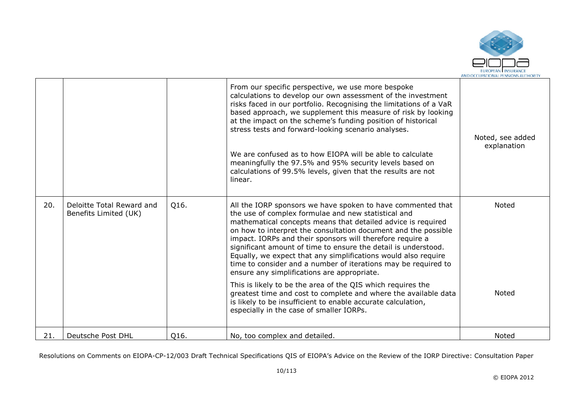

|     |                                                    |      | From our specific perspective, we use more bespoke<br>calculations to develop our own assessment of the investment<br>risks faced in our portfolio. Recognising the limitations of a VaR<br>based approach, we supplement this measure of risk by looking<br>at the impact on the scheme's funding position of historical<br>stress tests and forward-looking scenario analyses.<br>We are confused as to how EIOPA will be able to calculate<br>meaningfully the 97.5% and 95% security levels based on<br>calculations of 99.5% levels, given that the results are not<br>linear.                                                                                                                                                                                                                                  | Noted, see added<br>explanation |
|-----|----------------------------------------------------|------|----------------------------------------------------------------------------------------------------------------------------------------------------------------------------------------------------------------------------------------------------------------------------------------------------------------------------------------------------------------------------------------------------------------------------------------------------------------------------------------------------------------------------------------------------------------------------------------------------------------------------------------------------------------------------------------------------------------------------------------------------------------------------------------------------------------------|---------------------------------|
| 20. | Deloitte Total Reward and<br>Benefits Limited (UK) | Q16. | All the IORP sponsors we have spoken to have commented that<br>the use of complex formulae and new statistical and<br>mathematical concepts means that detailed advice is required<br>on how to interpret the consultation document and the possible<br>impact. IORPs and their sponsors will therefore require a<br>significant amount of time to ensure the detail is understood.<br>Equally, we expect that any simplifications would also require<br>time to consider and a number of iterations may be required to<br>ensure any simplifications are appropriate.<br>This is likely to be the area of the QIS which requires the<br>greatest time and cost to complete and where the available data<br>is likely to be insufficient to enable accurate calculation,<br>especially in the case of smaller IORPs. | Noted<br><b>Noted</b>           |
| 21. | Deutsche Post DHL                                  | Q16. | No, too complex and detailed.                                                                                                                                                                                                                                                                                                                                                                                                                                                                                                                                                                                                                                                                                                                                                                                        | Noted                           |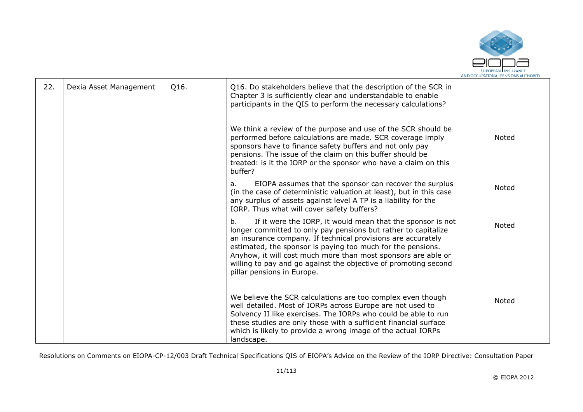

| 22. | Dexia Asset Management | Q16. | Q16. Do stakeholders believe that the description of the SCR in<br>Chapter 3 is sufficiently clear and understandable to enable<br>participants in the QIS to perform the necessary calculations?                                                                                                                                                                                                                                   |              |
|-----|------------------------|------|-------------------------------------------------------------------------------------------------------------------------------------------------------------------------------------------------------------------------------------------------------------------------------------------------------------------------------------------------------------------------------------------------------------------------------------|--------------|
|     |                        |      | We think a review of the purpose and use of the SCR should be<br>performed before calculations are made. SCR coverage imply<br>sponsors have to finance safety buffers and not only pay<br>pensions. The issue of the claim on this buffer should be<br>treated: is it the IORP or the sponsor who have a claim on this<br>buffer?                                                                                                  | Noted        |
|     |                        |      | EIOPA assumes that the sponsor can recover the surplus<br>a.<br>(in the case of deterministic valuation at least), but in this case<br>any surplus of assets against level A TP is a liability for the<br>IORP. Thus what will cover safety buffers?                                                                                                                                                                                | Noted        |
|     |                        |      | If it were the IORP, it would mean that the sponsor is not<br>b.<br>longer committed to only pay pensions but rather to capitalize<br>an insurance company. If technical provisions are accurately<br>estimated, the sponsor is paying too much for the pensions.<br>Anyhow, it will cost much more than most sponsors are able or<br>willing to pay and go against the objective of promoting second<br>pillar pensions in Europe. | <b>Noted</b> |
|     |                        |      | We believe the SCR calculations are too complex even though<br>well detailed. Most of IORPs across Europe are not used to<br>Solvency II like exercises. The IORPs who could be able to run<br>these studies are only those with a sufficient financial surface<br>which is likely to provide a wrong image of the actual IORPs<br>landscape.                                                                                       | Noted        |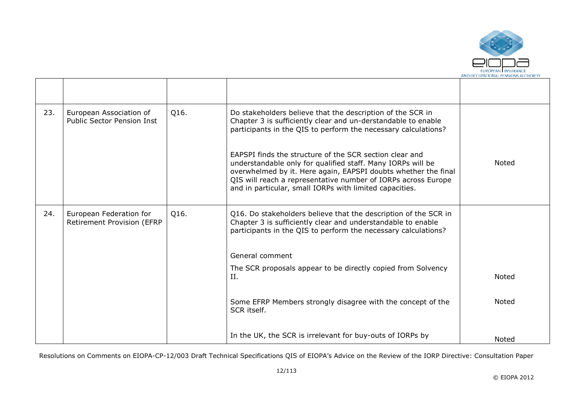

| 23. | European Association of<br><b>Public Sector Pension Inst</b> | Q16. | Do stakeholders believe that the description of the SCR in<br>Chapter 3 is sufficiently clear and un-derstandable to enable<br>participants in the QIS to perform the necessary calculations?                                                                                                                        |              |
|-----|--------------------------------------------------------------|------|----------------------------------------------------------------------------------------------------------------------------------------------------------------------------------------------------------------------------------------------------------------------------------------------------------------------|--------------|
|     |                                                              |      | EAPSPI finds the structure of the SCR section clear and<br>understandable only for qualified staff. Many IORPs will be<br>overwhelmed by it. Here again, EAPSPI doubts whether the final<br>QIS will reach a representative number of IORPs across Europe<br>and in particular, small IORPs with limited capacities. | <b>Noted</b> |
| 24. | European Federation for<br>Retirement Provision (EFRP        | Q16. | Q16. Do stakeholders believe that the description of the SCR in<br>Chapter 3 is sufficiently clear and understandable to enable<br>participants in the QIS to perform the necessary calculations?                                                                                                                    |              |
|     |                                                              |      | General comment                                                                                                                                                                                                                                                                                                      |              |
|     |                                                              |      | The SCR proposals appear to be directly copied from Solvency<br>II.                                                                                                                                                                                                                                                  | <b>Noted</b> |
|     |                                                              |      | Some EFRP Members strongly disagree with the concept of the<br>SCR itself.                                                                                                                                                                                                                                           | Noted        |
|     |                                                              |      | In the UK, the SCR is irrelevant for buy-outs of IORPs by                                                                                                                                                                                                                                                            | Noted        |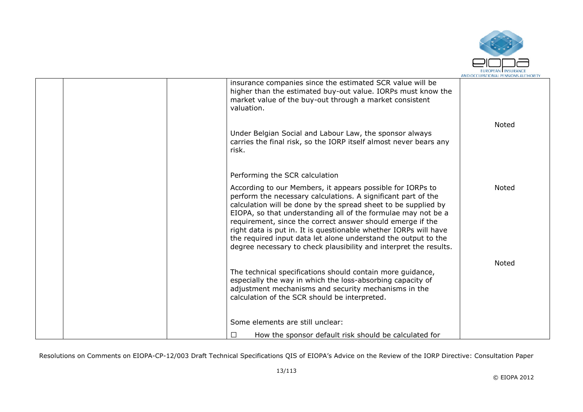

| valuation.                       | insurance companies since the estimated SCR value will be<br>higher than the estimated buy-out value. IORPs must know the<br>market value of the buy-out through a market consistent                                                                                                                                                                                                                                                                                                                                                    |              |
|----------------------------------|-----------------------------------------------------------------------------------------------------------------------------------------------------------------------------------------------------------------------------------------------------------------------------------------------------------------------------------------------------------------------------------------------------------------------------------------------------------------------------------------------------------------------------------------|--------------|
| risk.                            | Under Belgian Social and Labour Law, the sponsor always<br>carries the final risk, so the IORP itself almost never bears any                                                                                                                                                                                                                                                                                                                                                                                                            | <b>Noted</b> |
| Performing the SCR calculation   |                                                                                                                                                                                                                                                                                                                                                                                                                                                                                                                                         |              |
|                                  | According to our Members, it appears possible for IORPs to<br>perform the necessary calculations. A significant part of the<br>calculation will be done by the spread sheet to be supplied by<br>EIOPA, so that understanding all of the formulae may not be a<br>requirement, since the correct answer should emerge if the<br>right data is put in. It is questionable whether IORPs will have<br>the required input data let alone understand the output to the<br>degree necessary to check plausibility and interpret the results. | <b>Noted</b> |
|                                  | The technical specifications should contain more guidance,<br>especially the way in which the loss-absorbing capacity of<br>adjustment mechanisms and security mechanisms in the<br>calculation of the SCR should be interpreted.                                                                                                                                                                                                                                                                                                       | <b>Noted</b> |
| Some elements are still unclear: |                                                                                                                                                                                                                                                                                                                                                                                                                                                                                                                                         |              |
| □                                | How the sponsor default risk should be calculated for                                                                                                                                                                                                                                                                                                                                                                                                                                                                                   |              |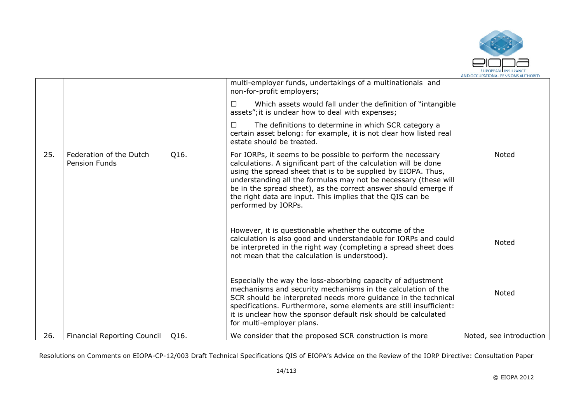

|     |                                                 |      | multi-employer funds, undertakings of a multinationals and<br>non-for-profit employers;                                                                                                                                                                                                                                                                                                                                     |                         |
|-----|-------------------------------------------------|------|-----------------------------------------------------------------------------------------------------------------------------------------------------------------------------------------------------------------------------------------------------------------------------------------------------------------------------------------------------------------------------------------------------------------------------|-------------------------|
|     |                                                 |      | Which assets would fall under the definition of "intangible"<br>П<br>assets"; it is unclear how to deal with expenses;                                                                                                                                                                                                                                                                                                      |                         |
|     |                                                 |      | □<br>The definitions to determine in which SCR category a<br>certain asset belong: for example, it is not clear how listed real<br>estate should be treated.                                                                                                                                                                                                                                                                |                         |
| 25. | Federation of the Dutch<br><b>Pension Funds</b> | Q16. | For IORPs, it seems to be possible to perform the necessary<br>calculations. A significant part of the calculation will be done<br>using the spread sheet that is to be supplied by EIOPA. Thus,<br>understanding all the formulas may not be necessary (these will<br>be in the spread sheet), as the correct answer should emerge if<br>the right data are input. This implies that the QIS can be<br>performed by IORPs. | <b>Noted</b>            |
|     |                                                 |      | However, it is questionable whether the outcome of the<br>calculation is also good and understandable for IORPs and could<br>be interpreted in the right way (completing a spread sheet does<br>not mean that the calculation is understood).                                                                                                                                                                               | Noted                   |
|     |                                                 |      | Especially the way the loss-absorbing capacity of adjustment<br>mechanisms and security mechanisms in the calculation of the<br>SCR should be interpreted needs more guidance in the technical<br>specifications. Furthermore, some elements are still insufficient:<br>it is unclear how the sponsor default risk should be calculated<br>for multi-employer plans.                                                        | Noted                   |
| 26. | <b>Financial Reporting Council</b>              | Q16. | We consider that the proposed SCR construction is more                                                                                                                                                                                                                                                                                                                                                                      | Noted, see introduction |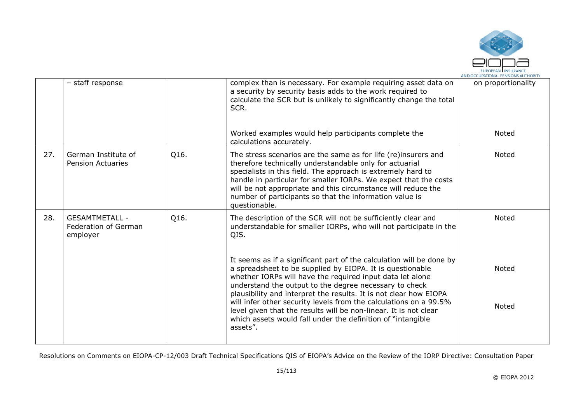

|     | - staff response                                          |      | complex than is necessary. For example requiring asset data on<br>a security by security basis adds to the work required to<br>calculate the SCR but is unlikely to significantly change the total<br>SCR.                                                                                                                                                                                                 | on proportionality |
|-----|-----------------------------------------------------------|------|------------------------------------------------------------------------------------------------------------------------------------------------------------------------------------------------------------------------------------------------------------------------------------------------------------------------------------------------------------------------------------------------------------|--------------------|
|     |                                                           |      | Worked examples would help participants complete the<br>calculations accurately.                                                                                                                                                                                                                                                                                                                           | <b>Noted</b>       |
| 27. | German Institute of<br><b>Pension Actuaries</b>           | Q16. | The stress scenarios are the same as for life (re)insurers and<br>therefore technically understandable only for actuarial<br>specialists in this field. The approach is extremely hard to<br>handle in particular for smaller IORPs. We expect that the costs<br>will be not appropriate and this circumstance will reduce the<br>number of participants so that the information value is<br>questionable. | Noted              |
| 28. | <b>GESAMTMETALL -</b><br>Federation of German<br>employer | Q16. | The description of the SCR will not be sufficiently clear and<br>understandable for smaller IORPs, who will not participate in the<br>QIS.                                                                                                                                                                                                                                                                 | <b>Noted</b>       |
|     |                                                           |      | It seems as if a significant part of the calculation will be done by<br>a spreadsheet to be supplied by EIOPA. It is questionable<br>whether IORPs will have the required input data let alone<br>understand the output to the degree necessary to check<br>plausibility and interpret the results. It is not clear how EIOPA                                                                              | Noted              |
|     |                                                           |      | will infer other security levels from the calculations on a 99.5%<br>level given that the results will be non-linear. It is not clear<br>which assets would fall under the definition of "intangible"<br>assets".                                                                                                                                                                                          | <b>Noted</b>       |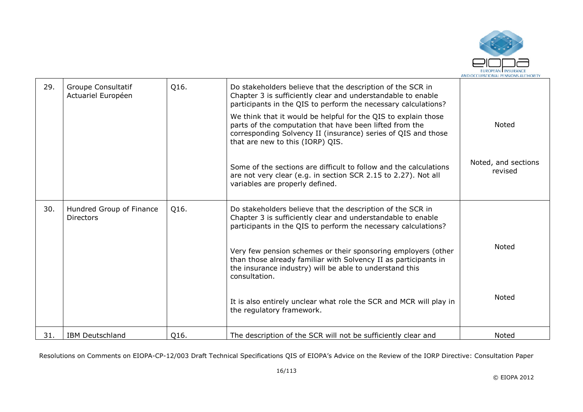

| 29. | Groupe Consultatif<br>Actuariel Européen     | Q16. | Do stakeholders believe that the description of the SCR in<br>Chapter 3 is sufficiently clear and understandable to enable<br>participants in the QIS to perform the necessary calculations?                                   |                                |
|-----|----------------------------------------------|------|--------------------------------------------------------------------------------------------------------------------------------------------------------------------------------------------------------------------------------|--------------------------------|
|     |                                              |      | We think that it would be helpful for the QIS to explain those<br>parts of the computation that have been lifted from the<br>corresponding Solvency II (insurance) series of QIS and those<br>that are new to this (IORP) QIS. | <b>Noted</b>                   |
|     |                                              |      | Some of the sections are difficult to follow and the calculations<br>are not very clear (e.g. in section SCR 2.15 to 2.27). Not all<br>variables are properly defined.                                                         | Noted, and sections<br>revised |
| 30. | Hundred Group of Finance<br><b>Directors</b> | Q16. | Do stakeholders believe that the description of the SCR in<br>Chapter 3 is sufficiently clear and understandable to enable<br>participants in the QIS to perform the necessary calculations?                                   |                                |
|     |                                              |      | Very few pension schemes or their sponsoring employers (other<br>than those already familiar with Solvency II as participants in<br>the insurance industry) will be able to understand this<br>consultation.                   | <b>Noted</b>                   |
|     |                                              |      | It is also entirely unclear what role the SCR and MCR will play in<br>the regulatory framework.                                                                                                                                | <b>Noted</b>                   |
| 31. | <b>IBM Deutschland</b>                       | Q16. | The description of the SCR will not be sufficiently clear and                                                                                                                                                                  | Noted                          |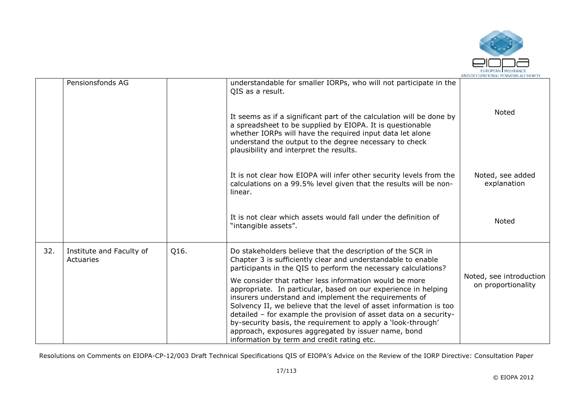

|     |                                       |      |                                                                                                                                                                                                                                                                                                                                                                                                                                                                                                   | AND OCCUPATIONAL PENSIONS AUTHORIT            |
|-----|---------------------------------------|------|---------------------------------------------------------------------------------------------------------------------------------------------------------------------------------------------------------------------------------------------------------------------------------------------------------------------------------------------------------------------------------------------------------------------------------------------------------------------------------------------------|-----------------------------------------------|
|     | Pensionsfonds AG                      |      | understandable for smaller IORPs, who will not participate in the<br>QIS as a result.                                                                                                                                                                                                                                                                                                                                                                                                             |                                               |
|     |                                       |      | It seems as if a significant part of the calculation will be done by<br>a spreadsheet to be supplied by EIOPA. It is questionable<br>whether IORPs will have the required input data let alone<br>understand the output to the degree necessary to check<br>plausibility and interpret the results.                                                                                                                                                                                               | <b>Noted</b>                                  |
|     |                                       |      | It is not clear how EIOPA will infer other security levels from the<br>calculations on a 99.5% level given that the results will be non-<br>linear.                                                                                                                                                                                                                                                                                                                                               | Noted, see added<br>explanation               |
|     |                                       |      | It is not clear which assets would fall under the definition of<br>"intangible assets".                                                                                                                                                                                                                                                                                                                                                                                                           | <b>Noted</b>                                  |
| 32. | Institute and Faculty of<br>Actuaries | Q16. | Do stakeholders believe that the description of the SCR in<br>Chapter 3 is sufficiently clear and understandable to enable<br>participants in the QIS to perform the necessary calculations?                                                                                                                                                                                                                                                                                                      |                                               |
|     |                                       |      | We consider that rather less information would be more<br>appropriate. In particular, based on our experience in helping<br>insurers understand and implement the requirements of<br>Solvency II, we believe that the level of asset information is too<br>detailed - for example the provision of asset data on a security-<br>by-security basis, the requirement to apply a 'look-through'<br>approach, exposures aggregated by issuer name, bond<br>information by term and credit rating etc. | Noted, see introduction<br>on proportionality |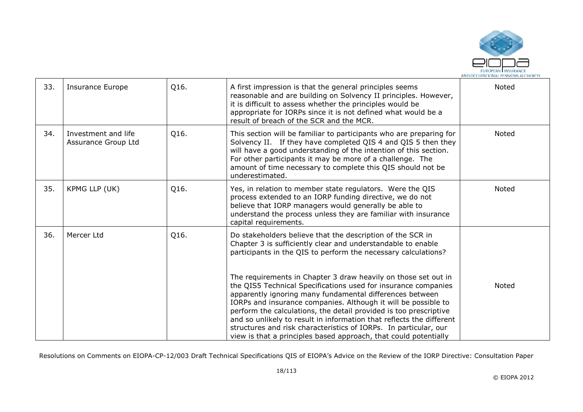

| 33. | <b>Insurance Europe</b>                    | Q16. | A first impression is that the general principles seems<br>reasonable and are building on Solvency II principles. However,<br>it is difficult to assess whether the principles would be<br>appropriate for IORPs since it is not defined what would be a<br>result of breach of the SCR and the MCR.                                                                                                                                                                                                                                                                                                                                                                                                                                                | Noted        |
|-----|--------------------------------------------|------|-----------------------------------------------------------------------------------------------------------------------------------------------------------------------------------------------------------------------------------------------------------------------------------------------------------------------------------------------------------------------------------------------------------------------------------------------------------------------------------------------------------------------------------------------------------------------------------------------------------------------------------------------------------------------------------------------------------------------------------------------------|--------------|
| 34. | Investment and life<br>Assurance Group Ltd | Q16. | This section will be familiar to participants who are preparing for<br>Solvency II. If they have completed QIS 4 and QIS 5 then they<br>will have a good understanding of the intention of this section.<br>For other participants it may be more of a challenge. The<br>amount of time necessary to complete this QIS should not be<br>underestimated.                                                                                                                                                                                                                                                                                                                                                                                             | Noted        |
| 35. | KPMG LLP (UK)                              | Q16. | Yes, in relation to member state regulators. Were the QIS<br>process extended to an IORP funding directive, we do not<br>believe that IORP managers would generally be able to<br>understand the process unless they are familiar with insurance<br>capital requirements.                                                                                                                                                                                                                                                                                                                                                                                                                                                                           | Noted        |
| 36. | Mercer Ltd                                 | Q16. | Do stakeholders believe that the description of the SCR in<br>Chapter 3 is sufficiently clear and understandable to enable<br>participants in the QIS to perform the necessary calculations?<br>The requirements in Chapter 3 draw heavily on those set out in<br>the QIS5 Technical Specifications used for insurance companies<br>apparently ignoring many fundamental differences between<br>IORPs and insurance companies. Although it will be possible to<br>perform the calculations, the detail provided is too prescriptive<br>and so unlikely to result in information that reflects the different<br>structures and risk characteristics of IORPs. In particular, our<br>view is that a principles based approach, that could potentially | <b>Noted</b> |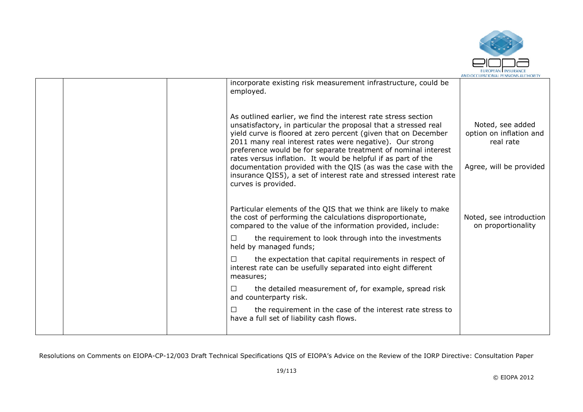

|  | incorporate existing risk measurement infrastructure, could be<br>employed.                                                                                                                                                                                                                                                                                                                                                                                                                                                                                     |                                                                                     |
|--|-----------------------------------------------------------------------------------------------------------------------------------------------------------------------------------------------------------------------------------------------------------------------------------------------------------------------------------------------------------------------------------------------------------------------------------------------------------------------------------------------------------------------------------------------------------------|-------------------------------------------------------------------------------------|
|  | As outlined earlier, we find the interest rate stress section<br>unsatisfactory, in particular the proposal that a stressed real<br>yield curve is floored at zero percent (given that on December<br>2011 many real interest rates were negative). Our strong<br>preference would be for separate treatment of nominal interest<br>rates versus inflation. It would be helpful if as part of the<br>documentation provided with the QIS (as was the case with the<br>insurance QIS5), a set of interest rate and stressed interest rate<br>curves is provided. | Noted, see added<br>option on inflation and<br>real rate<br>Agree, will be provided |
|  | Particular elements of the QIS that we think are likely to make<br>the cost of performing the calculations disproportionate,<br>compared to the value of the information provided, include:                                                                                                                                                                                                                                                                                                                                                                     | Noted, see introduction<br>on proportionality                                       |
|  | the requirement to look through into the investments<br>П<br>held by managed funds;                                                                                                                                                                                                                                                                                                                                                                                                                                                                             |                                                                                     |
|  | the expectation that capital requirements in respect of<br>$\Box$<br>interest rate can be usefully separated into eight different<br>measures;                                                                                                                                                                                                                                                                                                                                                                                                                  |                                                                                     |
|  | the detailed measurement of, for example, spread risk<br>П<br>and counterparty risk.                                                                                                                                                                                                                                                                                                                                                                                                                                                                            |                                                                                     |
|  | the requirement in the case of the interest rate stress to<br>$\Box$<br>have a full set of liability cash flows.                                                                                                                                                                                                                                                                                                                                                                                                                                                |                                                                                     |
|  |                                                                                                                                                                                                                                                                                                                                                                                                                                                                                                                                                                 |                                                                                     |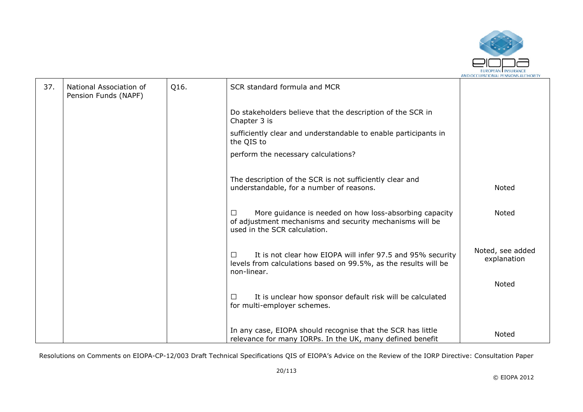

| 37. | National Association of<br>Pension Funds (NAPF) | Q16. | SCR standard formula and MCR                                                                                                                                 |                                 |
|-----|-------------------------------------------------|------|--------------------------------------------------------------------------------------------------------------------------------------------------------------|---------------------------------|
|     |                                                 |      | Do stakeholders believe that the description of the SCR in<br>Chapter 3 is                                                                                   |                                 |
|     |                                                 |      | sufficiently clear and understandable to enable participants in<br>the QIS to                                                                                |                                 |
|     |                                                 |      | perform the necessary calculations?                                                                                                                          |                                 |
|     |                                                 |      | The description of the SCR is not sufficiently clear and<br>understandable, for a number of reasons.                                                         | Noted                           |
|     |                                                 |      | More guidance is needed on how loss-absorbing capacity<br>$\Box$<br>of adjustment mechanisms and security mechanisms will be<br>used in the SCR calculation. | Noted                           |
|     |                                                 |      | It is not clear how EIOPA will infer 97.5 and 95% security<br>□<br>levels from calculations based on 99.5%, as the results will be<br>non-linear.            | Noted, see added<br>explanation |
|     |                                                 |      |                                                                                                                                                              | Noted                           |
|     |                                                 |      | It is unclear how sponsor default risk will be calculated<br>П<br>for multi-employer schemes.                                                                |                                 |
|     |                                                 |      | In any case, EIOPA should recognise that the SCR has little<br>relevance for many IORPs. In the UK, many defined benefit                                     | Noted                           |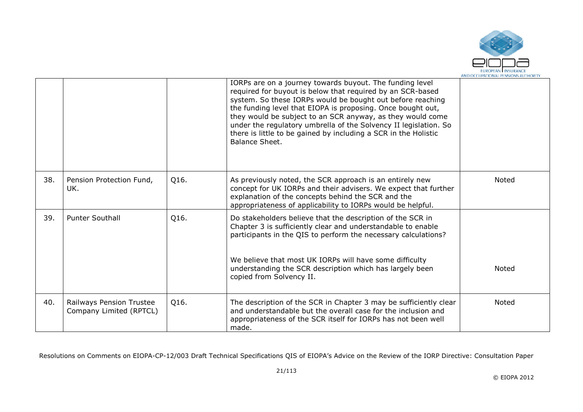

|     |                                                     |      | IORPs are on a journey towards buyout. The funding level<br>required for buyout is below that required by an SCR-based<br>system. So these IORPs would be bought out before reaching<br>the funding level that EIOPA is proposing. Once bought out,<br>they would be subject to an SCR anyway, as they would come<br>under the regulatory umbrella of the Solvency II legislation. So<br>there is little to be gained by including a SCR in the Holistic<br>Balance Sheet. |              |
|-----|-----------------------------------------------------|------|----------------------------------------------------------------------------------------------------------------------------------------------------------------------------------------------------------------------------------------------------------------------------------------------------------------------------------------------------------------------------------------------------------------------------------------------------------------------------|--------------|
| 38. | Pension Protection Fund,<br>UK.                     | Q16. | As previously noted, the SCR approach is an entirely new<br>concept for UK IORPs and their advisers. We expect that further<br>explanation of the concepts behind the SCR and the<br>appropriateness of applicability to IORPs would be helpful.                                                                                                                                                                                                                           | Noted        |
| 39. | <b>Punter Southall</b>                              | Q16. | Do stakeholders believe that the description of the SCR in<br>Chapter 3 is sufficiently clear and understandable to enable<br>participants in the QIS to perform the necessary calculations?                                                                                                                                                                                                                                                                               |              |
|     |                                                     |      | We believe that most UK IORPs will have some difficulty<br>understanding the SCR description which has largely been<br>copied from Solvency II.                                                                                                                                                                                                                                                                                                                            | <b>Noted</b> |
| 40. | Railways Pension Trustee<br>Company Limited (RPTCL) | Q16. | The description of the SCR in Chapter 3 may be sufficiently clear<br>and understandable but the overall case for the inclusion and<br>appropriateness of the SCR itself for IORPs has not been well<br>made.                                                                                                                                                                                                                                                               | Noted        |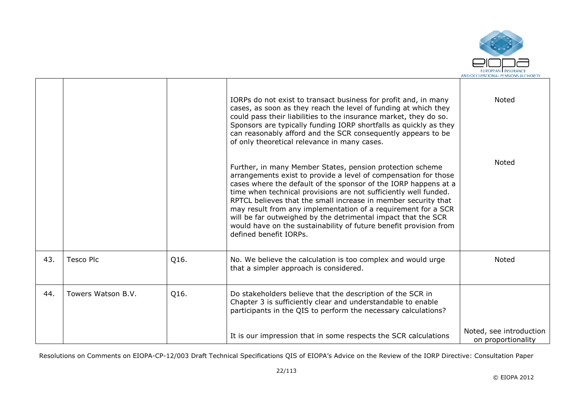

|     |                    |      | IORPs do not exist to transact business for profit and, in many<br>cases, as soon as they reach the level of funding at which they<br>could pass their liabilities to the insurance market, they do so.<br>Sponsors are typically funding IORP shortfalls as quickly as they<br>can reasonably afford and the SCR consequently appears to be<br>of only theoretical relevance in many cases.                                                                                                                                                                           | Noted                                         |
|-----|--------------------|------|------------------------------------------------------------------------------------------------------------------------------------------------------------------------------------------------------------------------------------------------------------------------------------------------------------------------------------------------------------------------------------------------------------------------------------------------------------------------------------------------------------------------------------------------------------------------|-----------------------------------------------|
|     |                    |      | Further, in many Member States, pension protection scheme<br>arrangements exist to provide a level of compensation for those<br>cases where the default of the sponsor of the IORP happens at a<br>time when technical provisions are not sufficiently well funded.<br>RPTCL believes that the small increase in member security that<br>may result from any implementation of a requirement for a SCR<br>will be far outweighed by the detrimental impact that the SCR<br>would have on the sustainability of future benefit provision from<br>defined benefit IORPs. | Noted                                         |
| 43. | Tesco Plc          | Q16. | No. We believe the calculation is too complex and would urge<br>that a simpler approach is considered.                                                                                                                                                                                                                                                                                                                                                                                                                                                                 | Noted                                         |
| 44. | Towers Watson B.V. | Q16. | Do stakeholders believe that the description of the SCR in<br>Chapter 3 is sufficiently clear and understandable to enable<br>participants in the QIS to perform the necessary calculations?                                                                                                                                                                                                                                                                                                                                                                           |                                               |
|     |                    |      | It is our impression that in some respects the SCR calculations                                                                                                                                                                                                                                                                                                                                                                                                                                                                                                        | Noted, see introduction<br>on proportionality |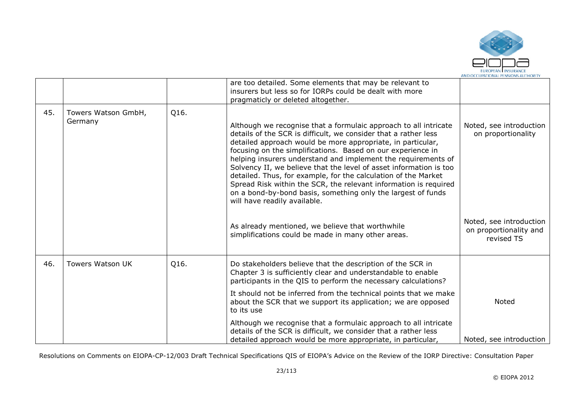

|     |                                |      | are too detailed. Some elements that may be relevant to<br>insurers but less so for IORPs could be dealt with more<br>pragmaticly or deleted altogether.                                                                                                                                                                                                                                                                                                                                                                                                                                                                                       |                                                                 |
|-----|--------------------------------|------|------------------------------------------------------------------------------------------------------------------------------------------------------------------------------------------------------------------------------------------------------------------------------------------------------------------------------------------------------------------------------------------------------------------------------------------------------------------------------------------------------------------------------------------------------------------------------------------------------------------------------------------------|-----------------------------------------------------------------|
| 45. | Towers Watson GmbH,<br>Germany | Q16. | Although we recognise that a formulaic approach to all intricate<br>details of the SCR is difficult, we consider that a rather less<br>detailed approach would be more appropriate, in particular,<br>focusing on the simplifications. Based on our experience in<br>helping insurers understand and implement the requirements of<br>Solvency II, we believe that the level of asset information is too<br>detailed. Thus, for example, for the calculation of the Market<br>Spread Risk within the SCR, the relevant information is required<br>on a bond-by-bond basis, something only the largest of funds<br>will have readily available. | Noted, see introduction<br>on proportionality                   |
|     |                                |      | As already mentioned, we believe that worthwhile<br>simplifications could be made in many other areas.                                                                                                                                                                                                                                                                                                                                                                                                                                                                                                                                         | Noted, see introduction<br>on proportionality and<br>revised TS |
| 46. | <b>Towers Watson UK</b>        | Q16. | Do stakeholders believe that the description of the SCR in<br>Chapter 3 is sufficiently clear and understandable to enable<br>participants in the QIS to perform the necessary calculations?                                                                                                                                                                                                                                                                                                                                                                                                                                                   |                                                                 |
|     |                                |      | It should not be inferred from the technical points that we make<br>about the SCR that we support its application; we are opposed<br>to its use                                                                                                                                                                                                                                                                                                                                                                                                                                                                                                | Noted                                                           |
|     |                                |      | Although we recognise that a formulaic approach to all intricate<br>details of the SCR is difficult, we consider that a rather less<br>detailed approach would be more appropriate, in particular,                                                                                                                                                                                                                                                                                                                                                                                                                                             | Noted, see introduction                                         |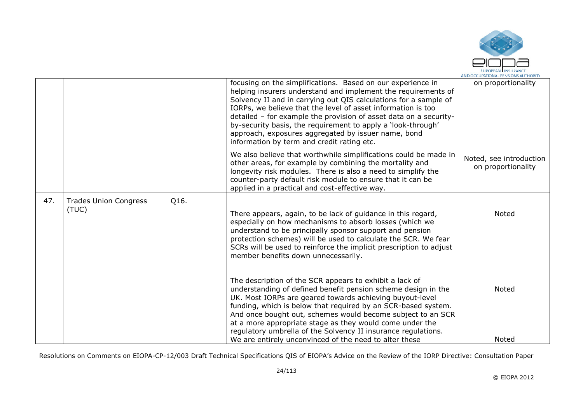

|     |                                       |      | focusing on the simplifications. Based on our experience in<br>helping insurers understand and implement the requirements of<br>Solvency II and in carrying out QIS calculations for a sample of<br>IORPs, we believe that the level of asset information is too<br>detailed - for example the provision of asset data on a security-<br>by-security basis, the requirement to apply a 'look-through'<br>approach, exposures aggregated by issuer name, bond<br>information by term and credit rating etc.  | on proportionality                            |
|-----|---------------------------------------|------|-------------------------------------------------------------------------------------------------------------------------------------------------------------------------------------------------------------------------------------------------------------------------------------------------------------------------------------------------------------------------------------------------------------------------------------------------------------------------------------------------------------|-----------------------------------------------|
|     |                                       |      | We also believe that worthwhile simplifications could be made in<br>other areas, for example by combining the mortality and<br>longevity risk modules. There is also a need to simplify the<br>counter-party default risk module to ensure that it can be<br>applied in a practical and cost-effective way.                                                                                                                                                                                                 | Noted, see introduction<br>on proportionality |
| 47. | <b>Trades Union Congress</b><br>(TUC) | Q16. | There appears, again, to be lack of guidance in this regard,<br>especially on how mechanisms to absorb losses (which we<br>understand to be principally sponsor support and pension<br>protection schemes) will be used to calculate the SCR. We fear<br>SCRs will be used to reinforce the implicit prescription to adjust<br>member benefits down unnecessarily.                                                                                                                                          | <b>Noted</b>                                  |
|     |                                       |      | The description of the SCR appears to exhibit a lack of<br>understanding of defined benefit pension scheme design in the<br>UK. Most IORPs are geared towards achieving buyout-level<br>funding, which is below that required by an SCR-based system.<br>And once bought out, schemes would become subject to an SCR<br>at a more appropriate stage as they would come under the<br>regulatory umbrella of the Solvency II insurance regulations.<br>We are entirely unconvinced of the need to alter these | Noted<br>Noted                                |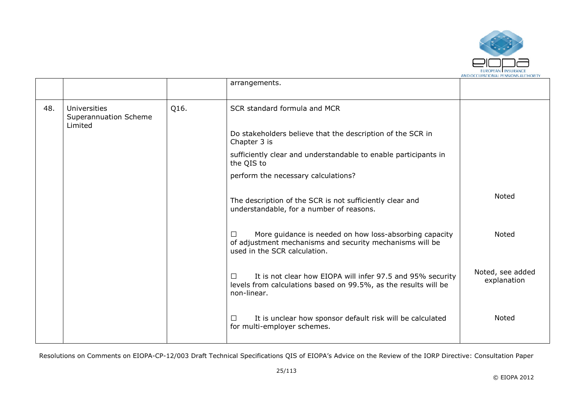

|     |                                                  |      | arrangements.                                                                                                                                                 |                                 |
|-----|--------------------------------------------------|------|---------------------------------------------------------------------------------------------------------------------------------------------------------------|---------------------------------|
| 48. | Universities<br>Superannuation Scheme<br>Limited | Q16. | SCR standard formula and MCR                                                                                                                                  |                                 |
|     |                                                  |      | Do stakeholders believe that the description of the SCR in<br>Chapter 3 is                                                                                    |                                 |
|     |                                                  |      | sufficiently clear and understandable to enable participants in<br>the QIS to                                                                                 |                                 |
|     |                                                  |      | perform the necessary calculations?                                                                                                                           |                                 |
|     |                                                  |      | The description of the SCR is not sufficiently clear and<br>understandable, for a number of reasons.                                                          | Noted                           |
|     |                                                  |      | More guidance is needed on how loss-absorbing capacity<br>$\perp$<br>of adjustment mechanisms and security mechanisms will be<br>used in the SCR calculation. | Noted                           |
|     |                                                  |      | It is not clear how EIOPA will infer 97.5 and 95% security<br>П<br>levels from calculations based on 99.5%, as the results will be<br>non-linear.             | Noted, see added<br>explanation |
|     |                                                  |      | It is unclear how sponsor default risk will be calculated<br>$\perp$<br>for multi-employer schemes.                                                           | Noted                           |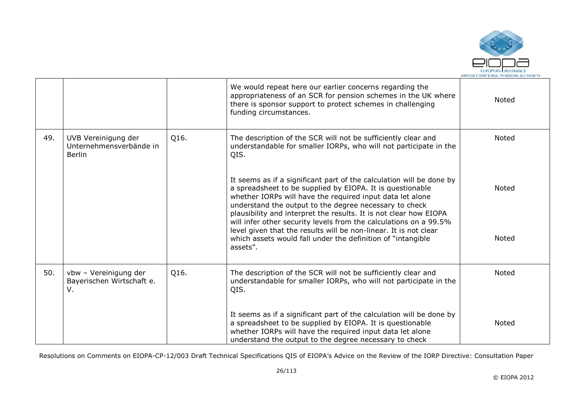

|     |                                                                 |      | We would repeat here our earlier concerns regarding the<br>appropriateness of an SCR for pension schemes in the UK where<br>there is sponsor support to protect schemes in challenging<br>funding circumstances.                                                                                                                                                                                   | Noted        |
|-----|-----------------------------------------------------------------|------|----------------------------------------------------------------------------------------------------------------------------------------------------------------------------------------------------------------------------------------------------------------------------------------------------------------------------------------------------------------------------------------------------|--------------|
| 49. | UVB Vereinigung der<br>Unternehmensverbände in<br><b>Berlin</b> | Q16. | The description of the SCR will not be sufficiently clear and<br>understandable for smaller IORPs, who will not participate in the<br>QIS.                                                                                                                                                                                                                                                         | Noted        |
|     |                                                                 |      | It seems as if a significant part of the calculation will be done by<br>a spreadsheet to be supplied by EIOPA. It is questionable<br>whether IORPs will have the required input data let alone<br>understand the output to the degree necessary to check<br>plausibility and interpret the results. It is not clear how EIOPA<br>will infer other security levels from the calculations on a 99.5% | Noted        |
|     |                                                                 |      | level given that the results will be non-linear. It is not clear<br>which assets would fall under the definition of "intangible"<br>assets".                                                                                                                                                                                                                                                       | Noted        |
| 50. | vbw - Vereinigung der<br>Bayerischen Wirtschaft e.<br>V.        | Q16. | The description of the SCR will not be sufficiently clear and<br>understandable for smaller IORPs, who will not participate in the<br>QIS.                                                                                                                                                                                                                                                         | <b>Noted</b> |
|     |                                                                 |      | It seems as if a significant part of the calculation will be done by<br>a spreadsheet to be supplied by EIOPA. It is questionable<br>whether IORPs will have the required input data let alone<br>understand the output to the degree necessary to check                                                                                                                                           | Noted        |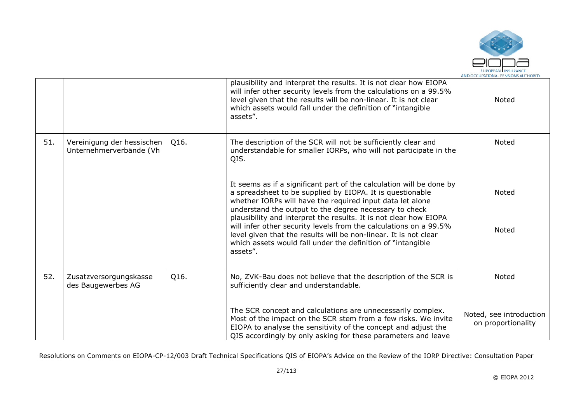

|     |                                                       |      | plausibility and interpret the results. It is not clear how EIOPA<br>will infer other security levels from the calculations on a 99.5%<br>level given that the results will be non-linear. It is not clear<br>which assets would fall under the definition of "intangible<br>assets".                                         | Noted                                         |
|-----|-------------------------------------------------------|------|-------------------------------------------------------------------------------------------------------------------------------------------------------------------------------------------------------------------------------------------------------------------------------------------------------------------------------|-----------------------------------------------|
| 51. | Vereinigung der hessischen<br>Unternehmerverbände (Vh | Q16. | The description of the SCR will not be sufficiently clear and<br>understandable for smaller IORPs, who will not participate in the<br>QIS.                                                                                                                                                                                    | Noted                                         |
|     |                                                       |      | It seems as if a significant part of the calculation will be done by<br>a spreadsheet to be supplied by EIOPA. It is questionable<br>whether IORPs will have the required input data let alone<br>understand the output to the degree necessary to check<br>plausibility and interpret the results. It is not clear how EIOPA | <b>Noted</b>                                  |
|     |                                                       |      | will infer other security levels from the calculations on a 99.5%<br>level given that the results will be non-linear. It is not clear<br>which assets would fall under the definition of "intangible"<br>assets".                                                                                                             | Noted                                         |
| 52. | Zusatzversorgungskasse<br>des Baugewerbes AG          | Q16. | No, ZVK-Bau does not believe that the description of the SCR is<br>sufficiently clear and understandable.                                                                                                                                                                                                                     | Noted                                         |
|     |                                                       |      | The SCR concept and calculations are unnecessarily complex.<br>Most of the impact on the SCR stem from a few risks. We invite<br>EIOPA to analyse the sensitivity of the concept and adjust the<br>QIS accordingly by only asking for these parameters and leave                                                              | Noted, see introduction<br>on proportionality |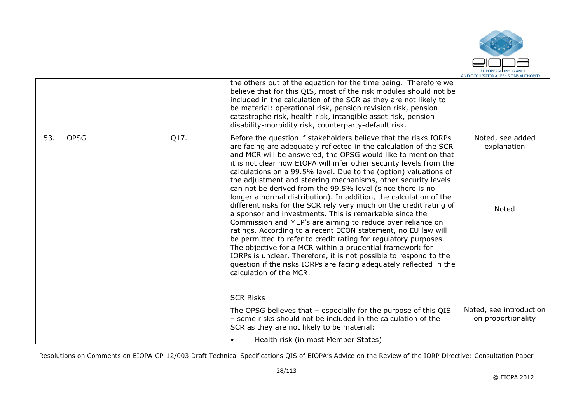

|     |             |      | the others out of the equation for the time being. Therefore we<br>believe that for this QIS, most of the risk modules should not be<br>included in the calculation of the SCR as they are not likely to<br>be material: operational risk, pension revision risk, pension<br>catastrophe risk, health risk, intangible asset risk, pension<br>disability-morbidity risk, counterparty-default risk.                                                                                                                                                                                                                                                                                                                                                                                                                                                                                                                                                                                                                                                                                                                          |                                               |
|-----|-------------|------|------------------------------------------------------------------------------------------------------------------------------------------------------------------------------------------------------------------------------------------------------------------------------------------------------------------------------------------------------------------------------------------------------------------------------------------------------------------------------------------------------------------------------------------------------------------------------------------------------------------------------------------------------------------------------------------------------------------------------------------------------------------------------------------------------------------------------------------------------------------------------------------------------------------------------------------------------------------------------------------------------------------------------------------------------------------------------------------------------------------------------|-----------------------------------------------|
| 53. | <b>OPSG</b> | Q17. | Before the question if stakeholders believe that the risks IORPs<br>are facing are adequately reflected in the calculation of the SCR<br>and MCR will be answered, the OPSG would like to mention that<br>it is not clear how EIOPA will infer other security levels from the<br>calculations on a 99.5% level. Due to the (option) valuations of<br>the adjustment and steering mechanisms, other security levels<br>can not be derived from the 99.5% level (since there is no<br>longer a normal distribution). In addition, the calculation of the<br>different risks for the SCR rely very much on the credit rating of<br>a sponsor and investments. This is remarkable since the<br>Commission and MEP's are aiming to reduce over reliance on<br>ratings. According to a recent ECON statement, no EU law will<br>be permitted to refer to credit rating for regulatory purposes.<br>The objective for a MCR within a prudential framework for<br>IORPs is unclear. Therefore, it is not possible to respond to the<br>question if the risks IORPs are facing adequately reflected in the<br>calculation of the MCR. | Noted, see added<br>explanation<br>Noted      |
|     |             |      | <b>SCR Risks</b><br>The OPSG believes that - especially for the purpose of this QIS<br>- some risks should not be included in the calculation of the<br>SCR as they are not likely to be material:                                                                                                                                                                                                                                                                                                                                                                                                                                                                                                                                                                                                                                                                                                                                                                                                                                                                                                                           | Noted, see introduction<br>on proportionality |
|     |             |      | Health risk (in most Member States)                                                                                                                                                                                                                                                                                                                                                                                                                                                                                                                                                                                                                                                                                                                                                                                                                                                                                                                                                                                                                                                                                          |                                               |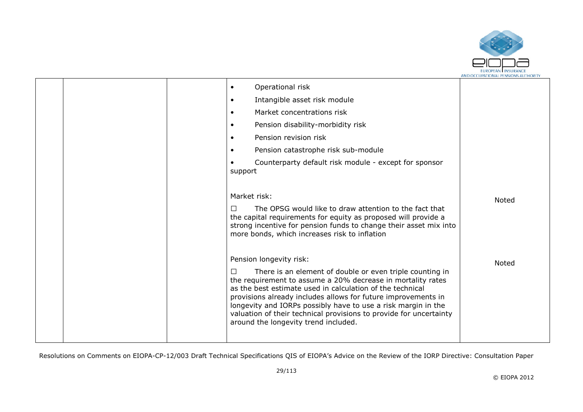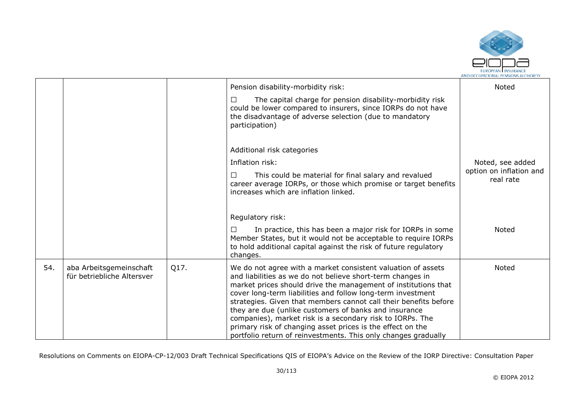

|     |                                                       |      | Pension disability-morbidity risk:                                                                                                                                                                                                                                                                                                                                                                                                                    | Noted                                |
|-----|-------------------------------------------------------|------|-------------------------------------------------------------------------------------------------------------------------------------------------------------------------------------------------------------------------------------------------------------------------------------------------------------------------------------------------------------------------------------------------------------------------------------------------------|--------------------------------------|
|     |                                                       |      | The capital charge for pension disability-morbidity risk<br>⊔<br>could be lower compared to insurers, since IORPs do not have<br>the disadvantage of adverse selection (due to mandatory<br>participation)                                                                                                                                                                                                                                            |                                      |
|     |                                                       |      | Additional risk categories                                                                                                                                                                                                                                                                                                                                                                                                                            |                                      |
|     |                                                       |      | Inflation risk:                                                                                                                                                                                                                                                                                                                                                                                                                                       | Noted, see added                     |
|     |                                                       |      | This could be material for final salary and revalued<br>□<br>career average IORPs, or those which promise or target benefits<br>increases which are inflation linked.                                                                                                                                                                                                                                                                                 | option on inflation and<br>real rate |
|     |                                                       |      | Regulatory risk:                                                                                                                                                                                                                                                                                                                                                                                                                                      |                                      |
|     |                                                       |      | In practice, this has been a major risk for IORPs in some<br>Member States, but it would not be acceptable to require IORPs<br>to hold additional capital against the risk of future regulatory<br>changes.                                                                                                                                                                                                                                           | Noted                                |
| 54. | aba Arbeitsgemeinschaft<br>für betriebliche Altersver | Q17. | We do not agree with a market consistent valuation of assets<br>and liabilities as we do not believe short-term changes in<br>market prices should drive the management of institutions that<br>cover long-term liabilities and follow long-term investment<br>strategies. Given that members cannot call their benefits before<br>they are due (unlike customers of banks and insurance<br>companies), market risk is a secondary risk to IORPs. The | <b>Noted</b>                         |
|     |                                                       |      | primary risk of changing asset prices is the effect on the<br>portfolio return of reinvestments. This only changes gradually                                                                                                                                                                                                                                                                                                                          |                                      |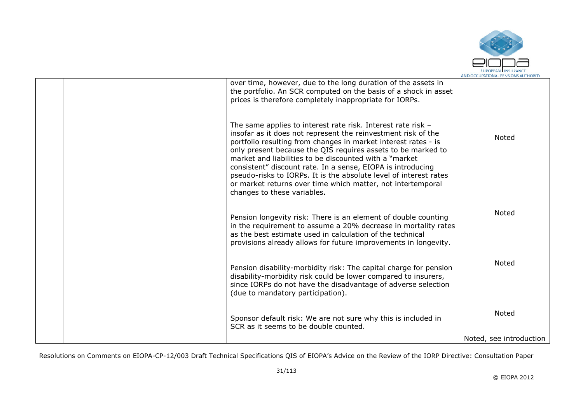

|  | over time, however, due to the long duration of the assets in<br>the portfolio. An SCR computed on the basis of a shock in asset<br>prices is therefore completely inappropriate for IORPs.                                                                                                                                                                                                                                                                                                                                                                  |                         |
|--|--------------------------------------------------------------------------------------------------------------------------------------------------------------------------------------------------------------------------------------------------------------------------------------------------------------------------------------------------------------------------------------------------------------------------------------------------------------------------------------------------------------------------------------------------------------|-------------------------|
|  | The same applies to interest rate risk. Interest rate risk -<br>insofar as it does not represent the reinvestment risk of the<br>portfolio resulting from changes in market interest rates - is<br>only present because the QIS requires assets to be marked to<br>market and liabilities to be discounted with a "market"<br>consistent" discount rate. In a sense, EIOPA is introducing<br>pseudo-risks to IORPs. It is the absolute level of interest rates<br>or market returns over time which matter, not intertemporal<br>changes to these variables. | Noted                   |
|  | Pension longevity risk: There is an element of double counting<br>in the requirement to assume a 20% decrease in mortality rates<br>as the best estimate used in calculation of the technical<br>provisions already allows for future improvements in longevity.                                                                                                                                                                                                                                                                                             | <b>Noted</b>            |
|  | Pension disability-morbidity risk: The capital charge for pension<br>disability-morbidity risk could be lower compared to insurers,<br>since IORPs do not have the disadvantage of adverse selection<br>(due to mandatory participation).                                                                                                                                                                                                                                                                                                                    | <b>Noted</b>            |
|  | Sponsor default risk: We are not sure why this is included in<br>SCR as it seems to be double counted.                                                                                                                                                                                                                                                                                                                                                                                                                                                       | <b>Noted</b>            |
|  |                                                                                                                                                                                                                                                                                                                                                                                                                                                                                                                                                              | Noted, see introduction |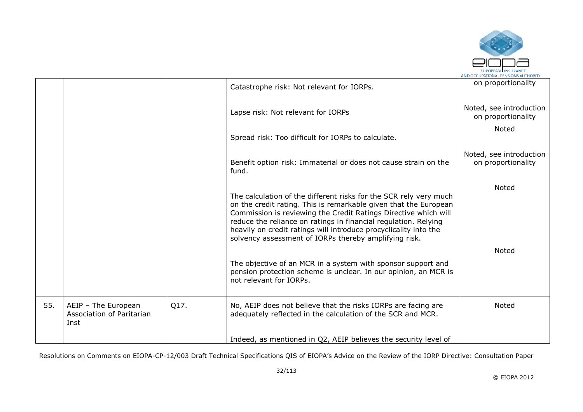

|     |                                                          |      | Catastrophe risk: Not relevant for IORPs.                                                                                                                                                                                                                                                                                                                                                                | on proportionality                            |
|-----|----------------------------------------------------------|------|----------------------------------------------------------------------------------------------------------------------------------------------------------------------------------------------------------------------------------------------------------------------------------------------------------------------------------------------------------------------------------------------------------|-----------------------------------------------|
|     |                                                          |      | Lapse risk: Not relevant for IORPs                                                                                                                                                                                                                                                                                                                                                                       | Noted, see introduction<br>on proportionality |
|     |                                                          |      | Spread risk: Too difficult for IORPs to calculate.                                                                                                                                                                                                                                                                                                                                                       | Noted                                         |
|     |                                                          |      | Benefit option risk: Immaterial or does not cause strain on the<br>fund.                                                                                                                                                                                                                                                                                                                                 | Noted, see introduction<br>on proportionality |
|     |                                                          |      | The calculation of the different risks for the SCR rely very much<br>on the credit rating. This is remarkable given that the European<br>Commission is reviewing the Credit Ratings Directive which will<br>reduce the reliance on ratings in financial regulation. Relying<br>heavily on credit ratings will introduce procyclicality into the<br>solvency assessment of IORPs thereby amplifying risk. | Noted                                         |
|     |                                                          |      | The objective of an MCR in a system with sponsor support and<br>pension protection scheme is unclear. In our opinion, an MCR is<br>not relevant for IORPs.                                                                                                                                                                                                                                               | <b>Noted</b>                                  |
| 55. | AEIP - The European<br>Association of Paritarian<br>Inst | Q17. | No, AEIP does not believe that the risks IORPs are facing are<br>adequately reflected in the calculation of the SCR and MCR.                                                                                                                                                                                                                                                                             | <b>Noted</b>                                  |
|     |                                                          |      | Indeed, as mentioned in Q2, AEIP believes the security level of                                                                                                                                                                                                                                                                                                                                          |                                               |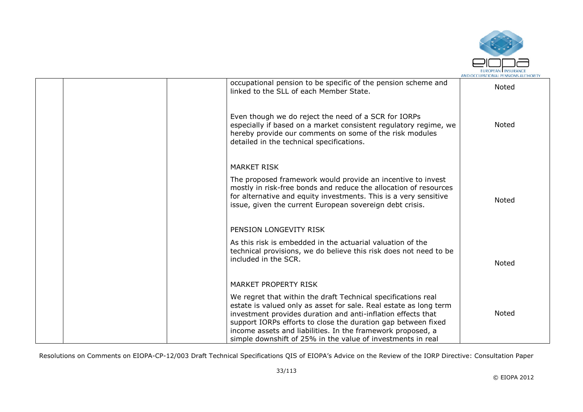

| occupational pension to be specific of the pension scheme and<br>linked to the SLL of each Member State.                                                                                                                                                                                                                                                                                          | Noted |
|---------------------------------------------------------------------------------------------------------------------------------------------------------------------------------------------------------------------------------------------------------------------------------------------------------------------------------------------------------------------------------------------------|-------|
| Even though we do reject the need of a SCR for IORPs<br>especially if based on a market consistent regulatory regime, we<br>hereby provide our comments on some of the risk modules<br>detailed in the technical specifications.                                                                                                                                                                  | Noted |
| <b>MARKET RISK</b>                                                                                                                                                                                                                                                                                                                                                                                |       |
| The proposed framework would provide an incentive to invest<br>mostly in risk-free bonds and reduce the allocation of resources<br>for alternative and equity investments. This is a very sensitive<br>issue, given the current European sovereign debt crisis.                                                                                                                                   | Noted |
| PENSION LONGEVITY RISK                                                                                                                                                                                                                                                                                                                                                                            |       |
| As this risk is embedded in the actuarial valuation of the<br>technical provisions, we do believe this risk does not need to be<br>included in the SCR.                                                                                                                                                                                                                                           | Noted |
| <b>MARKET PROPERTY RISK</b>                                                                                                                                                                                                                                                                                                                                                                       |       |
| We regret that within the draft Technical specifications real<br>estate is valued only as asset for sale. Real estate as long term<br>investment provides duration and anti-inflation effects that<br>support IORPs efforts to close the duration gap between fixed<br>income assets and liabilities. In the framework proposed, a<br>simple downshift of 25% in the value of investments in real | Noted |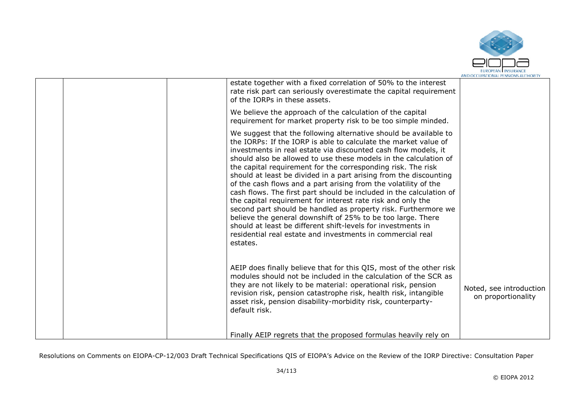

| estate together with a fixed correlation of 50% to the interest<br>rate risk part can seriously overestimate the capital requirement<br>of the IORPs in these assets.<br>We believe the approach of the calculation of the capital<br>requirement for market property risk to be too simple minded.                                                                                                                                                                                                                                                                                                                                                                                                                                                                                                                                                                                                |                                               |
|----------------------------------------------------------------------------------------------------------------------------------------------------------------------------------------------------------------------------------------------------------------------------------------------------------------------------------------------------------------------------------------------------------------------------------------------------------------------------------------------------------------------------------------------------------------------------------------------------------------------------------------------------------------------------------------------------------------------------------------------------------------------------------------------------------------------------------------------------------------------------------------------------|-----------------------------------------------|
| We suggest that the following alternative should be available to<br>the IORPs: If the IORP is able to calculate the market value of<br>investments in real estate via discounted cash flow models, it<br>should also be allowed to use these models in the calculation of<br>the capital requirement for the corresponding risk. The risk<br>should at least be divided in a part arising from the discounting<br>of the cash flows and a part arising from the volatility of the<br>cash flows. The first part should be included in the calculation of<br>the capital requirement for interest rate risk and only the<br>second part should be handled as property risk. Furthermore we<br>believe the general downshift of 25% to be too large. There<br>should at least be different shift-levels for investments in<br>residential real estate and investments in commercial real<br>estates. |                                               |
| AEIP does finally believe that for this QIS, most of the other risk<br>modules should not be included in the calculation of the SCR as<br>they are not likely to be material: operational risk, pension<br>revision risk, pension catastrophe risk, health risk, intangible<br>asset risk, pension disability-morbidity risk, counterparty-<br>default risk.<br>Finally AEIP regrets that the proposed formulas heavily rely on                                                                                                                                                                                                                                                                                                                                                                                                                                                                    | Noted, see introduction<br>on proportionality |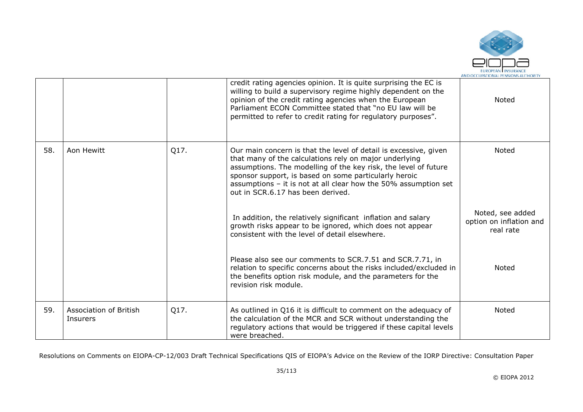

|     |                                           |      | credit rating agencies opinion. It is quite surprising the EC is<br>willing to build a supervisory regime highly dependent on the<br>opinion of the credit rating agencies when the European<br>Parliament ECON Committee stated that "no EU law will be<br>permitted to refer to credit rating for regulatory purposes".                                      | <b>Noted</b>                                             |
|-----|-------------------------------------------|------|----------------------------------------------------------------------------------------------------------------------------------------------------------------------------------------------------------------------------------------------------------------------------------------------------------------------------------------------------------------|----------------------------------------------------------|
| 58. | Aon Hewitt                                | Q17. | Our main concern is that the level of detail is excessive, given<br>that many of the calculations rely on major underlying<br>assumptions. The modelling of the key risk, the level of future<br>sponsor support, is based on some particularly heroic<br>assumptions - it is not at all clear how the 50% assumption set<br>out in SCR.6.17 has been derived. | <b>Noted</b>                                             |
|     |                                           |      | In addition, the relatively significant inflation and salary<br>growth risks appear to be ignored, which does not appear<br>consistent with the level of detail elsewhere.                                                                                                                                                                                     | Noted, see added<br>option on inflation and<br>real rate |
|     |                                           |      | Please also see our comments to SCR.7.51 and SCR.7.71, in<br>relation to specific concerns about the risks included/excluded in<br>the benefits option risk module, and the parameters for the<br>revision risk module.                                                                                                                                        | <b>Noted</b>                                             |
| 59. | <b>Association of British</b><br>Insurers | Q17. | As outlined in Q16 it is difficult to comment on the adequacy of<br>the calculation of the MCR and SCR without understanding the<br>regulatory actions that would be triggered if these capital levels<br>were breached.                                                                                                                                       | <b>Noted</b>                                             |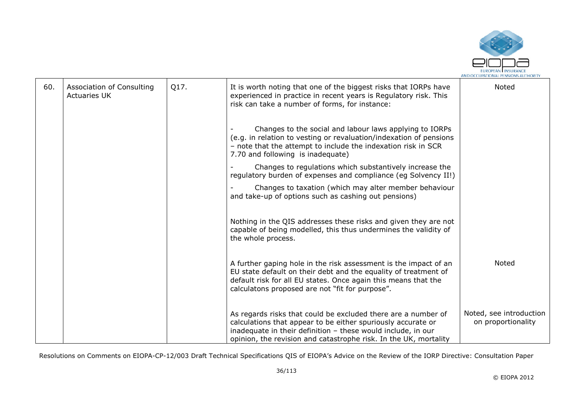

| 60. | Association of Consulting<br><b>Actuaries UK</b> | Q17. | It is worth noting that one of the biggest risks that IORPs have<br>experienced in practice in recent years is Regulatory risk. This<br>risk can take a number of forms, for instance:                                                                            | Noted                                         |
|-----|--------------------------------------------------|------|-------------------------------------------------------------------------------------------------------------------------------------------------------------------------------------------------------------------------------------------------------------------|-----------------------------------------------|
|     |                                                  |      | Changes to the social and labour laws applying to IORPs<br>(e.g. in relation to vesting or revaluation/indexation of pensions<br>- note that the attempt to include the indexation risk in SCR<br>7.70 and following is inadequate)                               |                                               |
|     |                                                  |      | Changes to regulations which substantively increase the<br>regulatory burden of expenses and compliance (eg Solvency II!)                                                                                                                                         |                                               |
|     |                                                  |      | Changes to taxation (which may alter member behaviour<br>and take-up of options such as cashing out pensions)                                                                                                                                                     |                                               |
|     |                                                  |      | Nothing in the QIS addresses these risks and given they are not<br>capable of being modelled, this thus undermines the validity of<br>the whole process.                                                                                                          |                                               |
|     |                                                  |      | A further gaping hole in the risk assessment is the impact of an<br>EU state default on their debt and the equality of treatment of<br>default risk for all EU states. Once again this means that the<br>calculatons proposed are not "fit for purpose".          | Noted                                         |
|     |                                                  |      | As regards risks that could be excluded there are a number of<br>calculations that appear to be either spuriously accurate or<br>inadequate in their definition - these would include, in our<br>opinion, the revision and catastrophe risk. In the UK, mortality | Noted, see introduction<br>on proportionality |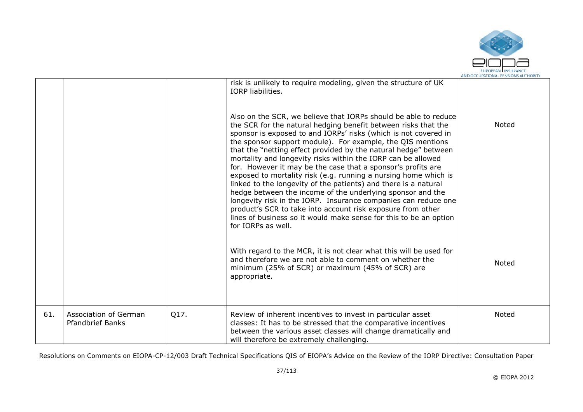

|     |                                                  |      | risk is unlikely to require modeling, given the structure of UK<br><b>IORP</b> liabilities.<br>Also on the SCR, we believe that IORPs should be able to reduce<br>the SCR for the natural hedging benefit between risks that the<br>sponsor is exposed to and IORPs' risks (which is not covered in<br>the sponsor support module). For example, the QIS mentions<br>that the "netting effect provided by the natural hedge" between<br>mortality and longevity risks within the IORP can be allowed<br>for. However it may be the case that a sponsor's profits are<br>exposed to mortality risk (e.g. running a nursing home which is<br>linked to the longevity of the patients) and there is a natural<br>hedge between the income of the underlying sponsor and the | Noted        |
|-----|--------------------------------------------------|------|--------------------------------------------------------------------------------------------------------------------------------------------------------------------------------------------------------------------------------------------------------------------------------------------------------------------------------------------------------------------------------------------------------------------------------------------------------------------------------------------------------------------------------------------------------------------------------------------------------------------------------------------------------------------------------------------------------------------------------------------------------------------------|--------------|
|     |                                                  |      | longevity risk in the IORP. Insurance companies can reduce one<br>product's SCR to take into account risk exposure from other<br>lines of business so it would make sense for this to be an option<br>for IORPs as well.                                                                                                                                                                                                                                                                                                                                                                                                                                                                                                                                                 |              |
|     |                                                  |      | With regard to the MCR, it is not clear what this will be used for<br>and therefore we are not able to comment on whether the<br>minimum (25% of SCR) or maximum (45% of SCR) are<br>appropriate.                                                                                                                                                                                                                                                                                                                                                                                                                                                                                                                                                                        | Noted        |
| 61. | Association of German<br><b>Pfandbrief Banks</b> | Q17. | Review of inherent incentives to invest in particular asset<br>classes: It has to be stressed that the comparative incentives<br>between the various asset classes will change dramatically and<br>will therefore be extremely challenging.                                                                                                                                                                                                                                                                                                                                                                                                                                                                                                                              | <b>Noted</b> |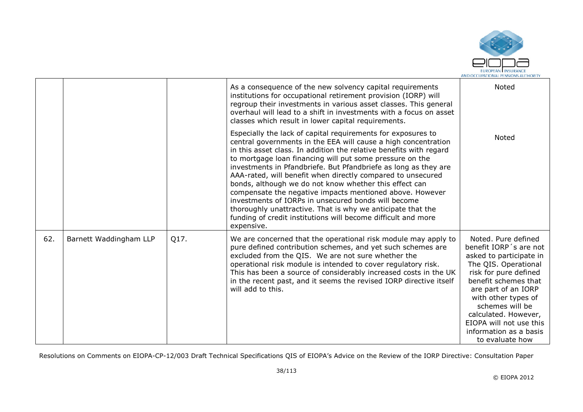

|     |                        |      | As a consequence of the new solvency capital requirements<br>institutions for occupational retirement provision (IORP) will<br>regroup their investments in various asset classes. This general<br>overhaul will lead to a shift in investments with a focus on asset<br>classes which result in lower capital requirements.                                                                                                                                                                                                                                                                                                                                                                                                  | Noted                                                                                                                                                                                                                                                                                                              |
|-----|------------------------|------|-------------------------------------------------------------------------------------------------------------------------------------------------------------------------------------------------------------------------------------------------------------------------------------------------------------------------------------------------------------------------------------------------------------------------------------------------------------------------------------------------------------------------------------------------------------------------------------------------------------------------------------------------------------------------------------------------------------------------------|--------------------------------------------------------------------------------------------------------------------------------------------------------------------------------------------------------------------------------------------------------------------------------------------------------------------|
|     |                        |      | Especially the lack of capital requirements for exposures to<br>central governments in the EEA will cause a high concentration<br>in this asset class. In addition the relative benefits with regard<br>to mortgage loan financing will put some pressure on the<br>investments in Pfandbriefe. But Pfandbriefe as long as they are<br>AAA-rated, will benefit when directly compared to unsecured<br>bonds, although we do not know whether this effect can<br>compensate the negative impacts mentioned above. However<br>investments of IORPs in unsecured bonds will become<br>thoroughly unattractive. That is why we anticipate that the<br>funding of credit institutions will become difficult and more<br>expensive. | Noted                                                                                                                                                                                                                                                                                                              |
| 62. | Barnett Waddingham LLP | Q17. | We are concerned that the operational risk module may apply to<br>pure defined contribution schemes, and yet such schemes are<br>excluded from the QIS. We are not sure whether the<br>operational risk module is intended to cover regulatory risk.<br>This has been a source of considerably increased costs in the UK<br>in the recent past, and it seems the revised IORP directive itself<br>will add to this.                                                                                                                                                                                                                                                                                                           | Noted, Pure defined<br>benefit IORP's are not<br>asked to participate in<br>The QIS. Operational<br>risk for pure defined<br>benefit schemes that<br>are part of an IORP<br>with other types of<br>schemes will be<br>calculated. However,<br>EIOPA will not use this<br>information as a basis<br>to evaluate how |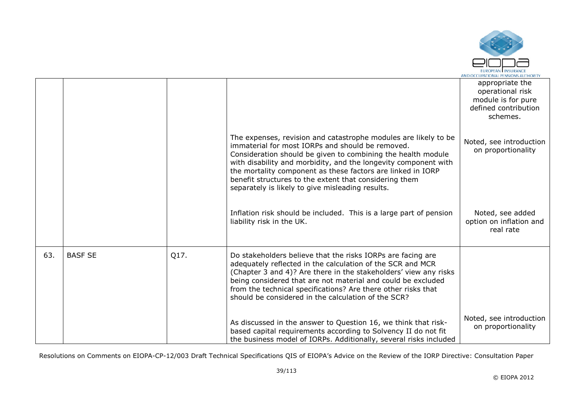

|     |                |      |                                                                                                                                                                                                                                                                                                                                                                                                                                     | appropriate the<br>operational risk<br>module is for pure<br>defined contribution<br>schemes. |
|-----|----------------|------|-------------------------------------------------------------------------------------------------------------------------------------------------------------------------------------------------------------------------------------------------------------------------------------------------------------------------------------------------------------------------------------------------------------------------------------|-----------------------------------------------------------------------------------------------|
|     |                |      | The expenses, revision and catastrophe modules are likely to be<br>immaterial for most IORPs and should be removed.<br>Consideration should be given to combining the health module<br>with disability and morbidity, and the longevity component with<br>the mortality component as these factors are linked in IORP<br>benefit structures to the extent that considering them<br>separately is likely to give misleading results. | Noted, see introduction<br>on proportionality                                                 |
|     |                |      | Inflation risk should be included. This is a large part of pension<br>liability risk in the UK.                                                                                                                                                                                                                                                                                                                                     | Noted, see added<br>option on inflation and<br>real rate                                      |
| 63. | <b>BASF SE</b> | Q17. | Do stakeholders believe that the risks IORPs are facing are<br>adequately reflected in the calculation of the SCR and MCR<br>(Chapter 3 and 4)? Are there in the stakeholders' view any risks<br>being considered that are not material and could be excluded<br>from the technical specifications? Are there other risks that<br>should be considered in the calculation of the SCR?                                               |                                                                                               |
|     |                |      | As discussed in the answer to Question 16, we think that risk-<br>based capital requirements according to Solvency II do not fit<br>the business model of IORPs. Additionally, several risks included                                                                                                                                                                                                                               | Noted, see introduction<br>on proportionality                                                 |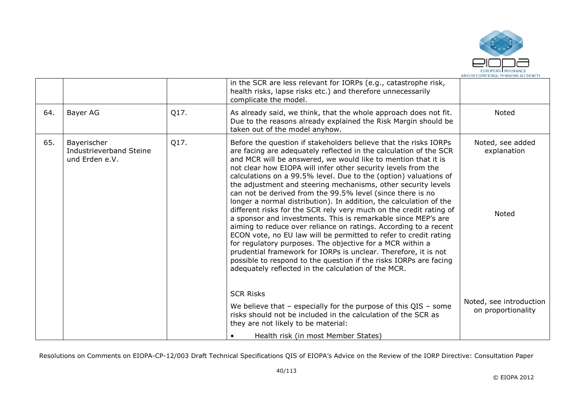

| 64.<br>65. | Bayer AG                                                 |      |                                                                                                                                                                                                                                                                                                                                                                                                                                                                                                                                                                                                                                                                                                                                                                                                                                                                                                                                                                                                                                                                                             |                                               |
|------------|----------------------------------------------------------|------|---------------------------------------------------------------------------------------------------------------------------------------------------------------------------------------------------------------------------------------------------------------------------------------------------------------------------------------------------------------------------------------------------------------------------------------------------------------------------------------------------------------------------------------------------------------------------------------------------------------------------------------------------------------------------------------------------------------------------------------------------------------------------------------------------------------------------------------------------------------------------------------------------------------------------------------------------------------------------------------------------------------------------------------------------------------------------------------------|-----------------------------------------------|
|            |                                                          | Q17. | As already said, we think, that the whole approach does not fit.<br>Due to the reasons already explained the Risk Margin should be<br>taken out of the model anyhow.                                                                                                                                                                                                                                                                                                                                                                                                                                                                                                                                                                                                                                                                                                                                                                                                                                                                                                                        | Noted                                         |
|            | Bayerischer<br>Industrieverband Steine<br>und Erden e.V. | Q17. | Before the question if stakeholders believe that the risks IORPs<br>are facing are adequately reflected in the calculation of the SCR<br>and MCR will be answered, we would like to mention that it is<br>not clear how EIOPA will infer other security levels from the<br>calculations on a 99.5% level. Due to the (option) valuations of<br>the adjustment and steering mechanisms, other security levels<br>can not be derived from the 99.5% level (since there is no<br>longer a normal distribution). In addition, the calculation of the<br>different risks for the SCR rely very much on the credit rating of<br>a sponsor and investments. This is remarkable since MEP's are<br>aiming to reduce over reliance on ratings. According to a recent<br>ECON vote, no EU law will be permitted to refer to credit rating<br>for regulatory purposes. The objective for a MCR within a<br>prudential framework for IORPs is unclear. Therefore, it is not<br>possible to respond to the question if the risks IORPs are facing<br>adequately reflected in the calculation of the MCR. | Noted, see added<br>explanation<br>Noted      |
|            |                                                          |      | <b>SCR Risks</b><br>We believe that $-$ especially for the purpose of this QIS $-$ some<br>risks should not be included in the calculation of the SCR as<br>they are not likely to be material:<br>Health risk (in most Member States)                                                                                                                                                                                                                                                                                                                                                                                                                                                                                                                                                                                                                                                                                                                                                                                                                                                      | Noted, see introduction<br>on proportionality |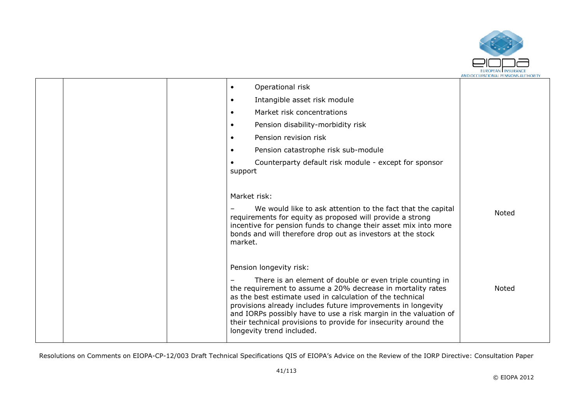

|  | Operational risk<br>$\bullet$                                                                                                                                                                                                                                                                                                                                                                                            |              |
|--|--------------------------------------------------------------------------------------------------------------------------------------------------------------------------------------------------------------------------------------------------------------------------------------------------------------------------------------------------------------------------------------------------------------------------|--------------|
|  | Intangible asset risk module<br>$\bullet$                                                                                                                                                                                                                                                                                                                                                                                |              |
|  | Market risk concentrations<br>$\bullet$                                                                                                                                                                                                                                                                                                                                                                                  |              |
|  | Pension disability-morbidity risk<br>$\bullet$                                                                                                                                                                                                                                                                                                                                                                           |              |
|  | Pension revision risk<br>$\bullet$                                                                                                                                                                                                                                                                                                                                                                                       |              |
|  | Pension catastrophe risk sub-module<br>$\bullet$                                                                                                                                                                                                                                                                                                                                                                         |              |
|  | Counterparty default risk module - except for sponsor<br>support                                                                                                                                                                                                                                                                                                                                                         |              |
|  | Market risk:                                                                                                                                                                                                                                                                                                                                                                                                             |              |
|  | We would like to ask attention to the fact that the capital<br>requirements for equity as proposed will provide a strong<br>incentive for pension funds to change their asset mix into more<br>bonds and will therefore drop out as investors at the stock<br>market.                                                                                                                                                    | Noted        |
|  | Pension longevity risk:                                                                                                                                                                                                                                                                                                                                                                                                  |              |
|  | There is an element of double or even triple counting in<br>the requirement to assume a 20% decrease in mortality rates<br>as the best estimate used in calculation of the technical<br>provisions already includes future improvements in longevity<br>and IORPs possibly have to use a risk margin in the valuation of<br>their technical provisions to provide for insecurity around the<br>longevity trend included. | <b>Noted</b> |
|  |                                                                                                                                                                                                                                                                                                                                                                                                                          |              |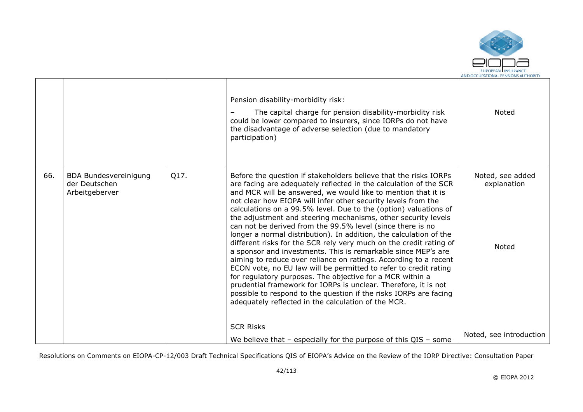

|     |                                                                 |      | Pension disability-morbidity risk:<br>The capital charge for pension disability-morbidity risk<br>could be lower compared to insurers, since IORPs do not have<br>the disadvantage of adverse selection (due to mandatory<br>participation)                                                                                                                                                                                                                                                                                                                                                                                                                                                                                                                                                                                                                                                                                                                                                                                                                                                 | <b>Noted</b>                                    |
|-----|-----------------------------------------------------------------|------|---------------------------------------------------------------------------------------------------------------------------------------------------------------------------------------------------------------------------------------------------------------------------------------------------------------------------------------------------------------------------------------------------------------------------------------------------------------------------------------------------------------------------------------------------------------------------------------------------------------------------------------------------------------------------------------------------------------------------------------------------------------------------------------------------------------------------------------------------------------------------------------------------------------------------------------------------------------------------------------------------------------------------------------------------------------------------------------------|-------------------------------------------------|
| 66. | <b>BDA Bundesvereinigung</b><br>der Deutschen<br>Arbeitgeberver | Q17. | Before the question if stakeholders believe that the risks IORPs<br>are facing are adequately reflected in the calculation of the SCR<br>and MCR will be answered, we would like to mention that it is<br>not clear how EIOPA will infer other security levels from the<br>calculations on a 99.5% level. Due to the (option) valuations of<br>the adjustment and steering mechanisms, other security levels<br>can not be derived from the 99.5% level (since there is no<br>longer a normal distribution). In addition, the calculation of the<br>different risks for the SCR rely very much on the credit rating of<br>a sponsor and investments. This is remarkable since MEP's are<br>aiming to reduce over reliance on ratings. According to a recent<br>ECON vote, no EU law will be permitted to refer to credit rating<br>for regulatory purposes. The objective for a MCR within a<br>prudential framework for IORPs is unclear. Therefore, it is not<br>possible to respond to the question if the risks IORPs are facing<br>adequately reflected in the calculation of the MCR. | Noted, see added<br>explanation<br><b>Noted</b> |
|     |                                                                 |      | <b>SCR Risks</b><br>We believe that $-$ especially for the purpose of this QIS $-$ some                                                                                                                                                                                                                                                                                                                                                                                                                                                                                                                                                                                                                                                                                                                                                                                                                                                                                                                                                                                                     | Noted, see introduction                         |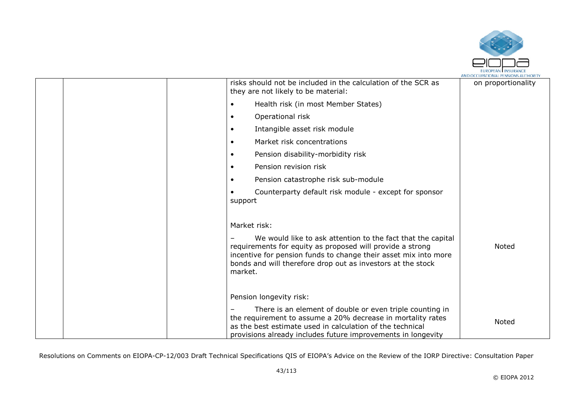

|  | risks should not be included in the calculation of the SCR as<br>they are not likely to be material:                                                                                                                                                 | on proportionality |
|--|------------------------------------------------------------------------------------------------------------------------------------------------------------------------------------------------------------------------------------------------------|--------------------|
|  | Health risk (in most Member States)                                                                                                                                                                                                                  |                    |
|  | Operational risk<br>$\bullet$                                                                                                                                                                                                                        |                    |
|  | Intangible asset risk module<br>$\bullet$                                                                                                                                                                                                            |                    |
|  | Market risk concentrations<br>$\bullet$                                                                                                                                                                                                              |                    |
|  | Pension disability-morbidity risk<br>$\bullet$                                                                                                                                                                                                       |                    |
|  | Pension revision risk<br>$\bullet$                                                                                                                                                                                                                   |                    |
|  | Pension catastrophe risk sub-module<br>$\bullet$                                                                                                                                                                                                     |                    |
|  | Counterparty default risk module - except for sponsor<br>support                                                                                                                                                                                     |                    |
|  | Market risk:<br>We would like to ask attention to the fact that the capital<br>requirements for equity as proposed will provide a strong                                                                                                             | <b>Noted</b>       |
|  | incentive for pension funds to change their asset mix into more<br>bonds and will therefore drop out as investors at the stock<br>market.                                                                                                            |                    |
|  | Pension longevity risk:                                                                                                                                                                                                                              |                    |
|  | There is an element of double or even triple counting in<br>the requirement to assume a 20% decrease in mortality rates<br>as the best estimate used in calculation of the technical<br>provisions already includes future improvements in longevity | Noted              |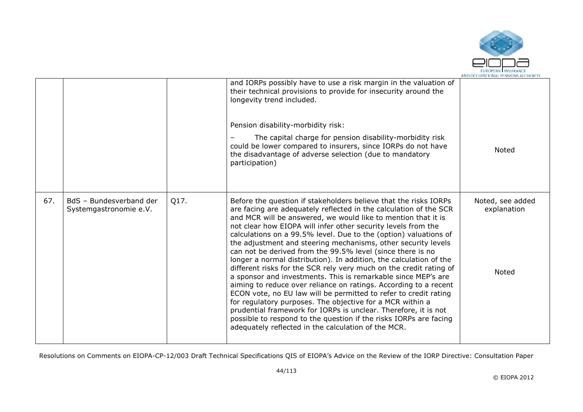

|     |                                                   |      | and IORPs possibly have to use a risk margin in the valuation of<br>their technical provisions to provide for insecurity around the<br>longevity trend included.<br>Pension disability-morbidity risk:<br>The capital charge for pension disability-morbidity risk<br>could be lower compared to insurers, since IORPs do not have<br>the disadvantage of adverse selection (due to mandatory<br>participation)                                                                                                                                                                                                                                                                                                                                                                                                                                                                                                                                                                                                                                                                             | <b>Noted</b>                             |
|-----|---------------------------------------------------|------|---------------------------------------------------------------------------------------------------------------------------------------------------------------------------------------------------------------------------------------------------------------------------------------------------------------------------------------------------------------------------------------------------------------------------------------------------------------------------------------------------------------------------------------------------------------------------------------------------------------------------------------------------------------------------------------------------------------------------------------------------------------------------------------------------------------------------------------------------------------------------------------------------------------------------------------------------------------------------------------------------------------------------------------------------------------------------------------------|------------------------------------------|
| 67. | BdS - Bundesverband der<br>Systemgastronomie e.V. | Q17. | Before the question if stakeholders believe that the risks IORPs<br>are facing are adequately reflected in the calculation of the SCR<br>and MCR will be answered, we would like to mention that it is<br>not clear how EIOPA will infer other security levels from the<br>calculations on a 99.5% level. Due to the (option) valuations of<br>the adjustment and steering mechanisms, other security levels<br>can not be derived from the 99.5% level (since there is no<br>longer a normal distribution). In addition, the calculation of the<br>different risks for the SCR rely very much on the credit rating of<br>a sponsor and investments. This is remarkable since MEP's are<br>aiming to reduce over reliance on ratings. According to a recent<br>ECON vote, no EU law will be permitted to refer to credit rating<br>for regulatory purposes. The objective for a MCR within a<br>prudential framework for IORPs is unclear. Therefore, it is not<br>possible to respond to the question if the risks IORPs are facing<br>adequately reflected in the calculation of the MCR. | Noted, see added<br>explanation<br>Noted |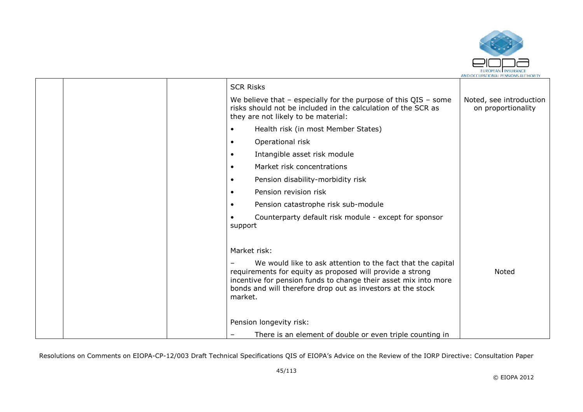

|  | <b>SCR Risks</b>                                                                                                                                                                                                                                                      |                                               |
|--|-----------------------------------------------------------------------------------------------------------------------------------------------------------------------------------------------------------------------------------------------------------------------|-----------------------------------------------|
|  | We believe that $-$ especially for the purpose of this QIS $-$ some<br>risks should not be included in the calculation of the SCR as<br>they are not likely to be material:                                                                                           | Noted, see introduction<br>on proportionality |
|  | Health risk (in most Member States)<br>$\bullet$                                                                                                                                                                                                                      |                                               |
|  | Operational risk<br>$\bullet$                                                                                                                                                                                                                                         |                                               |
|  | Intangible asset risk module<br>$\bullet$                                                                                                                                                                                                                             |                                               |
|  | Market risk concentrations<br>$\bullet$                                                                                                                                                                                                                               |                                               |
|  | Pension disability-morbidity risk<br>$\bullet$                                                                                                                                                                                                                        |                                               |
|  | Pension revision risk<br>$\bullet$                                                                                                                                                                                                                                    |                                               |
|  | Pension catastrophe risk sub-module<br>$\bullet$                                                                                                                                                                                                                      |                                               |
|  | Counterparty default risk module - except for sponsor<br>support                                                                                                                                                                                                      |                                               |
|  | Market risk:                                                                                                                                                                                                                                                          |                                               |
|  | We would like to ask attention to the fact that the capital<br>requirements for equity as proposed will provide a strong<br>incentive for pension funds to change their asset mix into more<br>bonds and will therefore drop out as investors at the stock<br>market. | <b>Noted</b>                                  |
|  | Pension longevity risk:                                                                                                                                                                                                                                               |                                               |
|  | There is an element of double or even triple counting in<br>-                                                                                                                                                                                                         |                                               |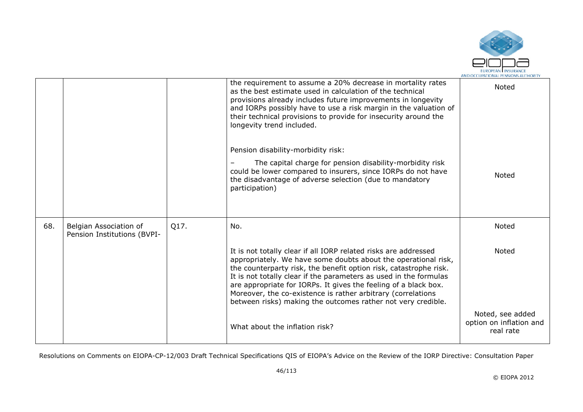

|     |                                                       |      | the requirement to assume a 20% decrease in mortality rates<br>as the best estimate used in calculation of the technical<br>provisions already includes future improvements in longevity<br>and IORPs possibly have to use a risk margin in the valuation of<br>their technical provisions to provide for insecurity around the<br>longevity trend included.                                                                                                                   | Noted                                                    |
|-----|-------------------------------------------------------|------|--------------------------------------------------------------------------------------------------------------------------------------------------------------------------------------------------------------------------------------------------------------------------------------------------------------------------------------------------------------------------------------------------------------------------------------------------------------------------------|----------------------------------------------------------|
|     |                                                       |      | Pension disability-morbidity risk:<br>The capital charge for pension disability-morbidity risk<br>could be lower compared to insurers, since IORPs do not have<br>the disadvantage of adverse selection (due to mandatory                                                                                                                                                                                                                                                      | Noted                                                    |
|     |                                                       |      | participation)                                                                                                                                                                                                                                                                                                                                                                                                                                                                 |                                                          |
| 68. | Belgian Association of<br>Pension Institutions (BVPI- | Q17. | No.                                                                                                                                                                                                                                                                                                                                                                                                                                                                            | Noted                                                    |
|     |                                                       |      | It is not totally clear if all IORP related risks are addressed<br>appropriately. We have some doubts about the operational risk,<br>the counterparty risk, the benefit option risk, catastrophe risk.<br>It is not totally clear if the parameters as used in the formulas<br>are appropriate for IORPs. It gives the feeling of a black box.<br>Moreover, the co-existence is rather arbitrary (correlations<br>between risks) making the outcomes rather not very credible. | <b>Noted</b>                                             |
|     |                                                       |      | What about the inflation risk?                                                                                                                                                                                                                                                                                                                                                                                                                                                 | Noted, see added<br>option on inflation and<br>real rate |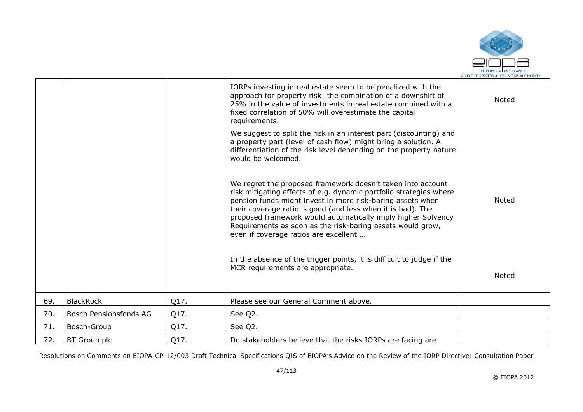

|     |                        |      | IORPs investing in real estate seem to be penalized with the<br>approach for property risk: the combination of a downshift of<br>25% in the value of investments in real estate combined with a<br>fixed correlation of 50% will overestimate the capital<br>requirements.                                                                                                                                                            | <b>Noted</b> |
|-----|------------------------|------|---------------------------------------------------------------------------------------------------------------------------------------------------------------------------------------------------------------------------------------------------------------------------------------------------------------------------------------------------------------------------------------------------------------------------------------|--------------|
|     |                        |      | We suggest to split the risk in an interest part (discounting) and<br>a property part (level of cash flow) might bring a solution. A<br>differentiation of the risk level depending on the property nature<br>would be welcomed.                                                                                                                                                                                                      |              |
|     |                        |      | We regret the proposed framework doesn't taken into account<br>risk mitigating effects of e.g. dynamic portfolio strategies where<br>pension funds might invest in more risk-baring assets when<br>their coverage ratio is good (and less when it is bad). The<br>proposed framework would automatically imply higher Solvency<br>Requirements as soon as the risk-baring assets would grow,<br>even if coverage ratios are excellent | <b>Noted</b> |
|     |                        |      | In the absence of the trigger points, it is difficult to judge if the<br>MCR requirements are appropriate.                                                                                                                                                                                                                                                                                                                            | Noted        |
| 69. | <b>BlackRock</b>       | Q17. | Please see our General Comment above.                                                                                                                                                                                                                                                                                                                                                                                                 |              |
| 70. | Bosch Pensionsfonds AG | Q17. | See Q2.                                                                                                                                                                                                                                                                                                                                                                                                                               |              |
| 71. | Bosch-Group            | Q17. | See Q2.                                                                                                                                                                                                                                                                                                                                                                                                                               |              |
| 72. | <b>BT</b> Group plc    | Q17. | Do stakeholders believe that the risks IORPs are facing are                                                                                                                                                                                                                                                                                                                                                                           |              |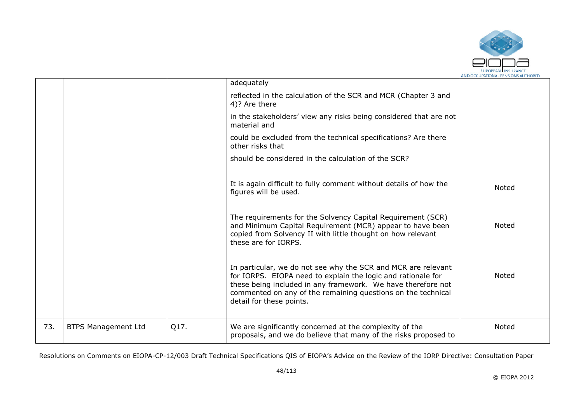

|     |                            |      | adequately                                                                                                                                                                                                                                                                                |              |
|-----|----------------------------|------|-------------------------------------------------------------------------------------------------------------------------------------------------------------------------------------------------------------------------------------------------------------------------------------------|--------------|
|     |                            |      | reflected in the calculation of the SCR and MCR (Chapter 3 and<br>4)? Are there                                                                                                                                                                                                           |              |
|     |                            |      | in the stakeholders' view any risks being considered that are not<br>material and                                                                                                                                                                                                         |              |
|     |                            |      | could be excluded from the technical specifications? Are there<br>other risks that                                                                                                                                                                                                        |              |
|     |                            |      | should be considered in the calculation of the SCR?                                                                                                                                                                                                                                       |              |
|     |                            |      | It is again difficult to fully comment without details of how the<br>figures will be used.                                                                                                                                                                                                | Noted        |
|     |                            |      | The requirements for the Solvency Capital Requirement (SCR)<br>and Minimum Capital Requirement (MCR) appear to have been<br>copied from Solvency II with little thought on how relevant<br>these are for IORPS.                                                                           | <b>Noted</b> |
|     |                            |      | In particular, we do not see why the SCR and MCR are relevant<br>for IORPS. EIOPA need to explain the logic and rationale for<br>these being included in any framework. We have therefore not<br>commented on any of the remaining questions on the technical<br>detail for these points. | <b>Noted</b> |
| 73. | <b>BTPS Management Ltd</b> | Q17. | We are significantly concerned at the complexity of the<br>proposals, and we do believe that many of the risks proposed to                                                                                                                                                                | Noted        |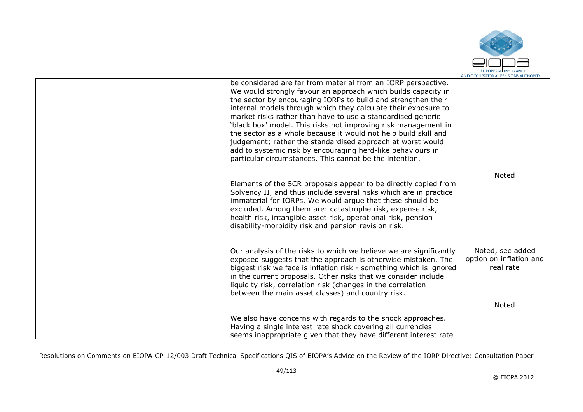

|  | be considered are far from material from an IORP perspective.<br>We would strongly favour an approach which builds capacity in<br>the sector by encouraging IORPs to build and strengthen their<br>internal models through which they calculate their exposure to<br>market risks rather than have to use a standardised generic<br>'black box' model. This risks not improving risk management in<br>the sector as a whole because it would not help build skill and<br>judgement; rather the standardised approach at worst would<br>add to systemic risk by encouraging herd-like behaviours in<br>particular circumstances. This cannot be the intention. |                                                          |
|--|---------------------------------------------------------------------------------------------------------------------------------------------------------------------------------------------------------------------------------------------------------------------------------------------------------------------------------------------------------------------------------------------------------------------------------------------------------------------------------------------------------------------------------------------------------------------------------------------------------------------------------------------------------------|----------------------------------------------------------|
|  | Elements of the SCR proposals appear to be directly copied from<br>Solvency II, and thus include several risks which are in practice<br>immaterial for IORPs. We would argue that these should be<br>excluded. Among them are: catastrophe risk, expense risk,<br>health risk, intangible asset risk, operational risk, pension<br>disability-morbidity risk and pension revision risk.                                                                                                                                                                                                                                                                       | Noted                                                    |
|  | Our analysis of the risks to which we believe we are significantly<br>exposed suggests that the approach is otherwise mistaken. The<br>biggest risk we face is inflation risk - something which is ignored<br>in the current proposals. Other risks that we consider include<br>liquidity risk, correlation risk (changes in the correlation<br>between the main asset classes) and country risk.                                                                                                                                                                                                                                                             | Noted, see added<br>option on inflation and<br>real rate |
|  |                                                                                                                                                                                                                                                                                                                                                                                                                                                                                                                                                                                                                                                               | Noted                                                    |
|  | We also have concerns with regards to the shock approaches.<br>Having a single interest rate shock covering all currencies<br>seems inappropriate given that they have different interest rate                                                                                                                                                                                                                                                                                                                                                                                                                                                                |                                                          |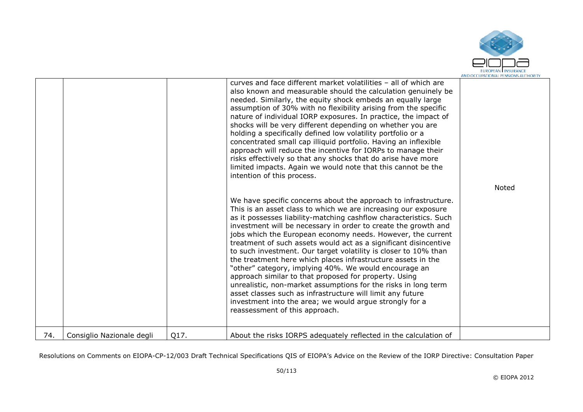

|     |                           |      | curves and face different market volatilities - all of which are<br>also known and measurable should the calculation genuinely be<br>needed. Similarly, the equity shock embeds an equally large<br>assumption of 30% with no flexibility arising from the specific<br>nature of individual IORP exposures. In practice, the impact of<br>shocks will be very different depending on whether you are<br>holding a specifically defined low volatility portfolio or a<br>concentrated small cap illiquid portfolio. Having an inflexible<br>approach will reduce the incentive for IORPs to manage their<br>risks effectively so that any shocks that do arise have more<br>limited impacts. Again we would note that this cannot be the<br>intention of this process.                                                                                                                         | Noted |
|-----|---------------------------|------|-----------------------------------------------------------------------------------------------------------------------------------------------------------------------------------------------------------------------------------------------------------------------------------------------------------------------------------------------------------------------------------------------------------------------------------------------------------------------------------------------------------------------------------------------------------------------------------------------------------------------------------------------------------------------------------------------------------------------------------------------------------------------------------------------------------------------------------------------------------------------------------------------|-------|
|     |                           |      | We have specific concerns about the approach to infrastructure.<br>This is an asset class to which we are increasing our exposure<br>as it possesses liability-matching cashflow characteristics. Such<br>investment will be necessary in order to create the growth and<br>jobs which the European economy needs. However, the current<br>treatment of such assets would act as a significant disincentive<br>to such investment. Our target volatility is closer to 10% than<br>the treatment here which places infrastructure assets in the<br>"other" category, implying 40%. We would encourage an<br>approach similar to that proposed for property. Using<br>unrealistic, non-market assumptions for the risks in long term<br>asset classes such as infrastructure will limit any future<br>investment into the area; we would argue strongly for a<br>reassessment of this approach. |       |
| 74. | Consiglio Nazionale degli | Q17. | About the risks IORPS adequately reflected in the calculation of                                                                                                                                                                                                                                                                                                                                                                                                                                                                                                                                                                                                                                                                                                                                                                                                                              |       |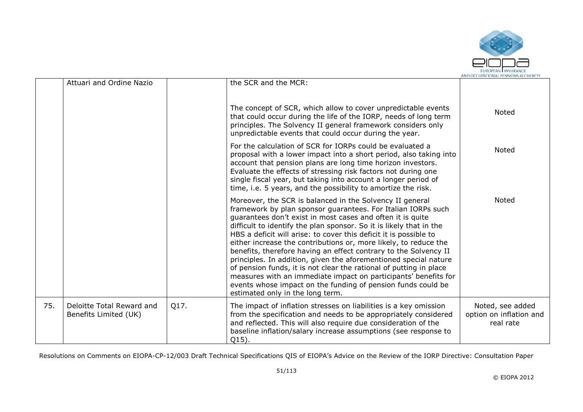

|     | Attuari and Ordine Nazio                           |      | the SCR and the MCR:                                                                                                                                                                                                                                                                                                                                                                                                                                                                                                                                                                                                                                                                                                                                                                        |                                                          |
|-----|----------------------------------------------------|------|---------------------------------------------------------------------------------------------------------------------------------------------------------------------------------------------------------------------------------------------------------------------------------------------------------------------------------------------------------------------------------------------------------------------------------------------------------------------------------------------------------------------------------------------------------------------------------------------------------------------------------------------------------------------------------------------------------------------------------------------------------------------------------------------|----------------------------------------------------------|
|     |                                                    |      | The concept of SCR, which allow to cover unpredictable events<br>that could occur during the life of the IORP, needs of long term<br>principles. The Solvency II general framework considers only<br>unpredictable events that could occur during the year.                                                                                                                                                                                                                                                                                                                                                                                                                                                                                                                                 | Noted                                                    |
|     |                                                    |      | For the calculation of SCR for IORPs could be evaluated a<br>proposal with a lower impact into a short period, also taking into<br>account that pension plans are long time horizon investors.<br>Evaluate the effects of stressing risk factors not during one<br>single fiscal year, but taking into account a longer period of<br>time, i.e. 5 years, and the possibility to amortize the risk.                                                                                                                                                                                                                                                                                                                                                                                          | Noted                                                    |
|     |                                                    |      | Moreover, the SCR is balanced in the Solvency II general<br>framework by plan sponsor guarantees. For Italian IORPs such<br>guarantees don't exist in most cases and often it is quite<br>difficult to identify the plan sponsor. So it is likely that in the<br>HBS a deficit will arise: to cover this deficit it is possible to<br>either increase the contributions or, more likely, to reduce the<br>benefits, therefore having an effect contrary to the Solvency II<br>principles. In addition, given the aforementioned special nature<br>of pension funds, it is not clear the rational of putting in place<br>measures with an immediate impact on participants' benefits for<br>events whose impact on the funding of pension funds could be<br>estimated only in the long term. | <b>Noted</b>                                             |
| 75. | Deloitte Total Reward and<br>Benefits Limited (UK) | Q17. | The impact of inflation stresses on liabilities is a key omission<br>from the specification and needs to be appropriately considered<br>and reflected. This will also require due consideration of the<br>baseline inflation/salary increase assumptions (see response to<br>Q15).                                                                                                                                                                                                                                                                                                                                                                                                                                                                                                          | Noted, see added<br>option on inflation and<br>real rate |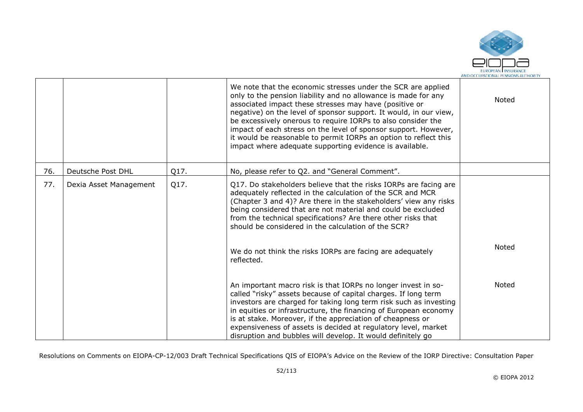

|     |                        |      | We note that the economic stresses under the SCR are applied<br>only to the pension liability and no allowance is made for any<br>associated impact these stresses may have (positive or<br>negative) on the level of sponsor support. It would, in our view,<br>be excessively onerous to require IORPs to also consider the<br>impact of each stress on the level of sponsor support. However,<br>it would be reasonable to permit IORPs an option to reflect this<br>impact where adequate supporting evidence is available. | <b>Noted</b> |
|-----|------------------------|------|---------------------------------------------------------------------------------------------------------------------------------------------------------------------------------------------------------------------------------------------------------------------------------------------------------------------------------------------------------------------------------------------------------------------------------------------------------------------------------------------------------------------------------|--------------|
| 76. | Deutsche Post DHL      | Q17. | No, please refer to Q2. and "General Comment".                                                                                                                                                                                                                                                                                                                                                                                                                                                                                  |              |
| 77. | Dexia Asset Management | Q17. | Q17. Do stakeholders believe that the risks IORPs are facing are<br>adequately reflected in the calculation of the SCR and MCR<br>(Chapter 3 and 4)? Are there in the stakeholders' view any risks<br>being considered that are not material and could be excluded<br>from the technical specifications? Are there other risks that<br>should be considered in the calculation of the SCR?                                                                                                                                      |              |
|     |                        |      | We do not think the risks IORPs are facing are adequately<br>reflected.                                                                                                                                                                                                                                                                                                                                                                                                                                                         | Noted        |
|     |                        |      | An important macro risk is that IORPs no longer invest in so-<br>called "risky" assets because of capital charges. If long term<br>investors are charged for taking long term risk such as investing<br>in equities or infrastructure, the financing of European economy<br>is at stake. Moreover, if the appreciation of cheapness or<br>expensiveness of assets is decided at regulatory level, market<br>disruption and bubbles will develop. It would definitely go                                                         | Noted        |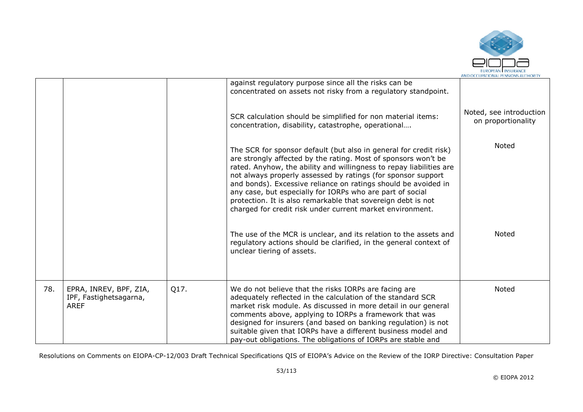

|     |                                                                 |      | against regulatory purpose since all the risks can be<br>concentrated on assets not risky from a regulatory standpoint.                                                                                                                                                                                                                                                                                                                                                                                                                                                                                     |                                               |
|-----|-----------------------------------------------------------------|------|-------------------------------------------------------------------------------------------------------------------------------------------------------------------------------------------------------------------------------------------------------------------------------------------------------------------------------------------------------------------------------------------------------------------------------------------------------------------------------------------------------------------------------------------------------------------------------------------------------------|-----------------------------------------------|
|     |                                                                 |      | SCR calculation should be simplified for non material items:<br>concentration, disability, catastrophe, operational                                                                                                                                                                                                                                                                                                                                                                                                                                                                                         | Noted, see introduction<br>on proportionality |
|     |                                                                 |      | The SCR for sponsor default (but also in general for credit risk)<br>are strongly affected by the rating. Most of sponsors won't be<br>rated. Anyhow, the ability and willingness to repay liabilities are<br>not always properly assessed by ratings (for sponsor support<br>and bonds). Excessive reliance on ratings should be avoided in<br>any case, but especially for IORPs who are part of social<br>protection. It is also remarkable that sovereign debt is not<br>charged for credit risk under current market environment.<br>The use of the MCR is unclear, and its relation to the assets and | Noted<br>Noted                                |
|     |                                                                 |      | regulatory actions should be clarified, in the general context of<br>unclear tiering of assets.                                                                                                                                                                                                                                                                                                                                                                                                                                                                                                             |                                               |
| 78. | EPRA, INREV, BPF, ZIA,<br>IPF, Fastighetsagarna,<br><b>AREF</b> | Q17. | We do not believe that the risks IORPs are facing are<br>adequately reflected in the calculation of the standard SCR<br>market risk module. As discussed in more detail in our general<br>comments above, applying to IORPs a framework that was<br>designed for insurers (and based on banking regulation) is not<br>suitable given that IORPs have a different business model and<br>pay-out obligations. The obligations of IORPs are stable and                                                                                                                                                         | Noted                                         |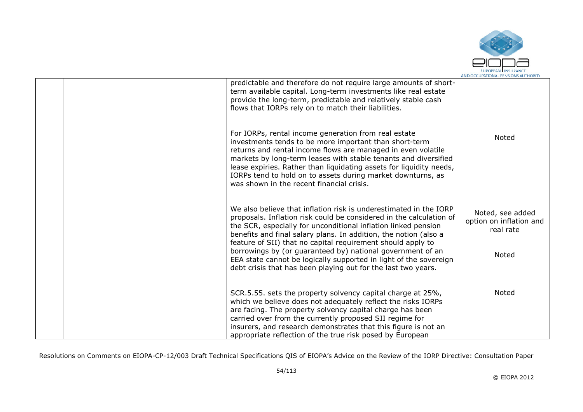

|  | predictable and therefore do not require large amounts of short-<br>term available capital. Long-term investments like real estate<br>provide the long-term, predictable and relatively stable cash<br>flows that IORPs rely on to match their liabilities.                                                                                                                                                                          |                                                          |
|--|--------------------------------------------------------------------------------------------------------------------------------------------------------------------------------------------------------------------------------------------------------------------------------------------------------------------------------------------------------------------------------------------------------------------------------------|----------------------------------------------------------|
|  | For IORPs, rental income generation from real estate<br>investments tends to be more important than short-term<br>returns and rental income flows are managed in even volatile<br>markets by long-term leases with stable tenants and diversified<br>lease expiries. Rather than liquidating assets for liquidity needs,<br>IORPs tend to hold on to assets during market downturns, as<br>was shown in the recent financial crisis. | Noted                                                    |
|  | We also believe that inflation risk is underestimated in the IORP<br>proposals. Inflation risk could be considered in the calculation of<br>the SCR, especially for unconditional inflation linked pension<br>benefits and final salary plans. In addition, the notion (also a<br>feature of SII) that no capital requirement should apply to                                                                                        | Noted, see added<br>option on inflation and<br>real rate |
|  | borrowings by (or guaranteed by) national government of an<br>EEA state cannot be logically supported in light of the sovereign<br>debt crisis that has been playing out for the last two years.                                                                                                                                                                                                                                     | Noted                                                    |
|  | SCR.5.55. sets the property solvency capital charge at 25%,<br>which we believe does not adequately reflect the risks IORPs<br>are facing. The property solvency capital charge has been                                                                                                                                                                                                                                             | Noted                                                    |
|  | carried over from the currently proposed SII regime for<br>insurers, and research demonstrates that this figure is not an<br>appropriate reflection of the true risk posed by European                                                                                                                                                                                                                                               |                                                          |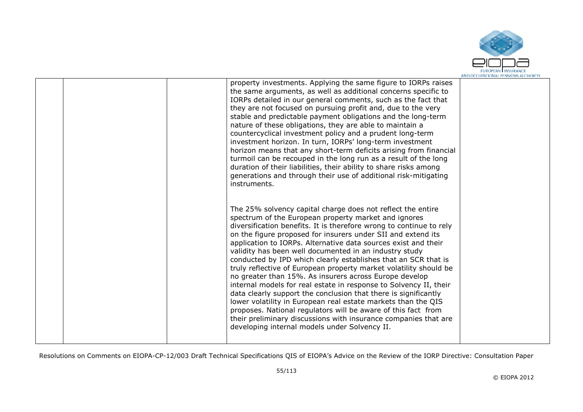

|  | property investments. Applying the same figure to IORPs raises<br>the same arguments, as well as additional concerns specific to<br>IORPs detailed in our general comments, such as the fact that<br>they are not focused on pursuing profit and, due to the very<br>stable and predictable payment obligations and the long-term<br>nature of these obligations, they are able to maintain a<br>countercyclical investment policy and a prudent long-term<br>investment horizon. In turn, IORPs' long-term investment<br>horizon means that any short-term deficits arising from financial<br>turmoil can be recouped in the long run as a result of the long<br>duration of their liabilities, their ability to share risks among<br>generations and through their use of additional risk-mitigating<br>instruments.                                                                                                                                                                |  |
|--|---------------------------------------------------------------------------------------------------------------------------------------------------------------------------------------------------------------------------------------------------------------------------------------------------------------------------------------------------------------------------------------------------------------------------------------------------------------------------------------------------------------------------------------------------------------------------------------------------------------------------------------------------------------------------------------------------------------------------------------------------------------------------------------------------------------------------------------------------------------------------------------------------------------------------------------------------------------------------------------|--|
|  | The 25% solvency capital charge does not reflect the entire<br>spectrum of the European property market and ignores<br>diversification benefits. It is therefore wrong to continue to rely<br>on the figure proposed for insurers under SII and extend its<br>application to IORPs. Alternative data sources exist and their<br>validity has been well documented in an industry study<br>conducted by IPD which clearly establishes that an SCR that is<br>truly reflective of European property market volatility should be<br>no greater than 15%. As insurers across Europe develop<br>internal models for real estate in response to Solvency II, their<br>data clearly support the conclusion that there is significantly<br>lower volatility in European real estate markets than the QIS<br>proposes. National regulators will be aware of this fact from<br>their preliminary discussions with insurance companies that are<br>developing internal models under Solvency II. |  |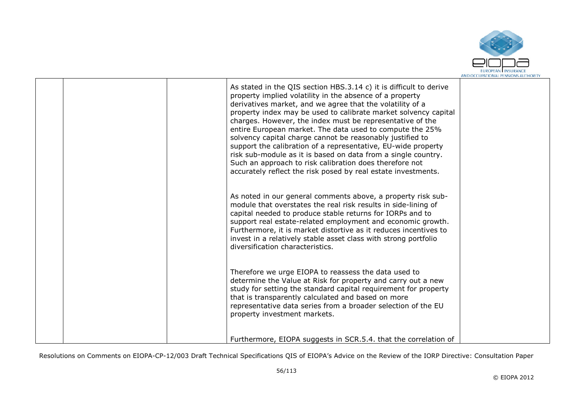

|  | As stated in the QIS section HBS.3.14 c) it is difficult to derive<br>property implied volatility in the absence of a property<br>derivatives market, and we agree that the volatility of a<br>property index may be used to calibrate market solvency capital<br>charges. However, the index must be representative of the<br>entire European market. The data used to compute the 25%<br>solvency capital charge cannot be reasonably justified to<br>support the calibration of a representative, EU-wide property<br>risk sub-module as it is based on data from a single country.<br>Such an approach to risk calibration does therefore not<br>accurately reflect the risk posed by real estate investments. |  |
|--|--------------------------------------------------------------------------------------------------------------------------------------------------------------------------------------------------------------------------------------------------------------------------------------------------------------------------------------------------------------------------------------------------------------------------------------------------------------------------------------------------------------------------------------------------------------------------------------------------------------------------------------------------------------------------------------------------------------------|--|
|  | As noted in our general comments above, a property risk sub-<br>module that overstates the real risk results in side-lining of<br>capital needed to produce stable returns for IORPs and to<br>support real estate-related employment and economic growth.<br>Furthermore, it is market distortive as it reduces incentives to<br>invest in a relatively stable asset class with strong portfolio<br>diversification characteristics.                                                                                                                                                                                                                                                                              |  |
|  | Therefore we urge EIOPA to reassess the data used to<br>determine the Value at Risk for property and carry out a new<br>study for setting the standard capital requirement for property<br>that is transparently calculated and based on more<br>representative data series from a broader selection of the EU<br>property investment markets.                                                                                                                                                                                                                                                                                                                                                                     |  |
|  | Furthermore, EIOPA suggests in SCR.5.4. that the correlation of                                                                                                                                                                                                                                                                                                                                                                                                                                                                                                                                                                                                                                                    |  |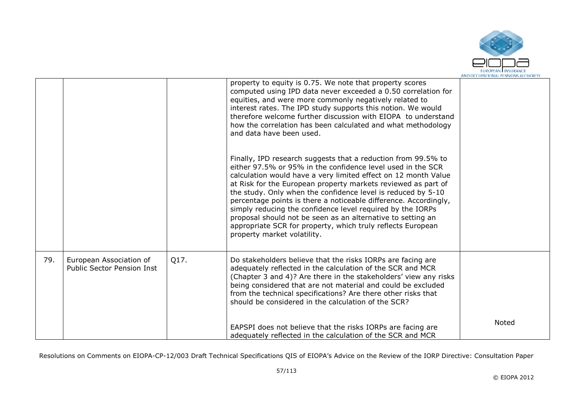

|     |                                                              |      | property to equity is 0.75. We note that property scores<br>computed using IPD data never exceeded a 0.50 correlation for<br>equities, and were more commonly negatively related to<br>interest rates. The IPD study supports this notion. We would<br>therefore welcome further discussion with EIOPA to understand<br>how the correlation has been calculated and what methodology<br>and data have been used.                                                                                                                                                                                                               |       |
|-----|--------------------------------------------------------------|------|--------------------------------------------------------------------------------------------------------------------------------------------------------------------------------------------------------------------------------------------------------------------------------------------------------------------------------------------------------------------------------------------------------------------------------------------------------------------------------------------------------------------------------------------------------------------------------------------------------------------------------|-------|
|     |                                                              |      | Finally, IPD research suggests that a reduction from 99.5% to<br>either 97.5% or 95% in the confidence level used in the SCR<br>calculation would have a very limited effect on 12 month Value<br>at Risk for the European property markets reviewed as part of<br>the study. Only when the confidence level is reduced by 5-10<br>percentage points is there a noticeable difference. Accordingly,<br>simply reducing the confidence level required by the IORPs<br>proposal should not be seen as an alternative to setting an<br>appropriate SCR for property, which truly reflects European<br>property market volatility. |       |
| 79. | European Association of<br><b>Public Sector Pension Inst</b> | Q17. | Do stakeholders believe that the risks IORPs are facing are<br>adequately reflected in the calculation of the SCR and MCR<br>(Chapter 3 and 4)? Are there in the stakeholders' view any risks<br>being considered that are not material and could be excluded<br>from the technical specifications? Are there other risks that<br>should be considered in the calculation of the SCR?                                                                                                                                                                                                                                          |       |
|     |                                                              |      | EAPSPI does not believe that the risks IORPs are facing are<br>adequately reflected in the calculation of the SCR and MCR                                                                                                                                                                                                                                                                                                                                                                                                                                                                                                      | Noted |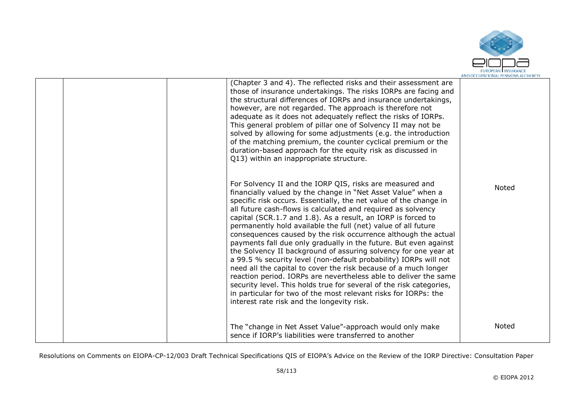

| (Chapter 3 and 4). The reflected risks and their assessment are<br>those of insurance undertakings. The risks IORPs are facing and<br>the structural differences of IORPs and insurance undertakings,<br>however, are not regarded. The approach is therefore not<br>adequate as it does not adequately reflect the risks of IORPs.<br>This general problem of pillar one of Solvency II may not be<br>solved by allowing for some adjustments (e.g. the introduction<br>of the matching premium, the counter cyclical premium or the<br>duration-based approach for the equity risk as discussed in<br>Q13) within an inappropriate structure.                                                                                                                                                                                                                                                                                                                                                            |       |
|------------------------------------------------------------------------------------------------------------------------------------------------------------------------------------------------------------------------------------------------------------------------------------------------------------------------------------------------------------------------------------------------------------------------------------------------------------------------------------------------------------------------------------------------------------------------------------------------------------------------------------------------------------------------------------------------------------------------------------------------------------------------------------------------------------------------------------------------------------------------------------------------------------------------------------------------------------------------------------------------------------|-------|
| For Solvency II and the IORP QIS, risks are measured and<br>financially valued by the change in "Net Asset Value" when a<br>specific risk occurs. Essentially, the net value of the change in<br>all future cash-flows is calculated and required as solvency<br>capital (SCR.1.7 and 1.8). As a result, an IORP is forced to<br>permanently hold available the full (net) value of all future<br>consequences caused by the risk occurrence although the actual<br>payments fall due only gradually in the future. But even against<br>the Solvency II background of assuring solvency for one year at<br>a 99.5 % security level (non-default probability) IORPs will not<br>need all the capital to cover the risk because of a much longer<br>reaction period. IORPs are nevertheless able to deliver the same<br>security level. This holds true for several of the risk categories,<br>in particular for two of the most relevant risks for IORPs: the<br>interest rate risk and the longevity risk. | Noted |
| The "change in Net Asset Value"-approach would only make<br>sence if IORP's liabilities were transferred to another                                                                                                                                                                                                                                                                                                                                                                                                                                                                                                                                                                                                                                                                                                                                                                                                                                                                                        | Noted |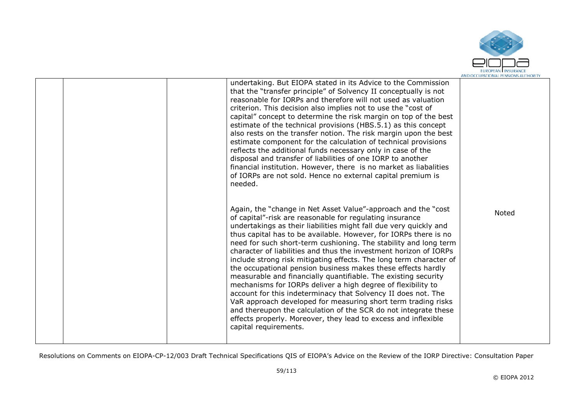

|  | undertaking. But EIOPA stated in its Advice to the Commission<br>that the "transfer principle" of Solvency II conceptually is not<br>reasonable for IORPs and therefore will not used as valuation<br>criterion. This decision also implies not to use the "cost of<br>capital" concept to determine the risk margin on top of the best<br>estimate of the technical provisions (HBS.5.1) as this concept<br>also rests on the transfer notion. The risk margin upon the best<br>estimate component for the calculation of technical provisions<br>reflects the additional funds necessary only in case of the<br>disposal and transfer of liabilities of one IORP to another<br>financial institution. However, there is no market as liabalities<br>of IORPs are not sold. Hence no external capital premium is<br>needed.                                                                                                                                                         |       |
|--|--------------------------------------------------------------------------------------------------------------------------------------------------------------------------------------------------------------------------------------------------------------------------------------------------------------------------------------------------------------------------------------------------------------------------------------------------------------------------------------------------------------------------------------------------------------------------------------------------------------------------------------------------------------------------------------------------------------------------------------------------------------------------------------------------------------------------------------------------------------------------------------------------------------------------------------------------------------------------------------|-------|
|  | Again, the "change in Net Asset Value"-approach and the "cost"<br>of capital"-risk are reasonable for regulating insurance<br>undertakings as their liabilities might fall due very quickly and<br>thus capital has to be available. However, for IORPs there is no<br>need for such short-term cushioning. The stability and long term<br>character of liabilities and thus the investment horizon of IORPs<br>include strong risk mitigating effects. The long term character of<br>the occupational pension business makes these effects hardly<br>measurable and financially quantifiable. The existing security<br>mechanisms for IORPs deliver a high degree of flexibility to<br>account for this indeterminacy that Solvency II does not. The<br>VaR approach developed for measuring short term trading risks<br>and thereupon the calculation of the SCR do not integrate these<br>effects properly. Moreover, they lead to excess and inflexible<br>capital requirements. | Noted |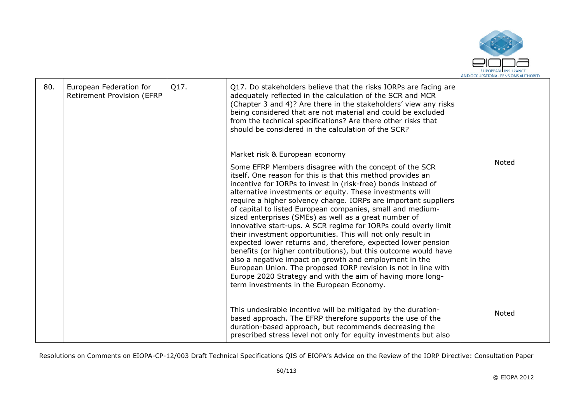

| 80. | European Federation for<br><b>Retirement Provision (EFRP</b> | Q17. | Q17. Do stakeholders believe that the risks IORPs are facing are<br>adequately reflected in the calculation of the SCR and MCR<br>(Chapter 3 and 4)? Are there in the stakeholders' view any risks<br>being considered that are not material and could be excluded<br>from the technical specifications? Are there other risks that<br>should be considered in the calculation of the SCR?                                                                                                                                                                                                                                                                                                                                                                                                                                                                                                                                                                                                    |       |
|-----|--------------------------------------------------------------|------|-----------------------------------------------------------------------------------------------------------------------------------------------------------------------------------------------------------------------------------------------------------------------------------------------------------------------------------------------------------------------------------------------------------------------------------------------------------------------------------------------------------------------------------------------------------------------------------------------------------------------------------------------------------------------------------------------------------------------------------------------------------------------------------------------------------------------------------------------------------------------------------------------------------------------------------------------------------------------------------------------|-------|
|     |                                                              |      | Market risk & European economy<br>Some EFRP Members disagree with the concept of the SCR<br>itself. One reason for this is that this method provides an<br>incentive for IORPs to invest in (risk-free) bonds instead of<br>alternative investments or equity. These investments will<br>require a higher solvency charge. IORPs are important suppliers<br>of capital to listed European companies, small and medium-<br>sized enterprises (SMEs) as well as a great number of<br>innovative start-ups. A SCR regime for IORPs could overly limit<br>their investment opportunities. This will not only result in<br>expected lower returns and, therefore, expected lower pension<br>benefits (or higher contributions), but this outcome would have<br>also a negative impact on growth and employment in the<br>European Union. The proposed IORP revision is not in line with<br>Europe 2020 Strategy and with the aim of having more long-<br>term investments in the European Economy. | Noted |
|     |                                                              |      | This undesirable incentive will be mitigated by the duration-<br>based approach. The EFRP therefore supports the use of the<br>duration-based approach, but recommends decreasing the<br>prescribed stress level not only for equity investments but also                                                                                                                                                                                                                                                                                                                                                                                                                                                                                                                                                                                                                                                                                                                                     | Noted |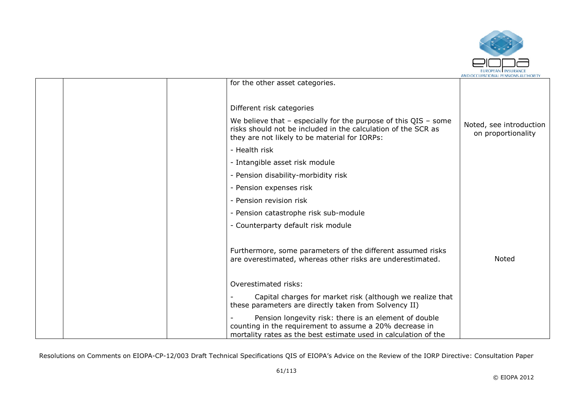

| for the other asset categories.       |                                                                                                                                                                                       |                                               |
|---------------------------------------|---------------------------------------------------------------------------------------------------------------------------------------------------------------------------------------|-----------------------------------------------|
| Different risk categories             |                                                                                                                                                                                       |                                               |
|                                       | We believe that $-$ especially for the purpose of this QIS $-$ some<br>risks should not be included in the calculation of the SCR as<br>they are not likely to be material for IORPs: | Noted, see introduction<br>on proportionality |
| - Health risk                         |                                                                                                                                                                                       |                                               |
| - Intangible asset risk module        |                                                                                                                                                                                       |                                               |
| - Pension disability-morbidity risk   |                                                                                                                                                                                       |                                               |
| - Pension expenses risk               |                                                                                                                                                                                       |                                               |
| - Pension revision risk               |                                                                                                                                                                                       |                                               |
| - Pension catastrophe risk sub-module |                                                                                                                                                                                       |                                               |
| - Counterparty default risk module    |                                                                                                                                                                                       |                                               |
|                                       | Furthermore, some parameters of the different assumed risks<br>are overestimated, whereas other risks are underestimated.                                                             | Noted                                         |
| Overestimated risks:                  |                                                                                                                                                                                       |                                               |
|                                       | Capital charges for market risk (although we realize that<br>these parameters are directly taken from Solvency II)                                                                    |                                               |
|                                       | Pension longevity risk: there is an element of double<br>counting in the requirement to assume a 20% decrease in<br>mortality rates as the best estimate used in calculation of the   |                                               |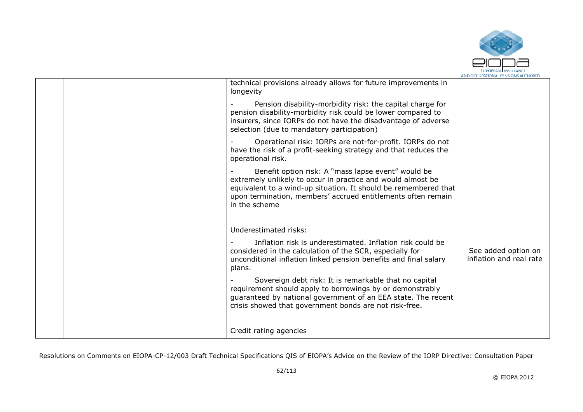

|                                                                                                                                                                                                                                                                       | MND OCCUPATIONAL FENSIONS AUTHONT              |
|-----------------------------------------------------------------------------------------------------------------------------------------------------------------------------------------------------------------------------------------------------------------------|------------------------------------------------|
| technical provisions already allows for future improvements in<br>longevity                                                                                                                                                                                           |                                                |
| Pension disability-morbidity risk: the capital charge for<br>pension disability-morbidity risk could be lower compared to<br>insurers, since IORPs do not have the disadvantage of adverse<br>selection (due to mandatory participation)                              |                                                |
| Operational risk: IORPs are not-for-profit. IORPs do not<br>have the risk of a profit-seeking strategy and that reduces the<br>operational risk.                                                                                                                      |                                                |
| Benefit option risk: A "mass lapse event" would be<br>extremely unlikely to occur in practice and would almost be<br>equivalent to a wind-up situation. It should be remembered that<br>upon termination, members' accrued entitlements often remain<br>in the scheme |                                                |
| Underestimated risks:                                                                                                                                                                                                                                                 |                                                |
| Inflation risk is underestimated. Inflation risk could be<br>considered in the calculation of the SCR, especially for<br>unconditional inflation linked pension benefits and final salary<br>plans.                                                                   | See added option on<br>inflation and real rate |
| Sovereign debt risk: It is remarkable that no capital<br>requirement should apply to borrowings by or demonstrably<br>guaranteed by national government of an EEA state. The recent<br>crisis showed that government bonds are not risk-free.                         |                                                |
| Credit rating agencies                                                                                                                                                                                                                                                |                                                |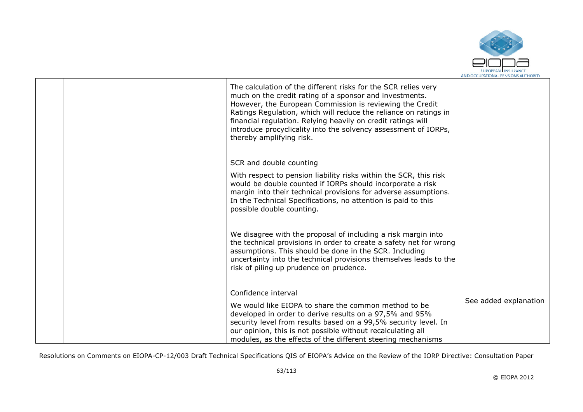

|  | The calculation of the different risks for the SCR relies very<br>much on the credit rating of a sponsor and investments.<br>However, the European Commission is reviewing the Credit<br>Ratings Regulation, which will reduce the reliance on ratings in<br>financial regulation. Relying heavily on credit ratings will<br>introduce procyclicality into the solvency assessment of IORPs,<br>thereby amplifying risk. |                       |
|--|--------------------------------------------------------------------------------------------------------------------------------------------------------------------------------------------------------------------------------------------------------------------------------------------------------------------------------------------------------------------------------------------------------------------------|-----------------------|
|  | SCR and double counting                                                                                                                                                                                                                                                                                                                                                                                                  |                       |
|  | With respect to pension liability risks within the SCR, this risk<br>would be double counted if IORPs should incorporate a risk<br>margin into their technical provisions for adverse assumptions.<br>In the Technical Specifications, no attention is paid to this<br>possible double counting.                                                                                                                         |                       |
|  | We disagree with the proposal of including a risk margin into<br>the technical provisions in order to create a safety net for wrong<br>assumptions. This should be done in the SCR. Including<br>uncertainty into the technical provisions themselves leads to the<br>risk of piling up prudence on prudence.                                                                                                            |                       |
|  | Confidence interval                                                                                                                                                                                                                                                                                                                                                                                                      |                       |
|  | We would like EIOPA to share the common method to be<br>developed in order to derive results on a 97,5% and 95%<br>security level from results based on a 99,5% security level. In<br>our opinion, this is not possible without recalculating all<br>modules, as the effects of the different steering mechanisms                                                                                                        | See added explanation |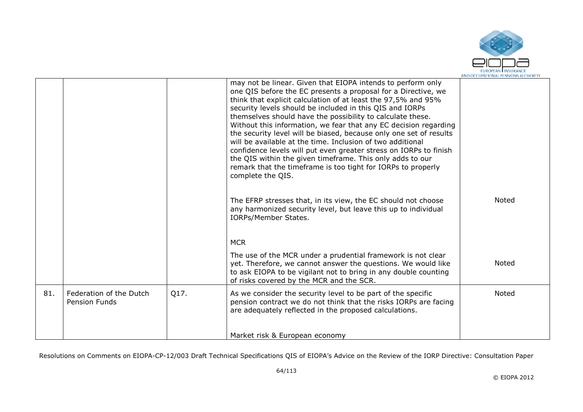

|     |                                                 |      | may not be linear. Given that EIOPA intends to perform only<br>one QIS before the EC presents a proposal for a Directive, we<br>think that explicit calculation of at least the 97,5% and 95%<br>security levels should be included in this QIS and IORPs<br>themselves should have the possibility to calculate these.<br>Without this information, we fear that any EC decision regarding<br>the security level will be biased, because only one set of results<br>will be available at the time. Inclusion of two additional<br>confidence levels will put even greater stress on IORPs to finish<br>the QIS within the given timeframe. This only adds to our<br>remark that the timeframe is too tight for IORPs to properly<br>complete the QIS. |              |
|-----|-------------------------------------------------|------|--------------------------------------------------------------------------------------------------------------------------------------------------------------------------------------------------------------------------------------------------------------------------------------------------------------------------------------------------------------------------------------------------------------------------------------------------------------------------------------------------------------------------------------------------------------------------------------------------------------------------------------------------------------------------------------------------------------------------------------------------------|--------------|
|     |                                                 |      | The EFRP stresses that, in its view, the EC should not choose<br>any harmonized security level, but leave this up to individual<br><b>IORPs/Member States.</b>                                                                                                                                                                                                                                                                                                                                                                                                                                                                                                                                                                                         | Noted        |
|     |                                                 |      | <b>MCR</b>                                                                                                                                                                                                                                                                                                                                                                                                                                                                                                                                                                                                                                                                                                                                             |              |
|     |                                                 |      | The use of the MCR under a prudential framework is not clear<br>yet. Therefore, we cannot answer the questions. We would like<br>to ask EIOPA to be vigilant not to bring in any double counting<br>of risks covered by the MCR and the SCR.                                                                                                                                                                                                                                                                                                                                                                                                                                                                                                           | <b>Noted</b> |
| 81. | Federation of the Dutch<br><b>Pension Funds</b> | Q17. | As we consider the security level to be part of the specific<br>pension contract we do not think that the risks IORPs are facing<br>are adequately reflected in the proposed calculations.                                                                                                                                                                                                                                                                                                                                                                                                                                                                                                                                                             | Noted        |
|     |                                                 |      | Market risk & European economy                                                                                                                                                                                                                                                                                                                                                                                                                                                                                                                                                                                                                                                                                                                         |              |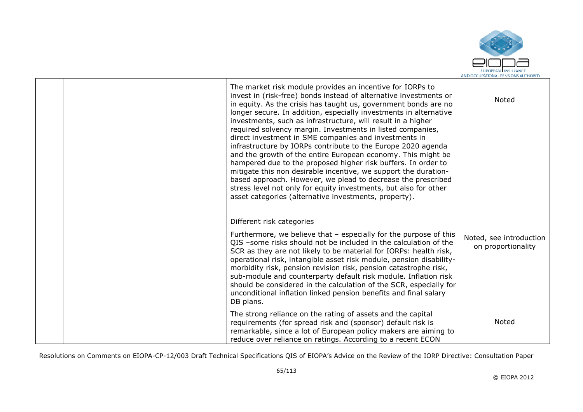

|  | The market risk module provides an incentive for IORPs to<br>invest in (risk-free) bonds instead of alternative investments or<br>in equity. As the crisis has taught us, government bonds are no<br>longer secure. In addition, especially investments in alternative<br>investments, such as infrastructure, will result in a higher<br>required solvency margin. Investments in listed companies,<br>direct investment in SME companies and investments in<br>infrastructure by IORPs contribute to the Europe 2020 agenda<br>and the growth of the entire European economy. This might be<br>hampered due to the proposed higher risk buffers. In order to<br>mitigate this non desirable incentive, we support the duration-<br>based approach. However, we plead to decrease the prescribed<br>stress level not only for equity investments, but also for other<br>asset categories (alternative investments, property). | Noted                                         |
|--|--------------------------------------------------------------------------------------------------------------------------------------------------------------------------------------------------------------------------------------------------------------------------------------------------------------------------------------------------------------------------------------------------------------------------------------------------------------------------------------------------------------------------------------------------------------------------------------------------------------------------------------------------------------------------------------------------------------------------------------------------------------------------------------------------------------------------------------------------------------------------------------------------------------------------------|-----------------------------------------------|
|  | Different risk categories<br>Furthermore, we believe that - especially for the purpose of this<br>QIS -some risks should not be included in the calculation of the<br>SCR as they are not likely to be material for IORPs: health risk,<br>operational risk, intangible asset risk module, pension disability-<br>morbidity risk, pension revision risk, pension catastrophe risk,<br>sub-module and counterparty default risk module. Inflation risk<br>should be considered in the calculation of the SCR, especially for<br>unconditional inflation linked pension benefits and final salary<br>DB plans.                                                                                                                                                                                                                                                                                                                   | Noted, see introduction<br>on proportionality |
|  | The strong reliance on the rating of assets and the capital<br>requirements (for spread risk and (sponsor) default risk is<br>remarkable, since a lot of European policy makers are aiming to<br>reduce over reliance on ratings. According to a recent ECON                                                                                                                                                                                                                                                                                                                                                                                                                                                                                                                                                                                                                                                                   | Noted                                         |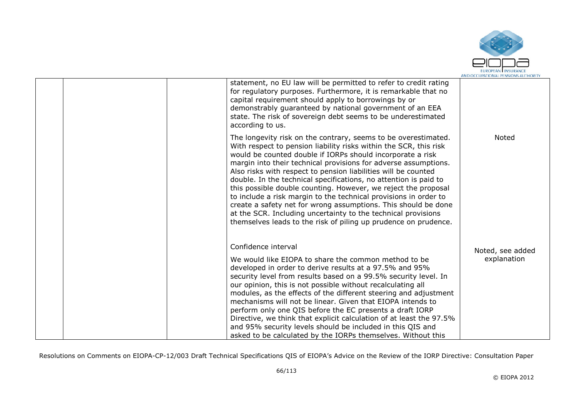

|  | statement, no EU law will be permitted to refer to credit rating<br>for regulatory purposes. Furthermore, it is remarkable that no<br>capital requirement should apply to borrowings by or<br>demonstrably guaranteed by national government of an EEA<br>state. The risk of sovereign debt seems to be underestimated<br>according to us.                                                                                                                                                                                                                                                                                                                                                                                                             |                  |
|--|--------------------------------------------------------------------------------------------------------------------------------------------------------------------------------------------------------------------------------------------------------------------------------------------------------------------------------------------------------------------------------------------------------------------------------------------------------------------------------------------------------------------------------------------------------------------------------------------------------------------------------------------------------------------------------------------------------------------------------------------------------|------------------|
|  | The longevity risk on the contrary, seems to be overestimated.<br>With respect to pension liability risks within the SCR, this risk<br>would be counted double if IORPs should incorporate a risk<br>margin into their technical provisions for adverse assumptions.<br>Also risks with respect to pension liabilities will be counted<br>double. In the technical specifications, no attention is paid to<br>this possible double counting. However, we reject the proposal<br>to include a risk margin to the technical provisions in order to<br>create a safety net for wrong assumptions. This should be done<br>at the SCR. Including uncertainty to the technical provisions<br>themselves leads to the risk of piling up prudence on prudence. | Noted            |
|  | Confidence interval                                                                                                                                                                                                                                                                                                                                                                                                                                                                                                                                                                                                                                                                                                                                    | Noted, see added |
|  | We would like EIOPA to share the common method to be<br>developed in order to derive results at a 97.5% and 95%<br>security level from results based on a 99.5% security level. In<br>our opinion, this is not possible without recalculating all<br>modules, as the effects of the different steering and adjustment<br>mechanisms will not be linear. Given that EIOPA intends to<br>perform only one QIS before the EC presents a draft IORP<br>Directive, we think that explicit calculation of at least the 97.5%<br>and 95% security levels should be included in this QIS and<br>asked to be calculated by the IORPs themselves. Without this                                                                                                   | explanation      |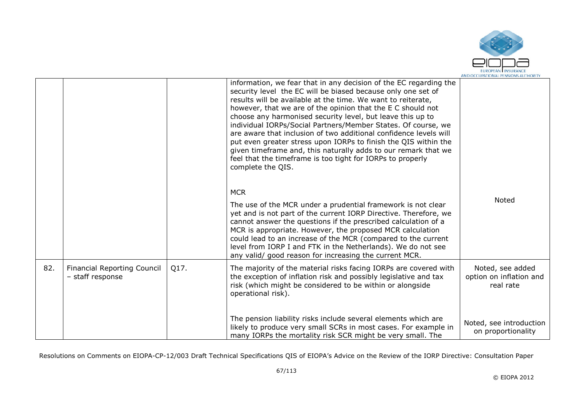

|     |                                                        |      | information, we fear that in any decision of the EC regarding the<br>security level the EC will be biased because only one set of<br>results will be available at the time. We want to reiterate,<br>however, that we are of the opinion that the E C should not<br>choose any harmonised security level, but leave this up to<br>individual IORPs/Social Partners/Member States. Of course, we<br>are aware that inclusion of two additional confidence levels will<br>put even greater stress upon IORPs to finish the QIS within the<br>given timeframe and, this naturally adds to our remark that we<br>feel that the timeframe is too tight for IORPs to properly<br>complete the QIS. |                                                          |
|-----|--------------------------------------------------------|------|----------------------------------------------------------------------------------------------------------------------------------------------------------------------------------------------------------------------------------------------------------------------------------------------------------------------------------------------------------------------------------------------------------------------------------------------------------------------------------------------------------------------------------------------------------------------------------------------------------------------------------------------------------------------------------------------|----------------------------------------------------------|
|     |                                                        |      | <b>MCR</b><br>The use of the MCR under a prudential framework is not clear<br>yet and is not part of the current IORP Directive. Therefore, we<br>cannot answer the questions if the prescribed calculation of a<br>MCR is appropriate. However, the proposed MCR calculation<br>could lead to an increase of the MCR (compared to the current<br>level from IORP I and FTK in the Netherlands). We do not see<br>any valid/ good reason for increasing the current MCR.                                                                                                                                                                                                                     | Noted                                                    |
| 82. | <b>Financial Reporting Council</b><br>- staff response | Q17. | The majority of the material risks facing IORPs are covered with<br>the exception of inflation risk and possibly legislative and tax<br>risk (which might be considered to be within or alongside<br>operational risk).                                                                                                                                                                                                                                                                                                                                                                                                                                                                      | Noted, see added<br>option on inflation and<br>real rate |
|     |                                                        |      | The pension liability risks include several elements which are<br>likely to produce very small SCRs in most cases. For example in<br>many IORPs the mortality risk SCR might be very small. The                                                                                                                                                                                                                                                                                                                                                                                                                                                                                              | Noted, see introduction<br>on proportionality            |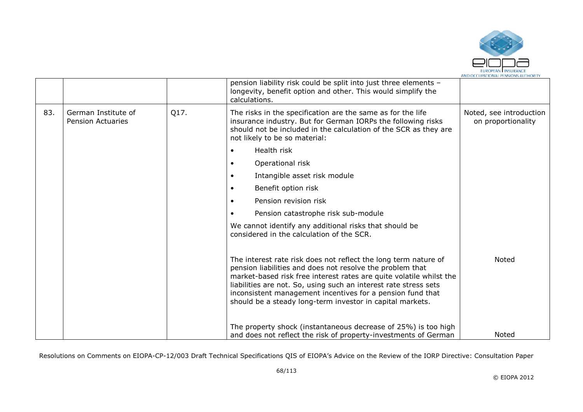

|     |                                                 |      | pension liability risk could be split into just three elements -<br>longevity, benefit option and other. This would simplify the<br>calculations.                                                                                                                                                                                                                                                  |                                               |
|-----|-------------------------------------------------|------|----------------------------------------------------------------------------------------------------------------------------------------------------------------------------------------------------------------------------------------------------------------------------------------------------------------------------------------------------------------------------------------------------|-----------------------------------------------|
| 83. | German Institute of<br><b>Pension Actuaries</b> | Q17. | The risks in the specification are the same as for the life<br>insurance industry. But for German IORPs the following risks<br>should not be included in the calculation of the SCR as they are<br>not likely to be so material:                                                                                                                                                                   | Noted, see introduction<br>on proportionality |
|     |                                                 |      | Health risk                                                                                                                                                                                                                                                                                                                                                                                        |                                               |
|     |                                                 |      | Operational risk                                                                                                                                                                                                                                                                                                                                                                                   |                                               |
|     |                                                 |      | Intangible asset risk module                                                                                                                                                                                                                                                                                                                                                                       |                                               |
|     |                                                 |      | Benefit option risk                                                                                                                                                                                                                                                                                                                                                                                |                                               |
|     |                                                 |      | Pension revision risk                                                                                                                                                                                                                                                                                                                                                                              |                                               |
|     |                                                 |      | Pension catastrophe risk sub-module                                                                                                                                                                                                                                                                                                                                                                |                                               |
|     |                                                 |      | We cannot identify any additional risks that should be<br>considered in the calculation of the SCR.                                                                                                                                                                                                                                                                                                |                                               |
|     |                                                 |      | The interest rate risk does not reflect the long term nature of<br>pension liabilities and does not resolve the problem that<br>market-based risk free interest rates are quite volatile whilst the<br>liabilities are not. So, using such an interest rate stress sets<br>inconsistent management incentives for a pension fund that<br>should be a steady long-term investor in capital markets. | Noted                                         |
|     |                                                 |      | The property shock (instantaneous decrease of 25%) is too high<br>and does not reflect the risk of property-investments of German                                                                                                                                                                                                                                                                  | Noted                                         |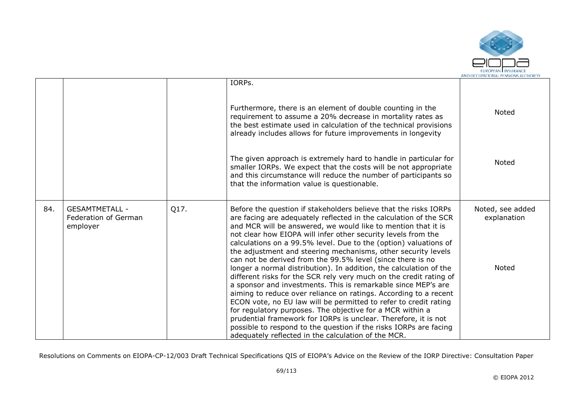

|     |                                                           |      | IORPs.                                                                                                                                                                                                                                                                                                                                                                                                                                                                                                                                                                                                                                                                                  |                                          |
|-----|-----------------------------------------------------------|------|-----------------------------------------------------------------------------------------------------------------------------------------------------------------------------------------------------------------------------------------------------------------------------------------------------------------------------------------------------------------------------------------------------------------------------------------------------------------------------------------------------------------------------------------------------------------------------------------------------------------------------------------------------------------------------------------|------------------------------------------|
|     |                                                           |      | Furthermore, there is an element of double counting in the<br>requirement to assume a 20% decrease in mortality rates as<br>the best estimate used in calculation of the technical provisions<br>already includes allows for future improvements in longevity                                                                                                                                                                                                                                                                                                                                                                                                                           | <b>Noted</b>                             |
|     |                                                           |      | The given approach is extremely hard to handle in particular for<br>smaller IORPs. We expect that the costs will be not appropriate<br>and this circumstance will reduce the number of participants so<br>that the information value is questionable.                                                                                                                                                                                                                                                                                                                                                                                                                                   | Noted                                    |
| 84. | <b>GESAMTMETALL -</b><br>Federation of German<br>employer | Q17. | Before the question if stakeholders believe that the risks IORPs<br>are facing are adequately reflected in the calculation of the SCR<br>and MCR will be answered, we would like to mention that it is<br>not clear how EIOPA will infer other security levels from the<br>calculations on a 99.5% level. Due to the (option) valuations of<br>the adjustment and steering mechanisms, other security levels<br>can not be derived from the 99.5% level (since there is no<br>longer a normal distribution). In addition, the calculation of the<br>different risks for the SCR rely very much on the credit rating of<br>a sponsor and investments. This is remarkable since MEP's are | Noted, see added<br>explanation<br>Noted |
|     |                                                           |      | aiming to reduce over reliance on ratings. According to a recent<br>ECON vote, no EU law will be permitted to refer to credit rating<br>for regulatory purposes. The objective for a MCR within a<br>prudential framework for IORPs is unclear. Therefore, it is not<br>possible to respond to the question if the risks IORPs are facing<br>adequately reflected in the calculation of the MCR.                                                                                                                                                                                                                                                                                        |                                          |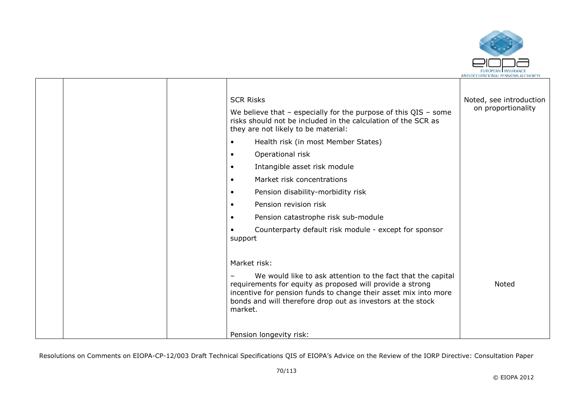

|  | <b>SCR Risks</b>                                                                                                                                                                                                                                                      | Noted, see introduction |
|--|-----------------------------------------------------------------------------------------------------------------------------------------------------------------------------------------------------------------------------------------------------------------------|-------------------------|
|  | We believe that $-$ especially for the purpose of this QIS $-$ some<br>risks should not be included in the calculation of the SCR as<br>they are not likely to be material:                                                                                           | on proportionality      |
|  | Health risk (in most Member States)<br>$\bullet$                                                                                                                                                                                                                      |                         |
|  | Operational risk<br>$\bullet$                                                                                                                                                                                                                                         |                         |
|  | Intangible asset risk module<br>$\bullet$                                                                                                                                                                                                                             |                         |
|  | Market risk concentrations<br>$\bullet$                                                                                                                                                                                                                               |                         |
|  | Pension disability-morbidity risk<br>$\bullet$                                                                                                                                                                                                                        |                         |
|  | Pension revision risk<br>$\bullet$                                                                                                                                                                                                                                    |                         |
|  | Pension catastrophe risk sub-module<br>$\bullet$                                                                                                                                                                                                                      |                         |
|  | Counterparty default risk module - except for sponsor<br>support                                                                                                                                                                                                      |                         |
|  | Market risk:                                                                                                                                                                                                                                                          |                         |
|  | We would like to ask attention to the fact that the capital<br>requirements for equity as proposed will provide a strong<br>incentive for pension funds to change their asset mix into more<br>bonds and will therefore drop out as investors at the stock<br>market. | <b>Noted</b>            |
|  | Pension longevity risk:                                                                                                                                                                                                                                               |                         |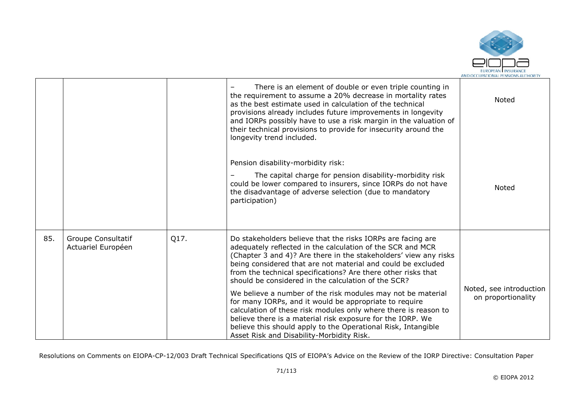

|     |                                          |      | There is an element of double or even triple counting in<br>the requirement to assume a 20% decrease in mortality rates<br>as the best estimate used in calculation of the technical<br>provisions already includes future improvements in longevity<br>and IORPs possibly have to use a risk margin in the valuation of<br>their technical provisions to provide for insecurity around the<br>longevity trend included. | Noted                                         |
|-----|------------------------------------------|------|--------------------------------------------------------------------------------------------------------------------------------------------------------------------------------------------------------------------------------------------------------------------------------------------------------------------------------------------------------------------------------------------------------------------------|-----------------------------------------------|
|     |                                          |      | Pension disability-morbidity risk:<br>The capital charge for pension disability-morbidity risk<br>could be lower compared to insurers, since IORPs do not have<br>the disadvantage of adverse selection (due to mandatory<br>participation)                                                                                                                                                                              | Noted                                         |
| 85. | Groupe Consultatif<br>Actuariel Européen | Q17. | Do stakeholders believe that the risks IORPs are facing are<br>adequately reflected in the calculation of the SCR and MCR<br>(Chapter 3 and 4)? Are there in the stakeholders' view any risks<br>being considered that are not material and could be excluded<br>from the technical specifications? Are there other risks that<br>should be considered in the calculation of the SCR?                                    |                                               |
|     |                                          |      | We believe a number of the risk modules may not be material<br>for many IORPs, and it would be appropriate to require<br>calculation of these risk modules only where there is reason to<br>believe there is a material risk exposure for the IORP. We<br>believe this should apply to the Operational Risk, Intangible<br>Asset Risk and Disability-Morbidity Risk.                                                     | Noted, see introduction<br>on proportionality |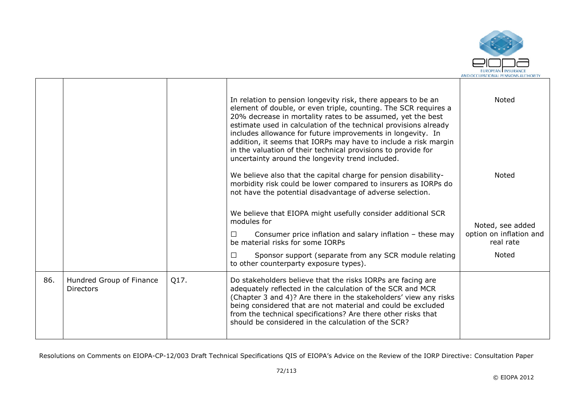

|     |                                              |      | In relation to pension longevity risk, there appears to be an<br>element of double, or even triple, counting. The SCR requires a<br>20% decrease in mortality rates to be assumed, yet the best<br>estimate used in calculation of the technical provisions already<br>includes allowance for future improvements in longevity. In<br>addition, it seems that IORPs may have to include a risk margin<br>in the valuation of their technical provisions to provide for<br>uncertainty around the longevity trend included.<br>We believe also that the capital charge for pension disability-<br>morbidity risk could be lower compared to insurers as IORPs do<br>not have the potential disadvantage of adverse selection. | Noted<br>Noted                              |
|-----|----------------------------------------------|------|------------------------------------------------------------------------------------------------------------------------------------------------------------------------------------------------------------------------------------------------------------------------------------------------------------------------------------------------------------------------------------------------------------------------------------------------------------------------------------------------------------------------------------------------------------------------------------------------------------------------------------------------------------------------------------------------------------------------------|---------------------------------------------|
|     |                                              |      | We believe that EIOPA might usefully consider additional SCR<br>modules for<br>Consumer price inflation and salary inflation $-$ these may<br>П                                                                                                                                                                                                                                                                                                                                                                                                                                                                                                                                                                              | Noted, see added<br>option on inflation and |
|     |                                              |      | be material risks for some IORPs<br>Sponsor support (separate from any SCR module relating<br>П<br>to other counterparty exposure types).                                                                                                                                                                                                                                                                                                                                                                                                                                                                                                                                                                                    | real rate<br>Noted                          |
| 86. | Hundred Group of Finance<br><b>Directors</b> | Q17. | Do stakeholders believe that the risks IORPs are facing are<br>adequately reflected in the calculation of the SCR and MCR<br>(Chapter 3 and 4)? Are there in the stakeholders' view any risks<br>being considered that are not material and could be excluded<br>from the technical specifications? Are there other risks that<br>should be considered in the calculation of the SCR?                                                                                                                                                                                                                                                                                                                                        |                                             |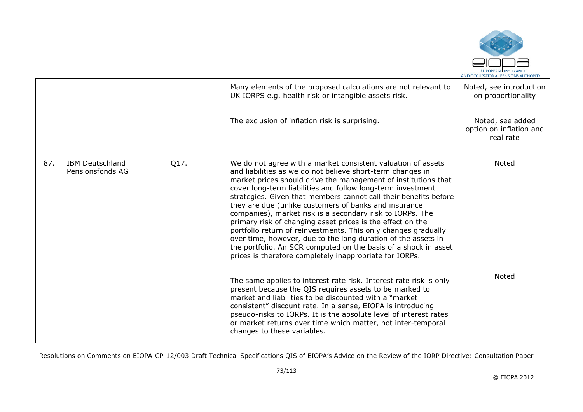

|     |                                            |      | Many elements of the proposed calculations are not relevant to<br>UK IORPS e.g. health risk or intangible assets risk.                                                                                                                                                                                                                                                                                                                                                                                                                                                                                                                                                                                                                                                               | Noted, see introduction<br>on proportionality            |
|-----|--------------------------------------------|------|--------------------------------------------------------------------------------------------------------------------------------------------------------------------------------------------------------------------------------------------------------------------------------------------------------------------------------------------------------------------------------------------------------------------------------------------------------------------------------------------------------------------------------------------------------------------------------------------------------------------------------------------------------------------------------------------------------------------------------------------------------------------------------------|----------------------------------------------------------|
|     |                                            |      | The exclusion of inflation risk is surprising.                                                                                                                                                                                                                                                                                                                                                                                                                                                                                                                                                                                                                                                                                                                                       | Noted, see added<br>option on inflation and<br>real rate |
| 87. | <b>IBM Deutschland</b><br>Pensionsfonds AG | Q17. | We do not agree with a market consistent valuation of assets<br>and liabilities as we do not believe short-term changes in<br>market prices should drive the management of institutions that<br>cover long-term liabilities and follow long-term investment<br>strategies. Given that members cannot call their benefits before<br>they are due (unlike customers of banks and insurance<br>companies), market risk is a secondary risk to IORPs. The<br>primary risk of changing asset prices is the effect on the<br>portfolio return of reinvestments. This only changes gradually<br>over time, however, due to the long duration of the assets in<br>the portfolio. An SCR computed on the basis of a shock in asset<br>prices is therefore completely inappropriate for IORPs. | Noted                                                    |
|     |                                            |      | The same applies to interest rate risk. Interest rate risk is only<br>present because the QIS requires assets to be marked to<br>market and liabilities to be discounted with a "market"<br>consistent" discount rate. In a sense, EIOPA is introducing<br>pseudo-risks to IORPs. It is the absolute level of interest rates<br>or market returns over time which matter, not inter-temporal<br>changes to these variables.                                                                                                                                                                                                                                                                                                                                                          | <b>Noted</b>                                             |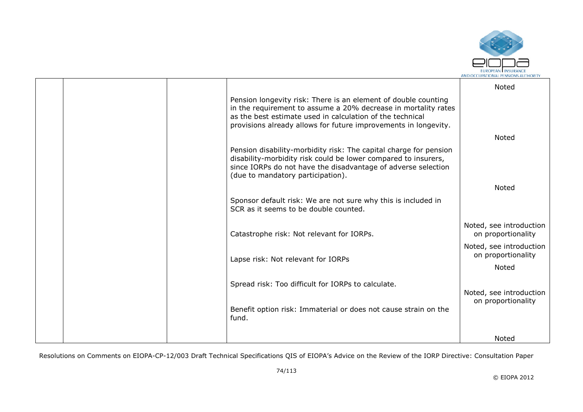

|  |                                                                                                                                                                                                                                                                  | Noted                                         |
|--|------------------------------------------------------------------------------------------------------------------------------------------------------------------------------------------------------------------------------------------------------------------|-----------------------------------------------|
|  | Pension longevity risk: There is an element of double counting<br>in the requirement to assume a 20% decrease in mortality rates<br>as the best estimate used in calculation of the technical<br>provisions already allows for future improvements in longevity. |                                               |
|  |                                                                                                                                                                                                                                                                  | <b>Noted</b>                                  |
|  | Pension disability-morbidity risk: The capital charge for pension<br>disability-morbidity risk could be lower compared to insurers,<br>since IORPs do not have the disadvantage of adverse selection<br>(due to mandatory participation).                        |                                               |
|  |                                                                                                                                                                                                                                                                  | Noted                                         |
|  | Sponsor default risk: We are not sure why this is included in<br>SCR as it seems to be double counted.                                                                                                                                                           |                                               |
|  | Catastrophe risk: Not relevant for IORPs.                                                                                                                                                                                                                        | Noted, see introduction<br>on proportionality |
|  | Lapse risk: Not relevant for IORPs                                                                                                                                                                                                                               | Noted, see introduction<br>on proportionality |
|  |                                                                                                                                                                                                                                                                  | <b>Noted</b>                                  |
|  | Spread risk: Too difficult for IORPs to calculate.                                                                                                                                                                                                               | Noted, see introduction                       |
|  | Benefit option risk: Immaterial or does not cause strain on the<br>fund.                                                                                                                                                                                         | on proportionality                            |
|  |                                                                                                                                                                                                                                                                  | Noted                                         |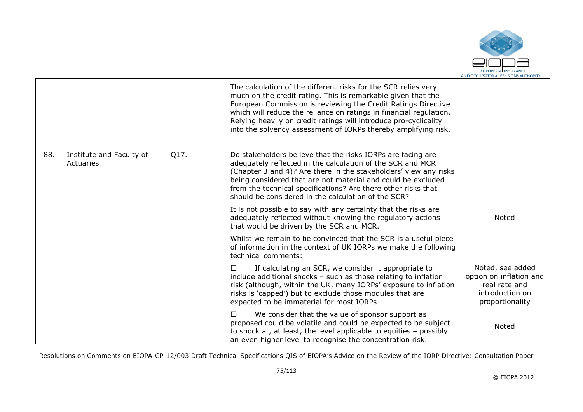

|     |                                       |      | The calculation of the different risks for the SCR relies very<br>much on the credit rating. This is remarkable given that the<br>European Commission is reviewing the Credit Ratings Directive<br>which will reduce the reliance on ratings in financial regulation.<br>Relying heavily on credit ratings will introduce pro-cyclicality<br>into the solvency assessment of IORPs thereby amplifying risk. |                                                                                                    |
|-----|---------------------------------------|------|-------------------------------------------------------------------------------------------------------------------------------------------------------------------------------------------------------------------------------------------------------------------------------------------------------------------------------------------------------------------------------------------------------------|----------------------------------------------------------------------------------------------------|
| 88. | Institute and Faculty of<br>Actuaries | Q17. | Do stakeholders believe that the risks IORPs are facing are<br>adequately reflected in the calculation of the SCR and MCR<br>(Chapter 3 and 4)? Are there in the stakeholders' view any risks<br>being considered that are not material and could be excluded<br>from the technical specifications? Are there other risks that<br>should be considered in the calculation of the SCR?                       |                                                                                                    |
|     |                                       |      | It is not possible to say with any certainty that the risks are<br>adequately reflected without knowing the regulatory actions<br>that would be driven by the SCR and MCR.                                                                                                                                                                                                                                  | <b>Noted</b>                                                                                       |
|     |                                       |      | Whilst we remain to be convinced that the SCR is a useful piece<br>of information in the context of UK IORPs we make the following<br>technical comments:                                                                                                                                                                                                                                                   |                                                                                                    |
|     |                                       |      | If calculating an SCR, we consider it appropriate to<br>include additional shocks - such as those relating to inflation<br>risk (although, within the UK, many IORPs' exposure to inflation<br>risks is 'capped') but to exclude those modules that are<br>expected to be immaterial for most IORPs                                                                                                         | Noted, see added<br>option on inflation and<br>real rate and<br>introduction on<br>proportionality |
|     |                                       |      | We consider that the value of sponsor support as<br>$\perp$<br>proposed could be volatile and could be expected to be subject<br>to shock at, at least, the level applicable to equities - possibly<br>an even higher level to recognise the concentration risk.                                                                                                                                            | Noted                                                                                              |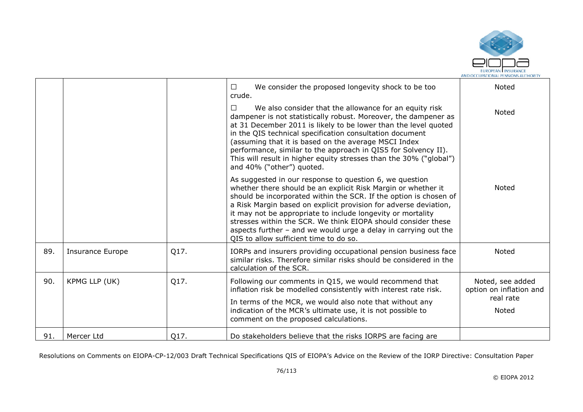

|     |                         |      | We consider the proposed longevity shock to be too<br>$\Box$<br>crude.                                                                                                                                                                                                                                                                                                                                                                                                                                           | Noted                                                             |
|-----|-------------------------|------|------------------------------------------------------------------------------------------------------------------------------------------------------------------------------------------------------------------------------------------------------------------------------------------------------------------------------------------------------------------------------------------------------------------------------------------------------------------------------------------------------------------|-------------------------------------------------------------------|
|     |                         |      | We also consider that the allowance for an equity risk<br>$\Box$<br>dampener is not statistically robust. Moreover, the dampener as<br>at 31 December 2011 is likely to be lower than the level quoted<br>in the QIS technical specification consultation document<br>(assuming that it is based on the average MSCI Index<br>performance, similar to the approach in QIS5 for Solvency II).<br>This will result in higher equity stresses than the 30% ("global")<br>and 40% ("other") quoted.                  | <b>Noted</b>                                                      |
|     |                         |      | As suggested in our response to question 6, we question<br>whether there should be an explicit Risk Margin or whether it<br>should be incorporated within the SCR. If the option is chosen of<br>a Risk Margin based on explicit provision for adverse deviation,<br>it may not be appropriate to include longevity or mortality<br>stresses within the SCR. We think EIOPA should consider these<br>aspects further $-$ and we would urge a delay in carrying out the<br>OIS to allow sufficient time to do so. | Noted                                                             |
| 89. | <b>Insurance Europe</b> | Q17. | IORPs and insurers providing occupational pension business face<br>similar risks. Therefore similar risks should be considered in the<br>calculation of the SCR.                                                                                                                                                                                                                                                                                                                                                 | Noted                                                             |
| 90. | KPMG LLP (UK)           | Q17. | Following our comments in Q15, we would recommend that<br>inflation risk be modelled consistently with interest rate risk.<br>In terms of the MCR, we would also note that without any<br>indication of the MCR's ultimate use, it is not possible to<br>comment on the proposed calculations.                                                                                                                                                                                                                   | Noted, see added<br>option on inflation and<br>real rate<br>Noted |
| 91. | Mercer Ltd              | Q17. | Do stakeholders believe that the risks IORPS are facing are                                                                                                                                                                                                                                                                                                                                                                                                                                                      |                                                                   |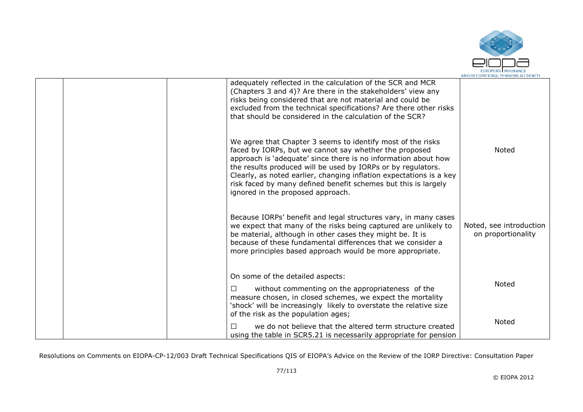

| adequately reflected in the calculation of the SCR and MCR<br>(Chapters 3 and 4)? Are there in the stakeholders' view any<br>risks being considered that are not material and could be<br>excluded from the technical specifications? Are there other risks<br>that should be considered in the calculation of the SCR?                                                                                                               |                                               |
|---------------------------------------------------------------------------------------------------------------------------------------------------------------------------------------------------------------------------------------------------------------------------------------------------------------------------------------------------------------------------------------------------------------------------------------|-----------------------------------------------|
| We agree that Chapter 3 seems to identify most of the risks<br>faced by IORPs, but we cannot say whether the proposed<br>approach is 'adequate' since there is no information about how<br>the results produced will be used by IORPs or by regulators.<br>Clearly, as noted earlier, changing inflation expectations is a key<br>risk faced by many defined benefit schemes but this is largely<br>ignored in the proposed approach. | Noted                                         |
| Because IORPs' benefit and legal structures vary, in many cases<br>we expect that many of the risks being captured are unlikely to<br>be material, although in other cases they might be. It is<br>because of these fundamental differences that we consider a<br>more principles based approach would be more appropriate.                                                                                                           | Noted, see introduction<br>on proportionality |
| On some of the detailed aspects:<br>without commenting on the appropriateness of the<br>□                                                                                                                                                                                                                                                                                                                                             | Noted                                         |
| measure chosen, in closed schemes, we expect the mortality<br>'shock' will be increasingly likely to overstate the relative size<br>of the risk as the population ages;<br>П<br>we do not believe that the altered term structure created<br>using the table in SCR5.21 is necessarily appropriate for pension                                                                                                                        | Noted                                         |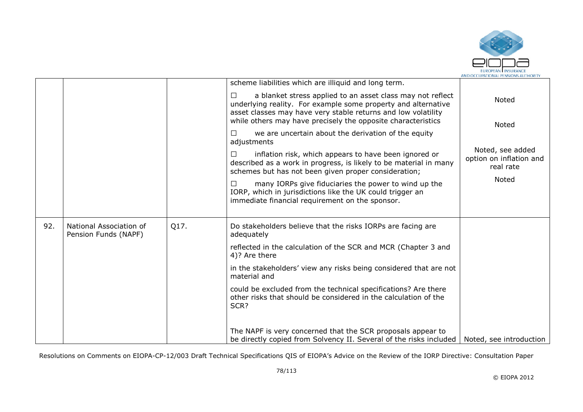

|     |                                                 |      | scheme liabilities which are illiquid and long term.                                                                                                                                                                                                                                                                                                                                                                                            |                                                                            |
|-----|-------------------------------------------------|------|-------------------------------------------------------------------------------------------------------------------------------------------------------------------------------------------------------------------------------------------------------------------------------------------------------------------------------------------------------------------------------------------------------------------------------------------------|----------------------------------------------------------------------------|
|     |                                                 |      | a blanket stress applied to an asset class may not reflect<br>$\Box$<br>underlying reality. For example some property and alternative<br>asset classes may have very stable returns and low volatility<br>while others may have precisely the opposite characteristics                                                                                                                                                                          | Noted                                                                      |
|     |                                                 |      | we are uncertain about the derivation of the equity<br>□<br>adjustments<br>inflation risk, which appears to have been ignored or<br>□<br>described as a work in progress, is likely to be material in many<br>schemes but has not been given proper consideration;<br>many IORPs give fiduciaries the power to wind up the<br>⊔<br>IORP, which in jurisdictions like the UK could trigger an<br>immediate financial requirement on the sponsor. | Noted<br>Noted, see added<br>option on inflation and<br>real rate<br>Noted |
| 92. | National Association of<br>Pension Funds (NAPF) | Q17. | Do stakeholders believe that the risks IORPs are facing are<br>adequately                                                                                                                                                                                                                                                                                                                                                                       |                                                                            |
|     |                                                 |      | reflected in the calculation of the SCR and MCR (Chapter 3 and<br>4)? Are there                                                                                                                                                                                                                                                                                                                                                                 |                                                                            |
|     |                                                 |      | in the stakeholders' view any risks being considered that are not<br>material and                                                                                                                                                                                                                                                                                                                                                               |                                                                            |
|     |                                                 |      | could be excluded from the technical specifications? Are there<br>other risks that should be considered in the calculation of the<br>SCR?                                                                                                                                                                                                                                                                                                       |                                                                            |
|     |                                                 |      | The NAPF is very concerned that the SCR proposals appear to<br>be directly copied from Solvency II. Several of the risks included                                                                                                                                                                                                                                                                                                               | Noted, see introduction                                                    |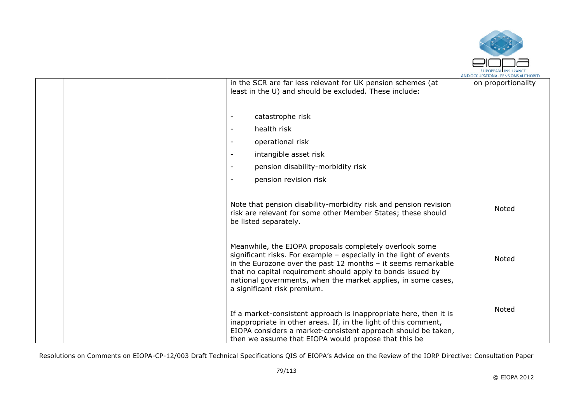

| in the SCR are far less relevant for UK pension schemes (at<br>least in the U) and should be excluded. These include:                                                                                                                                                                                                                                           | on proportionality |
|-----------------------------------------------------------------------------------------------------------------------------------------------------------------------------------------------------------------------------------------------------------------------------------------------------------------------------------------------------------------|--------------------|
| catastrophe risk                                                                                                                                                                                                                                                                                                                                                |                    |
| health risk                                                                                                                                                                                                                                                                                                                                                     |                    |
| operational risk                                                                                                                                                                                                                                                                                                                                                |                    |
| intangible asset risk                                                                                                                                                                                                                                                                                                                                           |                    |
| pension disability-morbidity risk<br>$\overline{\phantom{a}}$                                                                                                                                                                                                                                                                                                   |                    |
| pension revision risk                                                                                                                                                                                                                                                                                                                                           |                    |
| Note that pension disability-morbidity risk and pension revision<br>risk are relevant for some other Member States; these should<br>be listed separately.                                                                                                                                                                                                       | Noted              |
| Meanwhile, the EIOPA proposals completely overlook some<br>significant risks. For example - especially in the light of events<br>in the Eurozone over the past 12 months $-$ it seems remarkable<br>that no capital requirement should apply to bonds issued by<br>national governments, when the market applies, in some cases,<br>a significant risk premium. | Noted              |
| If a market-consistent approach is inappropriate here, then it is<br>inappropriate in other areas. If, in the light of this comment,<br>EIOPA considers a market-consistent approach should be taken,<br>then we assume that EIOPA would propose that this be                                                                                                   | Noted              |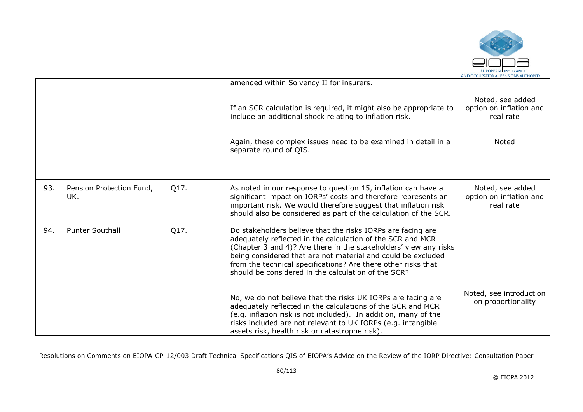

|     |                                 |      | amended within Solvency II for insurers.                                                                                                                                                                                                                                                                                                                                              |                                                          |
|-----|---------------------------------|------|---------------------------------------------------------------------------------------------------------------------------------------------------------------------------------------------------------------------------------------------------------------------------------------------------------------------------------------------------------------------------------------|----------------------------------------------------------|
|     |                                 |      | If an SCR calculation is required, it might also be appropriate to<br>include an additional shock relating to inflation risk.                                                                                                                                                                                                                                                         | Noted, see added<br>option on inflation and<br>real rate |
|     |                                 |      | Again, these complex issues need to be examined in detail in a<br>separate round of QIS.                                                                                                                                                                                                                                                                                              | Noted                                                    |
|     |                                 |      |                                                                                                                                                                                                                                                                                                                                                                                       |                                                          |
| 93. | Pension Protection Fund,<br>UK. | Q17. | As noted in our response to question 15, inflation can have a<br>significant impact on IORPs' costs and therefore represents an<br>important risk. We would therefore suggest that inflation risk<br>should also be considered as part of the calculation of the SCR.                                                                                                                 | Noted, see added<br>option on inflation and<br>real rate |
| 94. | <b>Punter Southall</b>          | Q17. | Do stakeholders believe that the risks IORPs are facing are<br>adequately reflected in the calculation of the SCR and MCR<br>(Chapter 3 and 4)? Are there in the stakeholders' view any risks<br>being considered that are not material and could be excluded<br>from the technical specifications? Are there other risks that<br>should be considered in the calculation of the SCR? |                                                          |
|     |                                 |      | No, we do not believe that the risks UK IORPs are facing are<br>adequately reflected in the calculations of the SCR and MCR<br>(e.g. inflation risk is not included). In addition, many of the<br>risks included are not relevant to UK IORPs (e.g. intangible<br>assets risk, health risk or catastrophe risk).                                                                      | Noted, see introduction<br>on proportionality            |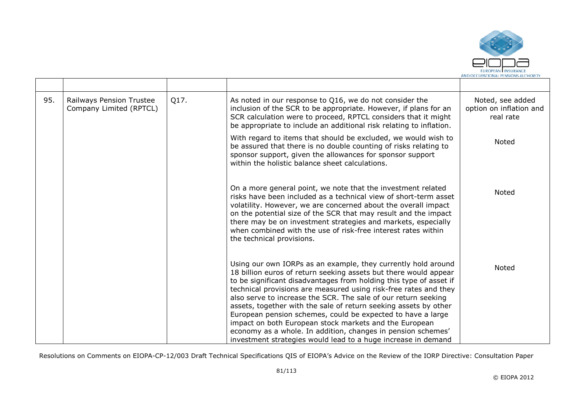

| 95. | Railways Pension Trustee<br>Company Limited (RPTCL) | Q17. | As noted in our response to Q16, we do not consider the<br>inclusion of the SCR to be appropriate. However, if plans for an<br>SCR calculation were to proceed, RPTCL considers that it might<br>be appropriate to include an additional risk relating to inflation.                                                                                                                                                                                                                                                                                                                                                                                                        | Noted, see added<br>option on inflation and<br>real rate |
|-----|-----------------------------------------------------|------|-----------------------------------------------------------------------------------------------------------------------------------------------------------------------------------------------------------------------------------------------------------------------------------------------------------------------------------------------------------------------------------------------------------------------------------------------------------------------------------------------------------------------------------------------------------------------------------------------------------------------------------------------------------------------------|----------------------------------------------------------|
|     |                                                     |      | With regard to items that should be excluded, we would wish to<br>be assured that there is no double counting of risks relating to<br>sponsor support, given the allowances for sponsor support<br>within the holistic balance sheet calculations.                                                                                                                                                                                                                                                                                                                                                                                                                          | Noted                                                    |
|     |                                                     |      | On a more general point, we note that the investment related<br>risks have been included as a technical view of short-term asset<br>volatility. However, we are concerned about the overall impact<br>on the potential size of the SCR that may result and the impact<br>there may be on investment strategies and markets, especially<br>when combined with the use of risk-free interest rates within<br>the technical provisions.                                                                                                                                                                                                                                        | Noted                                                    |
|     |                                                     |      | Using our own IORPs as an example, they currently hold around<br>18 billion euros of return seeking assets but there would appear<br>to be significant disadvantages from holding this type of asset if<br>technical provisions are measured using risk-free rates and they<br>also serve to increase the SCR. The sale of our return seeking<br>assets, together with the sale of return seeking assets by other<br>European pension schemes, could be expected to have a large<br>impact on both European stock markets and the European<br>economy as a whole. In addition, changes in pension schemes'<br>investment strategies would lead to a huge increase in demand | Noted                                                    |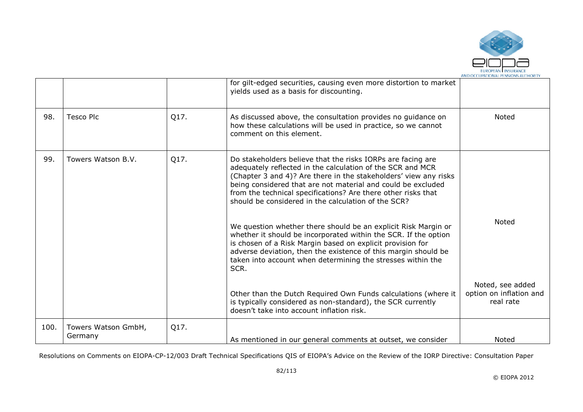

|      |                                |      | for gilt-edged securities, causing even more distortion to market<br>yields used as a basis for discounting.                                                                                                                                                                                                                                                                                                                                                                                                                                                                                                                                                                                                                      |                                      |
|------|--------------------------------|------|-----------------------------------------------------------------------------------------------------------------------------------------------------------------------------------------------------------------------------------------------------------------------------------------------------------------------------------------------------------------------------------------------------------------------------------------------------------------------------------------------------------------------------------------------------------------------------------------------------------------------------------------------------------------------------------------------------------------------------------|--------------------------------------|
| 98.  | <b>Tesco Plc</b>               | Q17. | As discussed above, the consultation provides no guidance on<br>how these calculations will be used in practice, so we cannot<br>comment on this element.                                                                                                                                                                                                                                                                                                                                                                                                                                                                                                                                                                         | Noted                                |
| 99.  | Towers Watson B.V.             | Q17. | Do stakeholders believe that the risks IORPs are facing are<br>adequately reflected in the calculation of the SCR and MCR<br>(Chapter 3 and 4)? Are there in the stakeholders' view any risks<br>being considered that are not material and could be excluded<br>from the technical specifications? Are there other risks that<br>should be considered in the calculation of the SCR?<br>We question whether there should be an explicit Risk Margin or<br>whether it should be incorporated within the SCR. If the option<br>is chosen of a Risk Margin based on explicit provision for<br>adverse deviation, then the existence of this margin should be<br>taken into account when determining the stresses within the<br>SCR. | <b>Noted</b><br>Noted, see added     |
|      |                                |      | Other than the Dutch Required Own Funds calculations (where it<br>is typically considered as non-standard), the SCR currently<br>doesn't take into account inflation risk.                                                                                                                                                                                                                                                                                                                                                                                                                                                                                                                                                        | option on inflation and<br>real rate |
| 100. | Towers Watson GmbH,<br>Germany | Q17. | As mentioned in our general comments at outset, we consider                                                                                                                                                                                                                                                                                                                                                                                                                                                                                                                                                                                                                                                                       | Noted                                |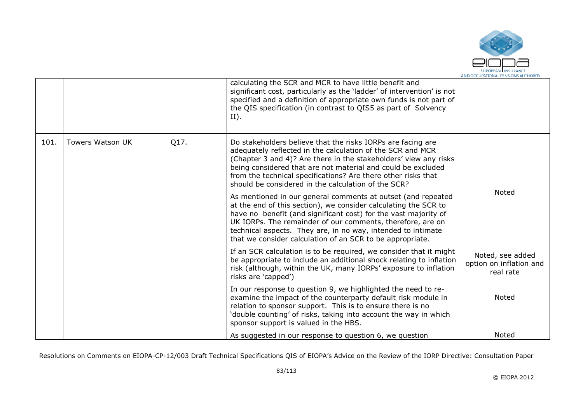

|      |                         |      | calculating the SCR and MCR to have little benefit and<br>significant cost, particularly as the 'ladder' of intervention' is not<br>specified and a definition of appropriate own funds is not part of<br>the QIS specification (in contrast to QIS5 as part of Solvency<br>$II$ ).                                                                                                           |                                                          |
|------|-------------------------|------|-----------------------------------------------------------------------------------------------------------------------------------------------------------------------------------------------------------------------------------------------------------------------------------------------------------------------------------------------------------------------------------------------|----------------------------------------------------------|
| 101. | <b>Towers Watson UK</b> | Q17. | Do stakeholders believe that the risks IORPs are facing are<br>adequately reflected in the calculation of the SCR and MCR<br>(Chapter 3 and 4)? Are there in the stakeholders' view any risks<br>being considered that are not material and could be excluded<br>from the technical specifications? Are there other risks that<br>should be considered in the calculation of the SCR?         |                                                          |
|      |                         |      | As mentioned in our general comments at outset (and repeated<br>at the end of this section), we consider calculating the SCR to<br>have no benefit (and significant cost) for the vast majority of<br>UK IORPs. The remainder of our comments, therefore, are on<br>technical aspects. They are, in no way, intended to intimate<br>that we consider calculation of an SCR to be appropriate. | Noted                                                    |
|      |                         |      | If an SCR calculation is to be required, we consider that it might<br>be appropriate to include an additional shock relating to inflation<br>risk (although, within the UK, many IORPs' exposure to inflation<br>risks are 'capped')                                                                                                                                                          | Noted, see added<br>option on inflation and<br>real rate |
|      |                         |      | In our response to question 9, we highlighted the need to re-<br>examine the impact of the counterparty default risk module in<br>relation to sponsor support. This is to ensure there is no<br>'double counting' of risks, taking into account the way in which<br>sponsor support is valued in the HBS.                                                                                     | Noted                                                    |
|      |                         |      | As suggested in our response to question 6, we question                                                                                                                                                                                                                                                                                                                                       | Noted                                                    |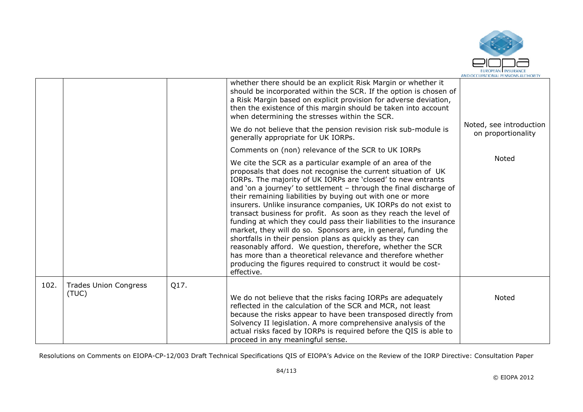

|      |                                       |      | whether there should be an explicit Risk Margin or whether it<br>should be incorporated within the SCR. If the option is chosen of<br>a Risk Margin based on explicit provision for adverse deviation,<br>then the existence of this margin should be taken into account<br>when determining the stresses within the SCR.<br>We do not believe that the pension revision risk sub-module is<br>generally appropriate for UK IORPs.<br>Comments on (non) relevance of the SCR to UK IORPs<br>We cite the SCR as a particular example of an area of the<br>proposals that does not recognise the current situation of UK<br>IORPs. The majority of UK IORPs are 'closed' to new entrants<br>and 'on a journey' to settlement - through the final discharge of<br>their remaining liabilities by buying out with one or more<br>insurers. Unlike insurance companies, UK IORPs do not exist to<br>transact business for profit. As soon as they reach the level of<br>funding at which they could pass their liabilities to the insurance<br>market, they will do so. Sponsors are, in general, funding the<br>shortfalls in their pension plans as quickly as they can<br>reasonably afford. We question, therefore, whether the SCR<br>has more than a theoretical relevance and therefore whether<br>producing the figures required to construct it would be cost-<br>effective. | Noted, see introduction<br>on proportionality<br>Noted |
|------|---------------------------------------|------|----------------------------------------------------------------------------------------------------------------------------------------------------------------------------------------------------------------------------------------------------------------------------------------------------------------------------------------------------------------------------------------------------------------------------------------------------------------------------------------------------------------------------------------------------------------------------------------------------------------------------------------------------------------------------------------------------------------------------------------------------------------------------------------------------------------------------------------------------------------------------------------------------------------------------------------------------------------------------------------------------------------------------------------------------------------------------------------------------------------------------------------------------------------------------------------------------------------------------------------------------------------------------------------------------------------------------------------------------------------------------------|--------------------------------------------------------|
| 102. | <b>Trades Union Congress</b><br>(TUC) | Q17. | We do not believe that the risks facing IORPs are adequately<br>reflected in the calculation of the SCR and MCR, not least<br>because the risks appear to have been transposed directly from<br>Solvency II legislation. A more comprehensive analysis of the<br>actual risks faced by IORPs is required before the QIS is able to<br>proceed in any meaningful sense.                                                                                                                                                                                                                                                                                                                                                                                                                                                                                                                                                                                                                                                                                                                                                                                                                                                                                                                                                                                                           | Noted                                                  |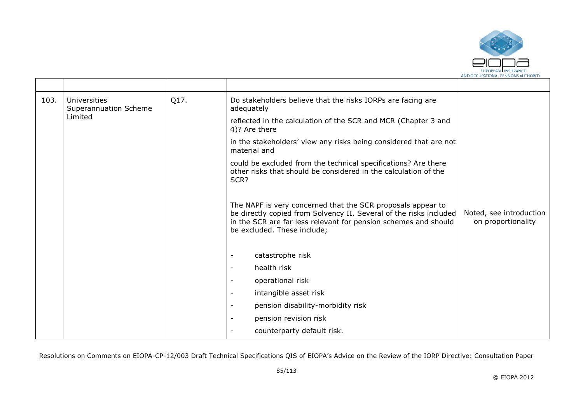

| 103. | Universities<br>Superannuation Scheme | Q17. | Do stakeholders believe that the risks IORPs are facing are<br>adequately                                                                                                                                                           |                                               |
|------|---------------------------------------|------|-------------------------------------------------------------------------------------------------------------------------------------------------------------------------------------------------------------------------------------|-----------------------------------------------|
|      | Limited                               |      | reflected in the calculation of the SCR and MCR (Chapter 3 and<br>4)? Are there                                                                                                                                                     |                                               |
|      |                                       |      | in the stakeholders' view any risks being considered that are not<br>material and                                                                                                                                                   |                                               |
|      |                                       |      | could be excluded from the technical specifications? Are there<br>other risks that should be considered in the calculation of the<br>SCR?                                                                                           |                                               |
|      |                                       |      | The NAPF is very concerned that the SCR proposals appear to<br>be directly copied from Solvency II. Several of the risks included<br>in the SCR are far less relevant for pension schemes and should<br>be excluded. These include; | Noted, see introduction<br>on proportionality |
|      |                                       |      | catastrophe risk                                                                                                                                                                                                                    |                                               |
|      |                                       |      | health risk<br>$\overline{\phantom{a}}$                                                                                                                                                                                             |                                               |
|      |                                       |      | operational risk<br>$\overline{\phantom{0}}$                                                                                                                                                                                        |                                               |
|      |                                       |      | intangible asset risk<br>$\overline{\phantom{a}}$                                                                                                                                                                                   |                                               |
|      |                                       |      | pension disability-morbidity risk<br>$\overline{\phantom{a}}$                                                                                                                                                                       |                                               |
|      |                                       |      | pension revision risk<br>$\overline{\phantom{a}}$                                                                                                                                                                                   |                                               |
|      |                                       |      | counterparty default risk.                                                                                                                                                                                                          |                                               |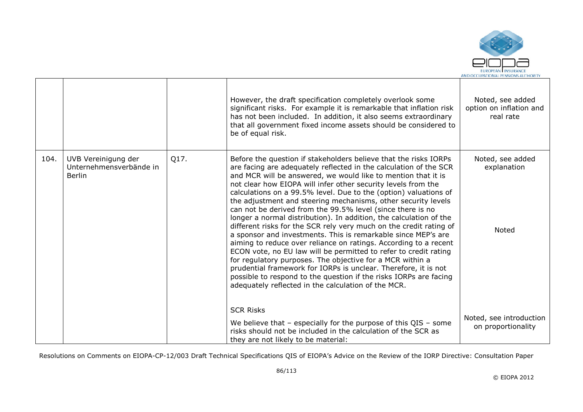

|      |                                                                 |      | However, the draft specification completely overlook some<br>significant risks. For example it is remarkable that inflation risk<br>has not been included. In addition, it also seems extraordinary<br>that all government fixed income assets should be considered to<br>be of equal risk.                                                                                                                                                                                                                                                                                                                                                                                                                                                                                                                                                                                                                                                                                                                                                                                                 | Noted, see added<br>option on inflation and<br>real rate |
|------|-----------------------------------------------------------------|------|---------------------------------------------------------------------------------------------------------------------------------------------------------------------------------------------------------------------------------------------------------------------------------------------------------------------------------------------------------------------------------------------------------------------------------------------------------------------------------------------------------------------------------------------------------------------------------------------------------------------------------------------------------------------------------------------------------------------------------------------------------------------------------------------------------------------------------------------------------------------------------------------------------------------------------------------------------------------------------------------------------------------------------------------------------------------------------------------|----------------------------------------------------------|
| 104. | UVB Vereinigung der<br>Unternehmensverbände in<br><b>Berlin</b> | Q17. | Before the question if stakeholders believe that the risks IORPs<br>are facing are adequately reflected in the calculation of the SCR<br>and MCR will be answered, we would like to mention that it is<br>not clear how EIOPA will infer other security levels from the<br>calculations on a 99.5% level. Due to the (option) valuations of<br>the adjustment and steering mechanisms, other security levels<br>can not be derived from the 99.5% level (since there is no<br>longer a normal distribution). In addition, the calculation of the<br>different risks for the SCR rely very much on the credit rating of<br>a sponsor and investments. This is remarkable since MEP's are<br>aiming to reduce over reliance on ratings. According to a recent<br>ECON vote, no EU law will be permitted to refer to credit rating<br>for regulatory purposes. The objective for a MCR within a<br>prudential framework for IORPs is unclear. Therefore, it is not<br>possible to respond to the question if the risks IORPs are facing<br>adequately reflected in the calculation of the MCR. | Noted, see added<br>explanation<br>Noted                 |
|      |                                                                 |      | <b>SCR Risks</b><br>We believe that $-$ especially for the purpose of this QIS $-$ some<br>risks should not be included in the calculation of the SCR as<br>they are not likely to be material:                                                                                                                                                                                                                                                                                                                                                                                                                                                                                                                                                                                                                                                                                                                                                                                                                                                                                             | Noted, see introduction<br>on proportionality            |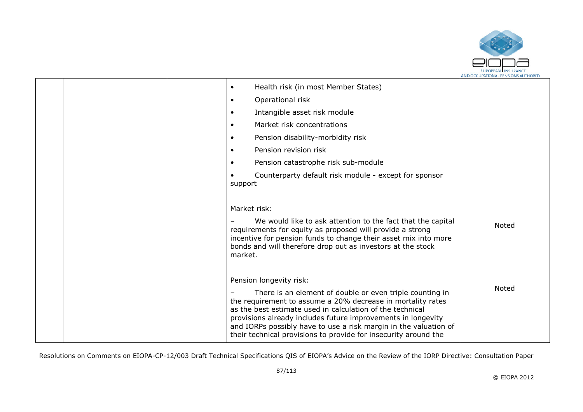

|  | Health risk (in most Member States)<br>$\bullet$                                                                                                                                                                                                                                                                                                                                            |              |
|--|---------------------------------------------------------------------------------------------------------------------------------------------------------------------------------------------------------------------------------------------------------------------------------------------------------------------------------------------------------------------------------------------|--------------|
|  | Operational risk<br>$\bullet$                                                                                                                                                                                                                                                                                                                                                               |              |
|  | Intangible asset risk module<br>$\bullet$                                                                                                                                                                                                                                                                                                                                                   |              |
|  | Market risk concentrations<br>$\bullet$                                                                                                                                                                                                                                                                                                                                                     |              |
|  | Pension disability-morbidity risk<br>$\bullet$                                                                                                                                                                                                                                                                                                                                              |              |
|  | Pension revision risk<br>$\bullet$                                                                                                                                                                                                                                                                                                                                                          |              |
|  | Pension catastrophe risk sub-module<br>$\bullet$                                                                                                                                                                                                                                                                                                                                            |              |
|  | Counterparty default risk module - except for sponsor<br>support                                                                                                                                                                                                                                                                                                                            |              |
|  | Market risk:                                                                                                                                                                                                                                                                                                                                                                                |              |
|  | We would like to ask attention to the fact that the capital<br>requirements for equity as proposed will provide a strong<br>incentive for pension funds to change their asset mix into more<br>bonds and will therefore drop out as investors at the stock<br>market.                                                                                                                       | <b>Noted</b> |
|  | Pension longevity risk:                                                                                                                                                                                                                                                                                                                                                                     |              |
|  | There is an element of double or even triple counting in<br>the requirement to assume a 20% decrease in mortality rates<br>as the best estimate used in calculation of the technical<br>provisions already includes future improvements in longevity<br>and IORPs possibly have to use a risk margin in the valuation of<br>their technical provisions to provide for insecurity around the | <b>Noted</b> |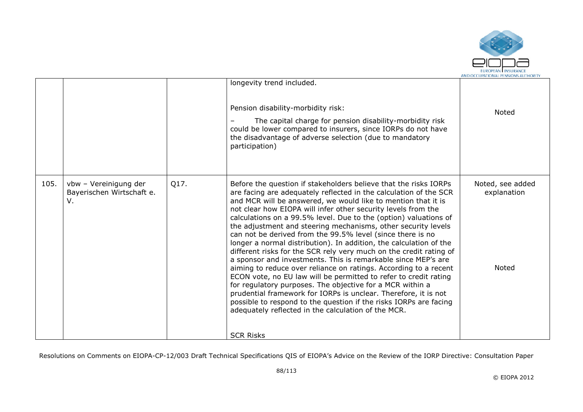

|                                                                  |      | longevity trend included.                                                                                                                                                                                                                                                                                                                                                                                                                                                                                                                                                                                                                                                                                                                                                                                                                                                                                                                                                                                                                                                                                       |                                          |
|------------------------------------------------------------------|------|-----------------------------------------------------------------------------------------------------------------------------------------------------------------------------------------------------------------------------------------------------------------------------------------------------------------------------------------------------------------------------------------------------------------------------------------------------------------------------------------------------------------------------------------------------------------------------------------------------------------------------------------------------------------------------------------------------------------------------------------------------------------------------------------------------------------------------------------------------------------------------------------------------------------------------------------------------------------------------------------------------------------------------------------------------------------------------------------------------------------|------------------------------------------|
|                                                                  |      | Pension disability-morbidity risk:<br>The capital charge for pension disability-morbidity risk<br>could be lower compared to insurers, since IORPs do not have<br>the disadvantage of adverse selection (due to mandatory<br>participation)                                                                                                                                                                                                                                                                                                                                                                                                                                                                                                                                                                                                                                                                                                                                                                                                                                                                     | Noted                                    |
| 105.<br>vbw - Vereinigung der<br>Bayerischen Wirtschaft e.<br>v. | Q17. | Before the question if stakeholders believe that the risks IORPs<br>are facing are adequately reflected in the calculation of the SCR<br>and MCR will be answered, we would like to mention that it is<br>not clear how EIOPA will infer other security levels from the<br>calculations on a 99.5% level. Due to the (option) valuations of<br>the adjustment and steering mechanisms, other security levels<br>can not be derived from the 99.5% level (since there is no<br>longer a normal distribution). In addition, the calculation of the<br>different risks for the SCR rely very much on the credit rating of<br>a sponsor and investments. This is remarkable since MEP's are<br>aiming to reduce over reliance on ratings. According to a recent<br>ECON vote, no EU law will be permitted to refer to credit rating<br>for regulatory purposes. The objective for a MCR within a<br>prudential framework for IORPs is unclear. Therefore, it is not<br>possible to respond to the question if the risks IORPs are facing<br>adequately reflected in the calculation of the MCR.<br><b>SCR Risks</b> | Noted, see added<br>explanation<br>Noted |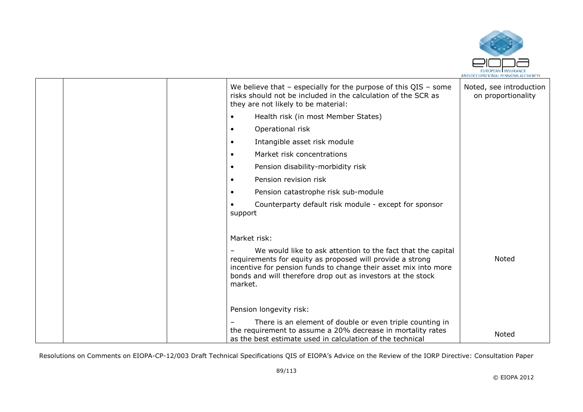

|  | We believe that $-$ especially for the purpose of this QIS $-$ some<br>risks should not be included in the calculation of the SCR as<br>they are not likely to be material:                                                                                           | Noted, see introduction<br>on proportionality |
|--|-----------------------------------------------------------------------------------------------------------------------------------------------------------------------------------------------------------------------------------------------------------------------|-----------------------------------------------|
|  | Health risk (in most Member States)<br>$\bullet$                                                                                                                                                                                                                      |                                               |
|  | Operational risk<br>$\bullet$                                                                                                                                                                                                                                         |                                               |
|  | Intangible asset risk module<br>$\bullet$                                                                                                                                                                                                                             |                                               |
|  | Market risk concentrations<br>$\bullet$                                                                                                                                                                                                                               |                                               |
|  | Pension disability-morbidity risk<br>$\bullet$                                                                                                                                                                                                                        |                                               |
|  | Pension revision risk<br>$\bullet$                                                                                                                                                                                                                                    |                                               |
|  | Pension catastrophe risk sub-module<br>$\bullet$                                                                                                                                                                                                                      |                                               |
|  | Counterparty default risk module - except for sponsor<br>support                                                                                                                                                                                                      |                                               |
|  | Market risk:                                                                                                                                                                                                                                                          |                                               |
|  | We would like to ask attention to the fact that the capital<br>requirements for equity as proposed will provide a strong<br>incentive for pension funds to change their asset mix into more<br>bonds and will therefore drop out as investors at the stock<br>market. | Noted                                         |
|  | Pension longevity risk:                                                                                                                                                                                                                                               |                                               |
|  | There is an element of double or even triple counting in                                                                                                                                                                                                              |                                               |
|  | the requirement to assume a 20% decrease in mortality rates<br>as the best estimate used in calculation of the technical                                                                                                                                              | Noted                                         |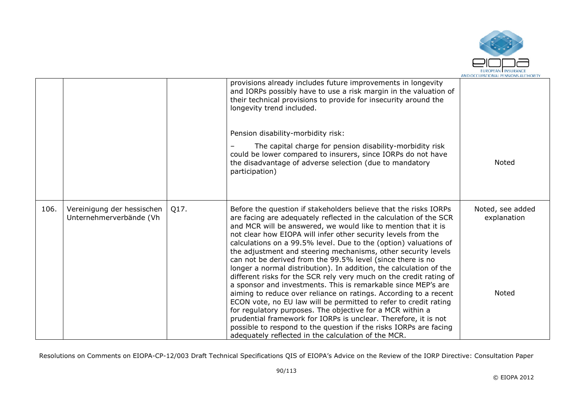

|      |                                                       |      | provisions already includes future improvements in longevity<br>and IORPs possibly have to use a risk margin in the valuation of<br>their technical provisions to provide for insecurity around the<br>longevity trend included.                                                                                                                                                                                                                                                                                                                                                                                                                                                                                                                                                                                                                                                                                                                                                                                                                                                            |                                          |
|------|-------------------------------------------------------|------|---------------------------------------------------------------------------------------------------------------------------------------------------------------------------------------------------------------------------------------------------------------------------------------------------------------------------------------------------------------------------------------------------------------------------------------------------------------------------------------------------------------------------------------------------------------------------------------------------------------------------------------------------------------------------------------------------------------------------------------------------------------------------------------------------------------------------------------------------------------------------------------------------------------------------------------------------------------------------------------------------------------------------------------------------------------------------------------------|------------------------------------------|
|      |                                                       |      | Pension disability-morbidity risk:                                                                                                                                                                                                                                                                                                                                                                                                                                                                                                                                                                                                                                                                                                                                                                                                                                                                                                                                                                                                                                                          |                                          |
|      |                                                       |      | The capital charge for pension disability-morbidity risk<br>could be lower compared to insurers, since IORPs do not have<br>the disadvantage of adverse selection (due to mandatory<br>participation)                                                                                                                                                                                                                                                                                                                                                                                                                                                                                                                                                                                                                                                                                                                                                                                                                                                                                       | Noted                                    |
| 106. | Vereinigung der hessischen<br>Unternehmerverbände (Vh | Q17. | Before the question if stakeholders believe that the risks IORPs<br>are facing are adequately reflected in the calculation of the SCR<br>and MCR will be answered, we would like to mention that it is<br>not clear how EIOPA will infer other security levels from the<br>calculations on a 99.5% level. Due to the (option) valuations of<br>the adjustment and steering mechanisms, other security levels<br>can not be derived from the 99.5% level (since there is no<br>longer a normal distribution). In addition, the calculation of the<br>different risks for the SCR rely very much on the credit rating of<br>a sponsor and investments. This is remarkable since MEP's are<br>aiming to reduce over reliance on ratings. According to a recent<br>ECON vote, no EU law will be permitted to refer to credit rating<br>for regulatory purposes. The objective for a MCR within a<br>prudential framework for IORPs is unclear. Therefore, it is not<br>possible to respond to the question if the risks IORPs are facing<br>adequately reflected in the calculation of the MCR. | Noted, see added<br>explanation<br>Noted |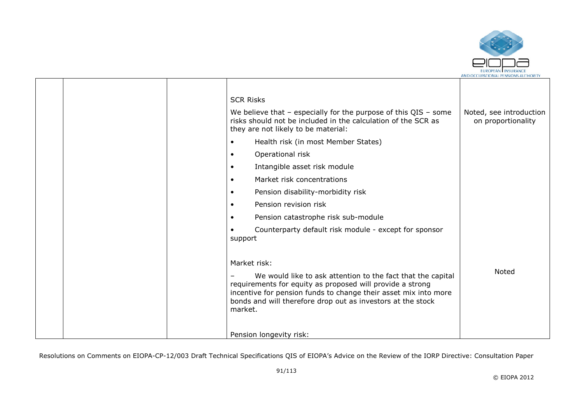

|  | <b>SCR Risks</b>                                                                                                                                                                                                                                                      |                                               |
|--|-----------------------------------------------------------------------------------------------------------------------------------------------------------------------------------------------------------------------------------------------------------------------|-----------------------------------------------|
|  | We believe that $-$ especially for the purpose of this QIS $-$ some<br>risks should not be included in the calculation of the SCR as<br>they are not likely to be material:                                                                                           | Noted, see introduction<br>on proportionality |
|  | Health risk (in most Member States)<br>$\bullet$                                                                                                                                                                                                                      |                                               |
|  | Operational risk<br>$\bullet$                                                                                                                                                                                                                                         |                                               |
|  | Intangible asset risk module<br>$\bullet$                                                                                                                                                                                                                             |                                               |
|  | Market risk concentrations<br>$\bullet$                                                                                                                                                                                                                               |                                               |
|  | Pension disability-morbidity risk<br>$\bullet$                                                                                                                                                                                                                        |                                               |
|  | Pension revision risk<br>$\bullet$                                                                                                                                                                                                                                    |                                               |
|  | Pension catastrophe risk sub-module<br>$\bullet$                                                                                                                                                                                                                      |                                               |
|  | Counterparty default risk module - except for sponsor<br>support                                                                                                                                                                                                      |                                               |
|  | Market risk:                                                                                                                                                                                                                                                          |                                               |
|  | We would like to ask attention to the fact that the capital<br>requirements for equity as proposed will provide a strong<br>incentive for pension funds to change their asset mix into more<br>bonds and will therefore drop out as investors at the stock<br>market. | Noted                                         |
|  | Pension longevity risk:                                                                                                                                                                                                                                               |                                               |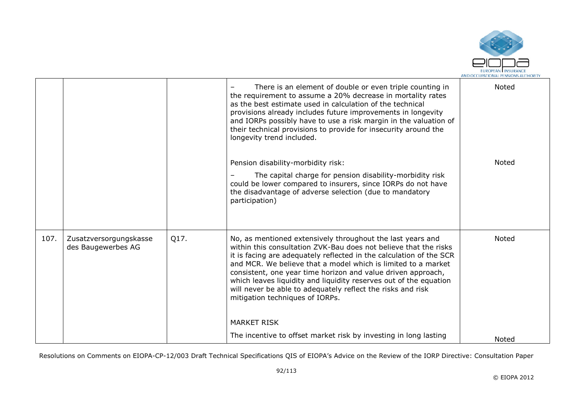

|      |                                              |      | There is an element of double or even triple counting in<br>the requirement to assume a 20% decrease in mortality rates<br>as the best estimate used in calculation of the technical<br>provisions already includes future improvements in longevity<br>and IORPs possibly have to use a risk margin in the valuation of<br>their technical provisions to provide for insecurity around the<br>longevity trend included.                                                                                                            | Noted        |
|------|----------------------------------------------|------|-------------------------------------------------------------------------------------------------------------------------------------------------------------------------------------------------------------------------------------------------------------------------------------------------------------------------------------------------------------------------------------------------------------------------------------------------------------------------------------------------------------------------------------|--------------|
|      |                                              |      | Pension disability-morbidity risk:<br>The capital charge for pension disability-morbidity risk<br>could be lower compared to insurers, since IORPs do not have<br>the disadvantage of adverse selection (due to mandatory<br>participation)                                                                                                                                                                                                                                                                                         | Noted        |
| 107. | Zusatzversorgungskasse<br>des Baugewerbes AG | Q17. | No, as mentioned extensively throughout the last years and<br>within this consultation ZVK-Bau does not believe that the risks<br>it is facing are adequately reflected in the calculation of the SCR<br>and MCR. We believe that a model which is limited to a market<br>consistent, one year time horizon and value driven approach,<br>which leaves liquidity and liquidity reserves out of the equation<br>will never be able to adequately reflect the risks and risk<br>mitigation techniques of IORPs.<br><b>MARKET RISK</b> | <b>Noted</b> |
|      |                                              |      | The incentive to offset market risk by investing in long lasting                                                                                                                                                                                                                                                                                                                                                                                                                                                                    | Noted        |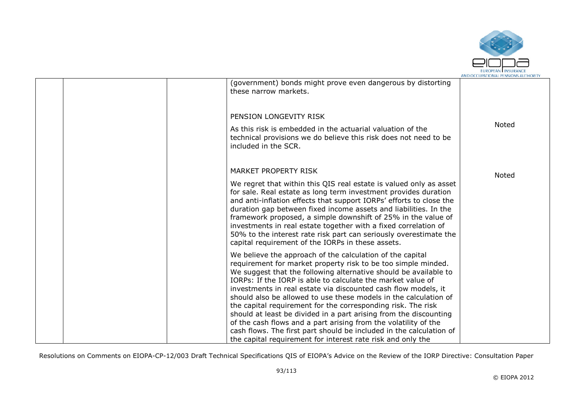

|  | (government) bonds might prove even dangerous by distorting<br>these narrow markets.                                                                                                                                                                                                                                                                                                                                                                                                                                                                                                                                                                                               |       |
|--|------------------------------------------------------------------------------------------------------------------------------------------------------------------------------------------------------------------------------------------------------------------------------------------------------------------------------------------------------------------------------------------------------------------------------------------------------------------------------------------------------------------------------------------------------------------------------------------------------------------------------------------------------------------------------------|-------|
|  | PENSION LONGEVITY RISK                                                                                                                                                                                                                                                                                                                                                                                                                                                                                                                                                                                                                                                             |       |
|  | As this risk is embedded in the actuarial valuation of the<br>technical provisions we do believe this risk does not need to be<br>included in the SCR.                                                                                                                                                                                                                                                                                                                                                                                                                                                                                                                             | Noted |
|  | MARKET PROPERTY RISK                                                                                                                                                                                                                                                                                                                                                                                                                                                                                                                                                                                                                                                               | Noted |
|  | We regret that within this QIS real estate is valued only as asset<br>for sale. Real estate as long term investment provides duration<br>and anti-inflation effects that support IORPs' efforts to close the<br>duration gap between fixed income assets and liabilities. In the<br>framework proposed, a simple downshift of 25% in the value of<br>investments in real estate together with a fixed correlation of<br>50% to the interest rate risk part can seriously overestimate the<br>capital requirement of the IORPs in these assets.                                                                                                                                     |       |
|  | We believe the approach of the calculation of the capital<br>requirement for market property risk to be too simple minded.<br>We suggest that the following alternative should be available to<br>IORPs: If the IORP is able to calculate the market value of<br>investments in real estate via discounted cash flow models, it<br>should also be allowed to use these models in the calculation of<br>the capital requirement for the corresponding risk. The risk<br>should at least be divided in a part arising from the discounting<br>of the cash flows and a part arising from the volatility of the<br>cash flows. The first part should be included in the calculation of |       |
|  | the capital requirement for interest rate risk and only the                                                                                                                                                                                                                                                                                                                                                                                                                                                                                                                                                                                                                        |       |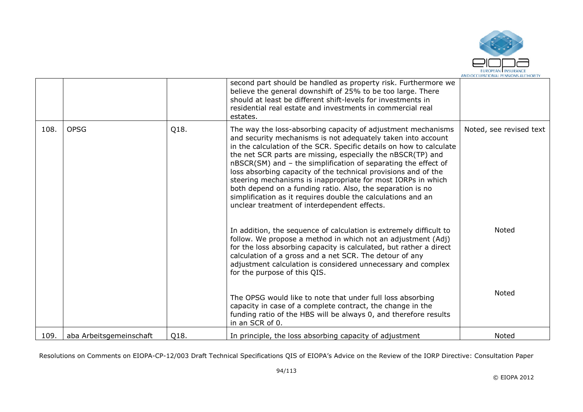

|      |                         |      | second part should be handled as property risk. Furthermore we<br>believe the general downshift of 25% to be too large. There<br>should at least be different shift-levels for investments in<br>residential real estate and investments in commercial real<br>estates.                                                                                                                                                                                                                                                                                                                                                                                                                                                                                                                                                                                                                                                                                                                     |                                  |
|------|-------------------------|------|---------------------------------------------------------------------------------------------------------------------------------------------------------------------------------------------------------------------------------------------------------------------------------------------------------------------------------------------------------------------------------------------------------------------------------------------------------------------------------------------------------------------------------------------------------------------------------------------------------------------------------------------------------------------------------------------------------------------------------------------------------------------------------------------------------------------------------------------------------------------------------------------------------------------------------------------------------------------------------------------|----------------------------------|
| 108. | <b>OPSG</b>             | Q18. | The way the loss-absorbing capacity of adjustment mechanisms<br>and security mechanisms is not adequately taken into account<br>in the calculation of the SCR. Specific details on how to calculate<br>the net SCR parts are missing, especially the nBSCR(TP) and<br>nBSCR(SM) and - the simplification of separating the effect of<br>loss absorbing capacity of the technical provisions and of the<br>steering mechanisms is inappropriate for most IORPs in which<br>both depend on a funding ratio. Also, the separation is no<br>simplification as it requires double the calculations and an<br>unclear treatment of interdependent effects.<br>In addition, the sequence of calculation is extremely difficult to<br>follow. We propose a method in which not an adjustment (Adj)<br>for the loss absorbing capacity is calculated, but rather a direct<br>calculation of a gross and a net SCR. The detour of any<br>adjustment calculation is considered unnecessary and complex | Noted, see revised text<br>Noted |
|      |                         |      | for the purpose of this QIS.                                                                                                                                                                                                                                                                                                                                                                                                                                                                                                                                                                                                                                                                                                                                                                                                                                                                                                                                                                |                                  |
|      |                         |      | The OPSG would like to note that under full loss absorbing<br>capacity in case of a complete contract, the change in the<br>funding ratio of the HBS will be always 0, and therefore results<br>in an SCR of 0.                                                                                                                                                                                                                                                                                                                                                                                                                                                                                                                                                                                                                                                                                                                                                                             | Noted                            |
| 109. | aba Arbeitsgemeinschaft | Q18. | In principle, the loss absorbing capacity of adjustment                                                                                                                                                                                                                                                                                                                                                                                                                                                                                                                                                                                                                                                                                                                                                                                                                                                                                                                                     | Noted                            |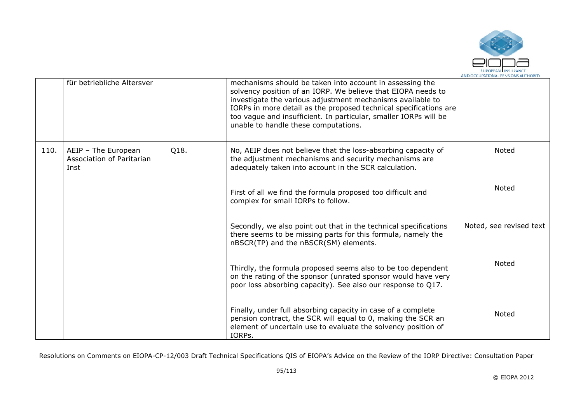

|      | für betriebliche Altersver                               |      | mechanisms should be taken into account in assessing the<br>solvency position of an IORP. We believe that EIOPA needs to<br>investigate the various adjustment mechanisms available to<br>IORPs in more detail as the proposed technical specifications are<br>too vague and insufficient. In particular, smaller IORPs will be<br>unable to handle these computations. |                         |
|------|----------------------------------------------------------|------|-------------------------------------------------------------------------------------------------------------------------------------------------------------------------------------------------------------------------------------------------------------------------------------------------------------------------------------------------------------------------|-------------------------|
| 110. | AEIP - The European<br>Association of Paritarian<br>Inst | Q18. | No, AEIP does not believe that the loss-absorbing capacity of<br>the adjustment mechanisms and security mechanisms are<br>adequately taken into account in the SCR calculation.                                                                                                                                                                                         | Noted                   |
|      |                                                          |      | First of all we find the formula proposed too difficult and<br>complex for small IORPs to follow.                                                                                                                                                                                                                                                                       | Noted                   |
|      |                                                          |      | Secondly, we also point out that in the technical specifications<br>there seems to be missing parts for this formula, namely the<br>nBSCR(TP) and the nBSCR(SM) elements.                                                                                                                                                                                               | Noted, see revised text |
|      |                                                          |      | Thirdly, the formula proposed seems also to be too dependent<br>on the rating of the sponsor (unrated sponsor would have very<br>poor loss absorbing capacity). See also our response to Q17.                                                                                                                                                                           | Noted                   |
|      |                                                          |      | Finally, under full absorbing capacity in case of a complete<br>pension contract, the SCR will equal to 0, making the SCR an<br>element of uncertain use to evaluate the solvency position of<br>IORPs.                                                                                                                                                                 | Noted                   |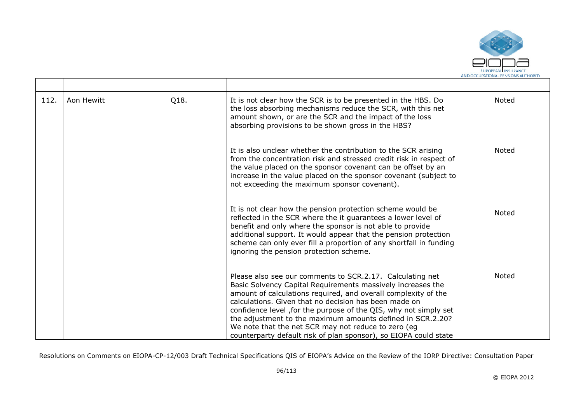

| 112. | Aon Hewitt | Q18. | It is not clear how the SCR is to be presented in the HBS. Do<br>the loss absorbing mechanisms reduce the SCR, with this net<br>amount shown, or are the SCR and the impact of the loss<br>absorbing provisions to be shown gross in the HBS?                                                                                                                                                                                                                                                                    | Noted        |
|------|------------|------|------------------------------------------------------------------------------------------------------------------------------------------------------------------------------------------------------------------------------------------------------------------------------------------------------------------------------------------------------------------------------------------------------------------------------------------------------------------------------------------------------------------|--------------|
|      |            |      | It is also unclear whether the contribution to the SCR arising<br>from the concentration risk and stressed credit risk in respect of<br>the value placed on the sponsor covenant can be offset by an<br>increase in the value placed on the sponsor covenant (subject to<br>not exceeding the maximum sponsor covenant).                                                                                                                                                                                         | <b>Noted</b> |
|      |            |      | It is not clear how the pension protection scheme would be<br>reflected in the SCR where the it guarantees a lower level of<br>benefit and only where the sponsor is not able to provide<br>additional support. It would appear that the pension protection<br>scheme can only ever fill a proportion of any shortfall in funding<br>ignoring the pension protection scheme.                                                                                                                                     | Noted        |
|      |            |      | Please also see our comments to SCR.2.17. Calculating net<br>Basic Solvency Capital Requirements massively increases the<br>amount of calculations required, and overall complexity of the<br>calculations. Given that no decision has been made on<br>confidence level, for the purpose of the QIS, why not simply set<br>the adjustment to the maximum amounts defined in SCR.2.20?<br>We note that the net SCR may not reduce to zero (eg<br>counterparty default risk of plan sponsor), so EIOPA could state | Noted        |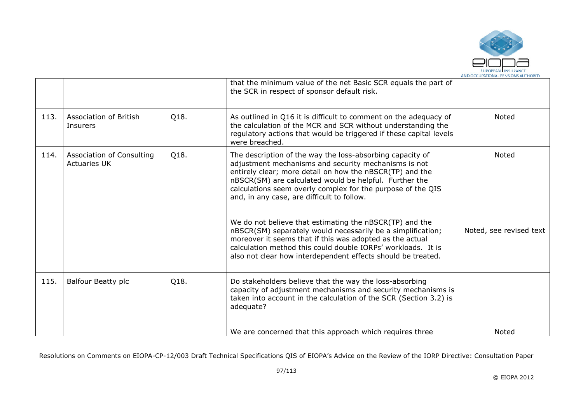

|      |                                                  |      | that the minimum value of the net Basic SCR equals the part of<br>the SCR in respect of sponsor default risk.                                                                                                                                                                                                                                                                                                                                                                                                                                                                                                                                                              |                                         |
|------|--------------------------------------------------|------|----------------------------------------------------------------------------------------------------------------------------------------------------------------------------------------------------------------------------------------------------------------------------------------------------------------------------------------------------------------------------------------------------------------------------------------------------------------------------------------------------------------------------------------------------------------------------------------------------------------------------------------------------------------------------|-----------------------------------------|
| 113. | Association of British<br>Insurers               | Q18. | As outlined in Q16 it is difficult to comment on the adequacy of<br>the calculation of the MCR and SCR without understanding the<br>regulatory actions that would be triggered if these capital levels<br>were breached.                                                                                                                                                                                                                                                                                                                                                                                                                                                   | <b>Noted</b>                            |
| 114. | Association of Consulting<br><b>Actuaries UK</b> | Q18. | The description of the way the loss-absorbing capacity of<br>adjustment mechanisms and security mechanisms is not<br>entirely clear; more detail on how the nBSCR(TP) and the<br>nBSCR(SM) are calculated would be helpful. Further the<br>calculations seem overly complex for the purpose of the QIS<br>and, in any case, are difficult to follow.<br>We do not believe that estimating the nBSCR(TP) and the<br>nBSCR(SM) separately would necessarily be a simplification;<br>moreover it seems that if this was adopted as the actual<br>calculation method this could double IORPs' workloads. It is<br>also not clear how interdependent effects should be treated. | <b>Noted</b><br>Noted, see revised text |
| 115. | Balfour Beatty plc                               | Q18. | Do stakeholders believe that the way the loss-absorbing<br>capacity of adjustment mechanisms and security mechanisms is<br>taken into account in the calculation of the SCR (Section 3.2) is<br>adequate?                                                                                                                                                                                                                                                                                                                                                                                                                                                                  |                                         |
|      |                                                  |      | We are concerned that this approach which requires three                                                                                                                                                                                                                                                                                                                                                                                                                                                                                                                                                                                                                   | Noted                                   |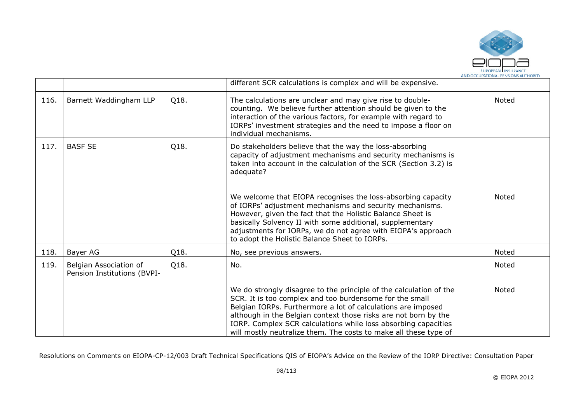

|      |                                                       |      | different SCR calculations is complex and will be expensive.                                                                                                                                                                                                                                                                                                                                           |       |
|------|-------------------------------------------------------|------|--------------------------------------------------------------------------------------------------------------------------------------------------------------------------------------------------------------------------------------------------------------------------------------------------------------------------------------------------------------------------------------------------------|-------|
| 116. | Barnett Waddingham LLP                                | Q18. | The calculations are unclear and may give rise to double-<br>counting. We believe further attention should be given to the<br>interaction of the various factors, for example with regard to<br>IORPs' investment strategies and the need to impose a floor on<br>individual mechanisms.                                                                                                               | Noted |
| 117. | <b>BASF SE</b>                                        | Q18. | Do stakeholders believe that the way the loss-absorbing<br>capacity of adjustment mechanisms and security mechanisms is<br>taken into account in the calculation of the SCR (Section 3.2) is<br>adequate?                                                                                                                                                                                              |       |
|      |                                                       |      | We welcome that EIOPA recognises the loss-absorbing capacity<br>of IORPs' adjustment mechanisms and security mechanisms.<br>However, given the fact that the Holistic Balance Sheet is<br>basically Solvency II with some additional, supplementary<br>adjustments for IORPs, we do not agree with EIOPA's approach<br>to adopt the Holistic Balance Sheet to IORPs.                                   | Noted |
| 118. | Bayer AG                                              | Q18. | No, see previous answers.                                                                                                                                                                                                                                                                                                                                                                              | Noted |
| 119. | Belgian Association of<br>Pension Institutions (BVPI- | Q18. | No.                                                                                                                                                                                                                                                                                                                                                                                                    | Noted |
|      |                                                       |      | We do strongly disagree to the principle of the calculation of the<br>SCR. It is too complex and too burdensome for the small<br>Belgian IORPs. Furthermore a lot of calculations are imposed<br>although in the Belgian context those risks are not born by the<br>IORP. Complex SCR calculations while loss absorbing capacities<br>will mostly neutralize them. The costs to make all these type of | Noted |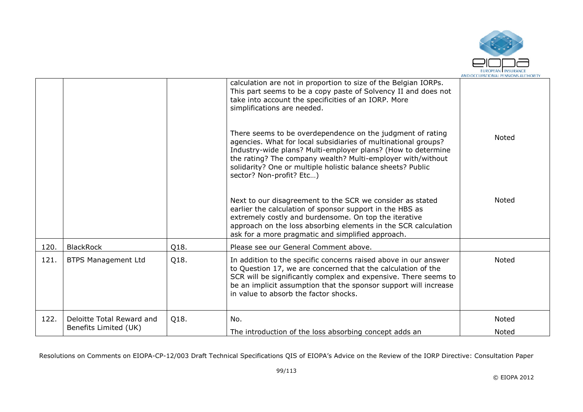

|      |                                                    |      | calculation are not in proportion to size of the Belgian IORPs.                                                                                                                                                                                                                                                                                        |                |
|------|----------------------------------------------------|------|--------------------------------------------------------------------------------------------------------------------------------------------------------------------------------------------------------------------------------------------------------------------------------------------------------------------------------------------------------|----------------|
|      |                                                    |      | This part seems to be a copy paste of Solvency II and does not<br>take into account the specificities of an IORP. More<br>simplifications are needed.                                                                                                                                                                                                  |                |
|      |                                                    |      | There seems to be overdependence on the judgment of rating<br>agencies. What for local subsidiaries of multinational groups?<br>Industry-wide plans? Multi-employer plans? (How to determine<br>the rating? The company wealth? Multi-employer with/without<br>solidarity? One or multiple holistic balance sheets? Public<br>sector? Non-profit? Etc) | <b>Noted</b>   |
|      |                                                    |      | Next to our disagreement to the SCR we consider as stated<br>earlier the calculation of sponsor support in the HBS as<br>extremely costly and burdensome. On top the iterative<br>approach on the loss absorbing elements in the SCR calculation<br>ask for a more pragmatic and simplified approach.                                                  | <b>Noted</b>   |
| 120. | <b>BlackRock</b>                                   | Q18. | Please see our General Comment above.                                                                                                                                                                                                                                                                                                                  |                |
| 121. | <b>BTPS Management Ltd</b>                         | Q18. | In addition to the specific concerns raised above in our answer<br>to Question 17, we are concerned that the calculation of the<br>SCR will be significantly complex and expensive. There seems to<br>be an implicit assumption that the sponsor support will increase<br>in value to absorb the factor shocks.                                        | Noted          |
| 122. | Deloitte Total Reward and<br>Benefits Limited (UK) | Q18. | No.<br>The introduction of the loss absorbing concept adds an                                                                                                                                                                                                                                                                                          | Noted<br>Noted |
|      |                                                    |      |                                                                                                                                                                                                                                                                                                                                                        |                |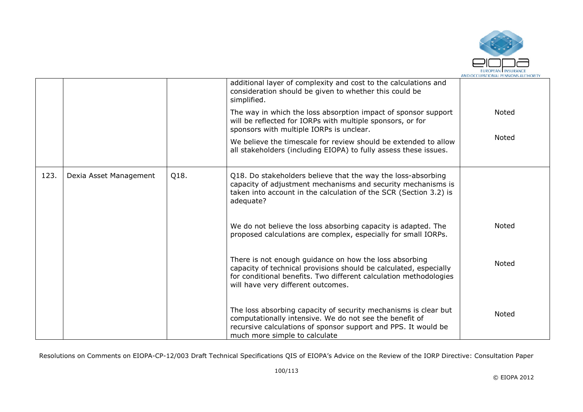

|      |                        |      | additional layer of complexity and cost to the calculations and<br>consideration should be given to whether this could be<br>simplified.<br>The way in which the loss absorption impact of sponsor support<br>will be reflected for IORPs with multiple sponsors, or for<br>sponsors with multiple IORPs is unclear.<br>We believe the timescale for review should be extended to allow<br>all stakeholders (including EIOPA) to fully assess these issues. | <b>Noted</b><br>Noted |
|------|------------------------|------|-------------------------------------------------------------------------------------------------------------------------------------------------------------------------------------------------------------------------------------------------------------------------------------------------------------------------------------------------------------------------------------------------------------------------------------------------------------|-----------------------|
| 123. | Dexia Asset Management | Q18. | Q18. Do stakeholders believe that the way the loss-absorbing<br>capacity of adjustment mechanisms and security mechanisms is<br>taken into account in the calculation of the SCR (Section 3.2) is<br>adequate?                                                                                                                                                                                                                                              |                       |
|      |                        |      | We do not believe the loss absorbing capacity is adapted. The<br>proposed calculations are complex, especially for small IORPs.                                                                                                                                                                                                                                                                                                                             | <b>Noted</b>          |
|      |                        |      | There is not enough guidance on how the loss absorbing<br>capacity of technical provisions should be calculated, especially<br>for conditional benefits. Two different calculation methodologies<br>will have very different outcomes.                                                                                                                                                                                                                      | Noted                 |
|      |                        |      | The loss absorbing capacity of security mechanisms is clear but<br>computationally intensive. We do not see the benefit of<br>recursive calculations of sponsor support and PPS. It would be<br>much more simple to calculate                                                                                                                                                                                                                               | <b>Noted</b>          |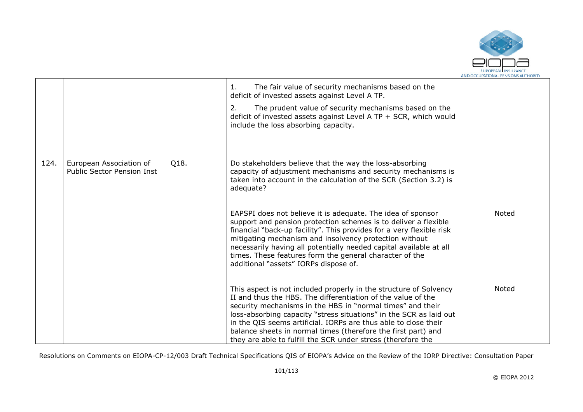

|      |                                                              |      | The fair value of security mechanisms based on the<br>1.<br>deficit of invested assets against Level A TP.                                                                                                                                                                                                                                                                                                                                                                |       |
|------|--------------------------------------------------------------|------|---------------------------------------------------------------------------------------------------------------------------------------------------------------------------------------------------------------------------------------------------------------------------------------------------------------------------------------------------------------------------------------------------------------------------------------------------------------------------|-------|
|      |                                                              |      | The prudent value of security mechanisms based on the<br>2.<br>deficit of invested assets against Level A TP + SCR, which would<br>include the loss absorbing capacity.                                                                                                                                                                                                                                                                                                   |       |
| 124. | European Association of<br><b>Public Sector Pension Inst</b> | Q18. | Do stakeholders believe that the way the loss-absorbing<br>capacity of adjustment mechanisms and security mechanisms is<br>taken into account in the calculation of the SCR (Section 3.2) is<br>adequate?                                                                                                                                                                                                                                                                 |       |
|      |                                                              |      | EAPSPI does not believe it is adequate. The idea of sponsor<br>support and pension protection schemes is to deliver a flexible<br>financial "back-up facility". This provides for a very flexible risk<br>mitigating mechanism and insolvency protection without<br>necessarily having all potentially needed capital available at all<br>times. These features form the general character of the<br>additional "assets" IORPs dispose of.                                | Noted |
|      |                                                              |      | This aspect is not included properly in the structure of Solvency<br>II and thus the HBS. The differentiation of the value of the<br>security mechanisms in the HBS in "normal times" and their<br>loss-absorbing capacity "stress situations" in the SCR as laid out<br>in the QIS seems artificial. IORPs are thus able to close their<br>balance sheets in normal times (therefore the first part) and<br>they are able to fulfill the SCR under stress (therefore the | Noted |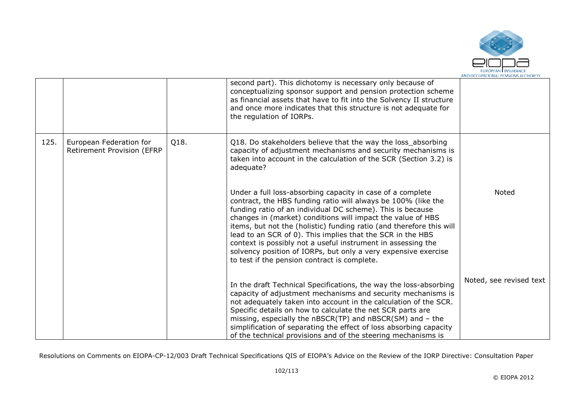

|      |                                                              |      | second part). This dichotomy is necessary only because of<br>conceptualizing sponsor support and pension protection scheme<br>as financial assets that have to fit into the Solvency II structure<br>and once more indicates that this structure is not adequate for<br>the regulation of IORPs.                                                                                                                                                                                                                                                                                 |                         |
|------|--------------------------------------------------------------|------|----------------------------------------------------------------------------------------------------------------------------------------------------------------------------------------------------------------------------------------------------------------------------------------------------------------------------------------------------------------------------------------------------------------------------------------------------------------------------------------------------------------------------------------------------------------------------------|-------------------------|
| 125. | European Federation for<br><b>Retirement Provision (EFRP</b> | Q18. | Q18. Do stakeholders believe that the way the loss_absorbing<br>capacity of adjustment mechanisms and security mechanisms is<br>taken into account in the calculation of the SCR (Section 3.2) is<br>adequate?                                                                                                                                                                                                                                                                                                                                                                   |                         |
|      |                                                              |      | Under a full loss-absorbing capacity in case of a complete<br>contract, the HBS funding ratio will always be 100% (like the<br>funding ratio of an individual DC scheme). This is because<br>changes in (market) conditions will impact the value of HBS<br>items, but not the (holistic) funding ratio (and therefore this will<br>lead to an SCR of 0). This implies that the SCR in the HBS<br>context is possibly not a useful instrument in assessing the<br>solvency position of IORPs, but only a very expensive exercise<br>to test if the pension contract is complete. | Noted                   |
|      |                                                              |      | In the draft Technical Specifications, the way the loss-absorbing<br>capacity of adjustment mechanisms and security mechanisms is<br>not adequately taken into account in the calculation of the SCR.<br>Specific details on how to calculate the net SCR parts are<br>missing, especially the $nBSCR(TP)$ and $nBSCR(SM)$ and $-$ the<br>simplification of separating the effect of loss absorbing capacity<br>of the technical provisions and of the steering mechanisms is                                                                                                    | Noted, see revised text |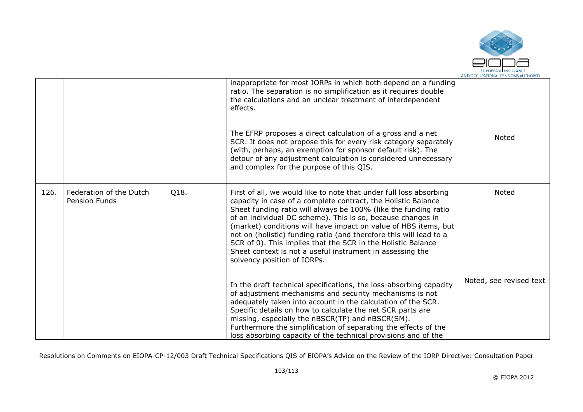

|      |                                                 |      | inappropriate for most IORPs in which both depend on a funding<br>ratio. The separation is no simplification as it requires double<br>the calculations and an unclear treatment of interdependent<br>effects.                                                                                                                                                                                                                                                                                                                                                              |                         |
|------|-------------------------------------------------|------|----------------------------------------------------------------------------------------------------------------------------------------------------------------------------------------------------------------------------------------------------------------------------------------------------------------------------------------------------------------------------------------------------------------------------------------------------------------------------------------------------------------------------------------------------------------------------|-------------------------|
|      |                                                 |      | The EFRP proposes a direct calculation of a gross and a net<br>SCR. It does not propose this for every risk category separately<br>(with, perhaps, an exemption for sponsor default risk). The<br>detour of any adjustment calculation is considered unnecessary<br>and complex for the purpose of this QIS.                                                                                                                                                                                                                                                               | Noted                   |
| 126. | Federation of the Dutch<br><b>Pension Funds</b> | Q18. | First of all, we would like to note that under full loss absorbing<br>capacity in case of a complete contract, the Holistic Balance<br>Sheet funding ratio will always be 100% (like the funding ratio<br>of an individual DC scheme). This is so, because changes in<br>(market) conditions will have impact on value of HBS items, but<br>not on (holistic) funding ratio (and therefore this will lead to a<br>SCR of 0). This implies that the SCR in the Holistic Balance<br>Sheet context is not a useful instrument in assessing the<br>solvency position of IORPs. | Noted                   |
|      |                                                 |      | In the draft technical specifications, the loss-absorbing capacity<br>of adjustment mechanisms and security mechanisms is not<br>adequately taken into account in the calculation of the SCR.<br>Specific details on how to calculate the net SCR parts are<br>missing, especially the nBSCR(TP) and nBSCR(SM).<br>Furthermore the simplification of separating the effects of the<br>loss absorbing capacity of the technical provisions and of the                                                                                                                       | Noted, see revised text |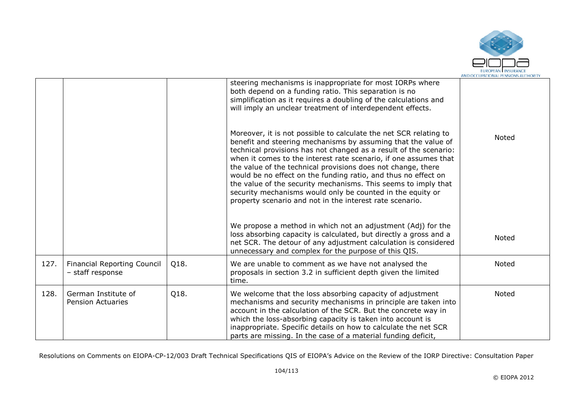

|      |                                                        |      | steering mechanisms is inappropriate for most IORPs where<br>both depend on a funding ratio. This separation is no<br>simplification as it requires a doubling of the calculations and<br>will imply an unclear treatment of interdependent effects.<br>Moreover, it is not possible to calculate the net SCR relating to<br>benefit and steering mechanisms by assuming that the value of<br>technical provisions has not changed as a result of the scenario:<br>when it comes to the interest rate scenario, if one assumes that<br>the value of the technical provisions does not change, there<br>would be no effect on the funding ratio, and thus no effect on<br>the value of the security mechanisms. This seems to imply that<br>security mechanisms would only be counted in the equity or<br>property scenario and not in the interest rate scenario. | Noted |
|------|--------------------------------------------------------|------|-------------------------------------------------------------------------------------------------------------------------------------------------------------------------------------------------------------------------------------------------------------------------------------------------------------------------------------------------------------------------------------------------------------------------------------------------------------------------------------------------------------------------------------------------------------------------------------------------------------------------------------------------------------------------------------------------------------------------------------------------------------------------------------------------------------------------------------------------------------------|-------|
|      |                                                        |      | We propose a method in which not an adjustment (Adj) for the<br>loss absorbing capacity is calculated, but directly a gross and a<br>net SCR. The detour of any adjustment calculation is considered<br>unnecessary and complex for the purpose of this QIS.                                                                                                                                                                                                                                                                                                                                                                                                                                                                                                                                                                                                      | Noted |
| 127. | <b>Financial Reporting Council</b><br>- staff response | Q18. | We are unable to comment as we have not analysed the<br>proposals in section 3.2 in sufficient depth given the limited<br>time.                                                                                                                                                                                                                                                                                                                                                                                                                                                                                                                                                                                                                                                                                                                                   | Noted |
| 128. | German Institute of<br><b>Pension Actuaries</b>        | Q18. | We welcome that the loss absorbing capacity of adjustment<br>mechanisms and security mechanisms in principle are taken into<br>account in the calculation of the SCR. But the concrete way in<br>which the loss-absorbing capacity is taken into account is<br>inappropriate. Specific details on how to calculate the net SCR<br>parts are missing. In the case of a material funding deficit,                                                                                                                                                                                                                                                                                                                                                                                                                                                                   | Noted |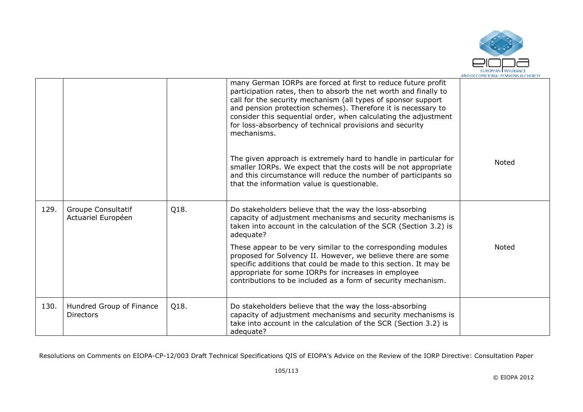

|      |                                              |      | many German IORPs are forced at first to reduce future profit<br>participation rates, then to absorb the net worth and finally to<br>call for the security mechanism (all types of sponsor support<br>and pension protection schemes). Therefore it is necessary to<br>consider this sequential order, when calculating the adjustment<br>for loss-absorbency of technical provisions and security<br>mechanisms. |              |
|------|----------------------------------------------|------|-------------------------------------------------------------------------------------------------------------------------------------------------------------------------------------------------------------------------------------------------------------------------------------------------------------------------------------------------------------------------------------------------------------------|--------------|
|      |                                              |      | The given approach is extremely hard to handle in particular for<br>smaller IORPs. We expect that the costs will be not appropriate<br>and this circumstance will reduce the number of participants so<br>that the information value is questionable.                                                                                                                                                             | <b>Noted</b> |
| 129. | Groupe Consultatif<br>Actuariel Européen     | Q18. | Do stakeholders believe that the way the loss-absorbing<br>capacity of adjustment mechanisms and security mechanisms is<br>taken into account in the calculation of the SCR (Section 3.2) is<br>adequate?                                                                                                                                                                                                         |              |
|      |                                              |      | These appear to be very similar to the corresponding modules<br>proposed for Solvency II. However, we believe there are some<br>specific additions that could be made to this section. It may be<br>appropriate for some IORPs for increases in employee<br>contributions to be included as a form of security mechanism.                                                                                         | Noted        |
| 130. | Hundred Group of Finance<br><b>Directors</b> | Q18. | Do stakeholders believe that the way the loss-absorbing<br>capacity of adjustment mechanisms and security mechanisms is<br>take into account in the calculation of the SCR (Section 3.2) is<br>adequate?                                                                                                                                                                                                          |              |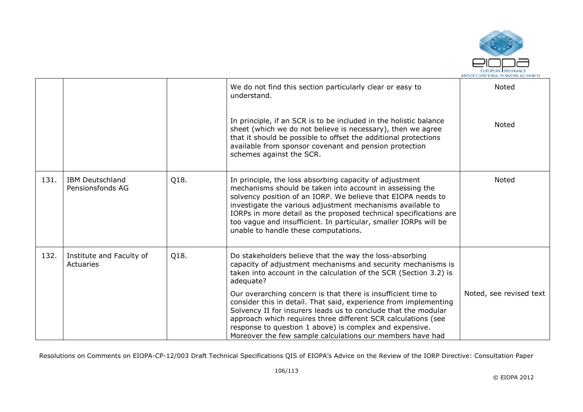

|      |                                            |      | We do not find this section particularly clear or easy to<br>understand.                                                                                                                                                                                                                                                                                                                                                           | Noted                   |
|------|--------------------------------------------|------|------------------------------------------------------------------------------------------------------------------------------------------------------------------------------------------------------------------------------------------------------------------------------------------------------------------------------------------------------------------------------------------------------------------------------------|-------------------------|
|      |                                            |      | In principle, if an SCR is to be included in the holistic balance<br>sheet (which we do not believe is necessary), then we agree<br>that it should be possible to offset the additional protections<br>available from sponsor covenant and pension protection<br>schemes against the SCR.                                                                                                                                          | <b>Noted</b>            |
| 131. | <b>IBM Deutschland</b><br>Pensionsfonds AG | Q18. | In principle, the loss absorbing capacity of adjustment<br>mechanisms should be taken into account in assessing the<br>solvency position of an IORP. We believe that EIOPA needs to<br>investigate the various adjustment mechanisms available to<br>IORPs in more detail as the proposed technical specifications are<br>too vague and insufficient. In particular, smaller IORPs will be<br>unable to handle these computations. | Noted                   |
| 132. | Institute and Faculty of<br>Actuaries      | Q18. | Do stakeholders believe that the way the loss-absorbing<br>capacity of adjustment mechanisms and security mechanisms is<br>taken into account in the calculation of the SCR (Section 3.2) is<br>adequate?                                                                                                                                                                                                                          |                         |
|      |                                            |      | Our overarching concern is that there is insufficient time to<br>consider this in detail. That said, experience from implementing<br>Solvency II for insurers leads us to conclude that the modular<br>approach which requires three different SCR calculations (see<br>response to question 1 above) is complex and expensive.<br>Moreover the few sample calculations our members have had                                       | Noted, see revised text |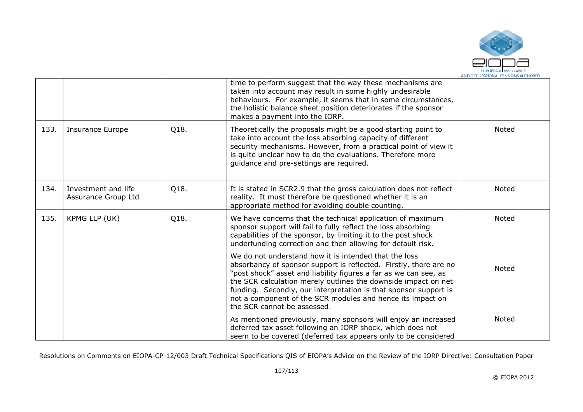

|      |                                            |      | time to perform suggest that the way these mechanisms are<br>taken into account may result in some highly undesirable<br>behaviours. For example, it seems that in some circumstances,<br>the holistic balance sheet position deteriorates if the sponsor<br>makes a payment into the IORP.                                                                                                                                       |              |
|------|--------------------------------------------|------|-----------------------------------------------------------------------------------------------------------------------------------------------------------------------------------------------------------------------------------------------------------------------------------------------------------------------------------------------------------------------------------------------------------------------------------|--------------|
| 133. | Insurance Europe                           | Q18. | Theoretically the proposals might be a good starting point to<br>take into account the loss absorbing capacity of different<br>security mechanisms. However, from a practical point of view it<br>is quite unclear how to do the evaluations. Therefore more<br>guidance and pre-settings are required.                                                                                                                           | Noted        |
| 134. | Investment and life<br>Assurance Group Ltd | Q18. | It is stated in SCR2.9 that the gross calculation does not reflect<br>reality. It must therefore be questioned whether it is an<br>appropriate method for avoiding double counting.                                                                                                                                                                                                                                               | Noted        |
| 135. | KPMG LLP (UK)                              | Q18. | We have concerns that the technical application of maximum<br>sponsor support will fail to fully reflect the loss absorbing<br>capabilities of the sponsor, by limiting it to the post shock<br>underfunding correction and then allowing for default risk.                                                                                                                                                                       | <b>Noted</b> |
|      |                                            |      | We do not understand how it is intended that the loss<br>absorbancy of sponsor support is reflected. Firstly, there are no<br>"post shock" asset and liability figures a far as we can see, as<br>the SCR calculation merely outlines the downside impact on net<br>funding. Secondly, our interpretation is that sponsor support is<br>not a component of the SCR modules and hence its impact on<br>the SCR cannot be assessed. | Noted        |
|      |                                            |      | As mentioned previously, many sponsors will enjoy an increased<br>deferred tax asset following an IORP shock, which does not<br>seem to be covered (deferred tax appears only to be considered                                                                                                                                                                                                                                    | <b>Noted</b> |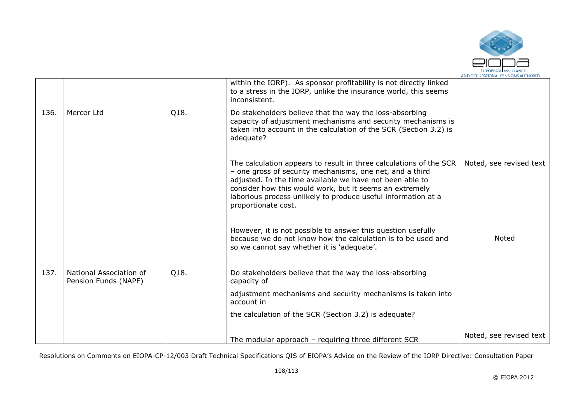

|      |                                                 |      | within the IORP). As sponsor profitability is not directly linked<br>to a stress in the IORP, unlike the insurance world, this seems<br>inconsistent.                                                                                                                                                                                         |                         |
|------|-------------------------------------------------|------|-----------------------------------------------------------------------------------------------------------------------------------------------------------------------------------------------------------------------------------------------------------------------------------------------------------------------------------------------|-------------------------|
| 136. | Mercer Ltd                                      | Q18. | Do stakeholders believe that the way the loss-absorbing<br>capacity of adjustment mechanisms and security mechanisms is<br>taken into account in the calculation of the SCR (Section 3.2) is<br>adequate?                                                                                                                                     |                         |
|      |                                                 |      | The calculation appears to result in three calculations of the SCR<br>- one gross of security mechanisms, one net, and a third<br>adjusted. In the time available we have not been able to<br>consider how this would work, but it seems an extremely<br>laborious process unlikely to produce useful information at a<br>proportionate cost. | Noted, see revised text |
|      |                                                 |      | However, it is not possible to answer this question usefully<br>because we do not know how the calculation is to be used and<br>so we cannot say whether it is 'adequate'.                                                                                                                                                                    | <b>Noted</b>            |
| 137. | National Association of<br>Pension Funds (NAPF) | Q18. | Do stakeholders believe that the way the loss-absorbing<br>capacity of                                                                                                                                                                                                                                                                        |                         |
|      |                                                 |      | adjustment mechanisms and security mechanisms is taken into<br>account in                                                                                                                                                                                                                                                                     |                         |
|      |                                                 |      | the calculation of the SCR (Section 3.2) is adequate?                                                                                                                                                                                                                                                                                         |                         |
|      |                                                 |      | The modular approach - requiring three different SCR                                                                                                                                                                                                                                                                                          | Noted, see revised text |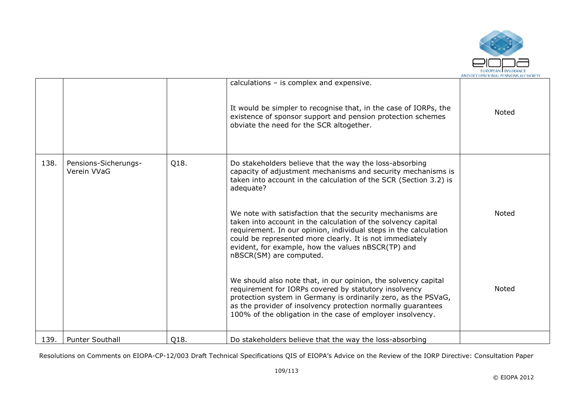

|      |                                     |      | calculations - is complex and expensive.<br>It would be simpler to recognise that, in the case of IORPs, the<br>existence of sponsor support and pension protection schemes<br>obviate the need for the SCR altogether.                                                                                                                      | <b>Noted</b> |
|------|-------------------------------------|------|----------------------------------------------------------------------------------------------------------------------------------------------------------------------------------------------------------------------------------------------------------------------------------------------------------------------------------------------|--------------|
|      |                                     |      |                                                                                                                                                                                                                                                                                                                                              |              |
| 138. | Pensions-Sicherungs-<br>Verein VVaG | Q18. | Do stakeholders believe that the way the loss-absorbing<br>capacity of adjustment mechanisms and security mechanisms is<br>taken into account in the calculation of the SCR (Section 3.2) is<br>adequate?                                                                                                                                    |              |
|      |                                     |      | We note with satisfaction that the security mechanisms are<br>taken into account in the calculation of the solvency capital<br>requirement. In our opinion, individual steps in the calculation<br>could be represented more clearly. It is not immediately<br>evident, for example, how the values nBSCR(TP) and<br>nBSCR(SM) are computed. | <b>Noted</b> |
|      |                                     |      | We should also note that, in our opinion, the solvency capital<br>requirement for IORPs covered by statutory insolvency<br>protection system in Germany is ordinarily zero, as the PSVaG,<br>as the provider of insolvency protection normally guarantees<br>100% of the obligation in the case of employer insolvency.                      | <b>Noted</b> |
| 139. | <b>Punter Southall</b>              | Q18. | Do stakeholders believe that the way the loss-absorbing                                                                                                                                                                                                                                                                                      |              |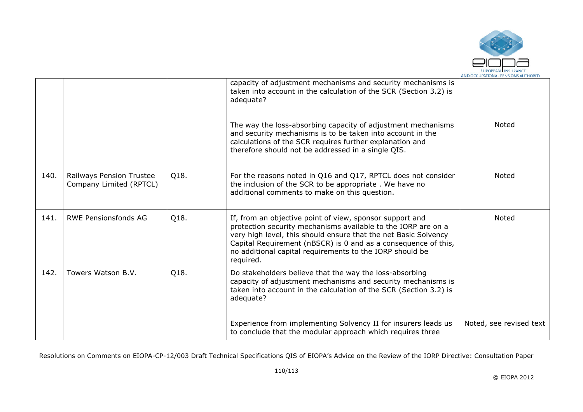

|      |                                                     |      | capacity of adjustment mechanisms and security mechanisms is<br>taken into account in the calculation of the SCR (Section 3.2) is<br>adequate?<br>The way the loss-absorbing capacity of adjustment mechanisms<br>and security mechanisms is to be taken into account in the<br>calculations of the SCR requires further explanation and<br>therefore should not be addressed in a single QIS. | <b>Noted</b>            |
|------|-----------------------------------------------------|------|------------------------------------------------------------------------------------------------------------------------------------------------------------------------------------------------------------------------------------------------------------------------------------------------------------------------------------------------------------------------------------------------|-------------------------|
| 140. | Railways Pension Trustee<br>Company Limited (RPTCL) | Q18. | For the reasons noted in Q16 and Q17, RPTCL does not consider<br>the inclusion of the SCR to be appropriate. We have no<br>additional comments to make on this question.                                                                                                                                                                                                                       | Noted                   |
| 141. | <b>RWE Pensionsfonds AG</b>                         | Q18. | If, from an objective point of view, sponsor support and<br>protection security mechanisms available to the IORP are on a<br>very high level, this should ensure that the net Basic Solvency<br>Capital Requirement (nBSCR) is 0 and as a consequence of this,<br>no additional capital requirements to the IORP should be<br>required.                                                        | Noted                   |
| 142. | Towers Watson B.V.                                  | Q18. | Do stakeholders believe that the way the loss-absorbing<br>capacity of adjustment mechanisms and security mechanisms is<br>taken into account in the calculation of the SCR (Section 3.2) is<br>adequate?                                                                                                                                                                                      |                         |
|      |                                                     |      | Experience from implementing Solvency II for insurers leads us<br>to conclude that the modular approach which requires three                                                                                                                                                                                                                                                                   | Noted, see revised text |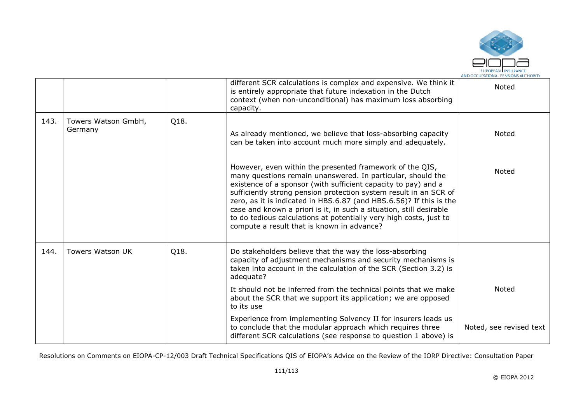

|      |                                |      | different SCR calculations is complex and expensive. We think it<br>is entirely appropriate that future indexation in the Dutch<br>context (when non-unconditional) has maximum loss absorbing<br>capacity.                                                                                                                                                                                                                                                                                                                      | Noted                   |
|------|--------------------------------|------|----------------------------------------------------------------------------------------------------------------------------------------------------------------------------------------------------------------------------------------------------------------------------------------------------------------------------------------------------------------------------------------------------------------------------------------------------------------------------------------------------------------------------------|-------------------------|
| 143. | Towers Watson GmbH,<br>Germany | Q18. | As already mentioned, we believe that loss-absorbing capacity<br>can be taken into account much more simply and adequately.                                                                                                                                                                                                                                                                                                                                                                                                      | Noted                   |
|      |                                |      | However, even within the presented framework of the QIS,<br>many questions remain unanswered. In particular, should the<br>existence of a sponsor (with sufficient capacity to pay) and a<br>sufficiently strong pension protection system result in an SCR of<br>zero, as it is indicated in HBS.6.87 (and HBS.6.56)? If this is the<br>case and known a priori is it, in such a situation, still desirable<br>to do tedious calculations at potentially very high costs, just to<br>compute a result that is known in advance? | <b>Noted</b>            |
| 144. | Towers Watson UK               | Q18. | Do stakeholders believe that the way the loss-absorbing<br>capacity of adjustment mechanisms and security mechanisms is<br>taken into account in the calculation of the SCR (Section 3.2) is<br>adequate?                                                                                                                                                                                                                                                                                                                        |                         |
|      |                                |      | It should not be inferred from the technical points that we make<br>about the SCR that we support its application; we are opposed<br>to its use                                                                                                                                                                                                                                                                                                                                                                                  | Noted                   |
|      |                                |      | Experience from implementing Solvency II for insurers leads us<br>to conclude that the modular approach which requires three<br>different SCR calculations (see response to question 1 above) is                                                                                                                                                                                                                                                                                                                                 | Noted, see revised text |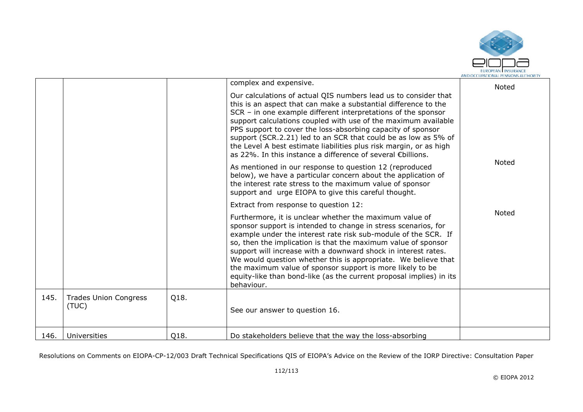

|      |                                       |      | complex and expensive.                                                                                                                                                                                                                                                                                                                                                                                                                                                                                                                             | Noted        |
|------|---------------------------------------|------|----------------------------------------------------------------------------------------------------------------------------------------------------------------------------------------------------------------------------------------------------------------------------------------------------------------------------------------------------------------------------------------------------------------------------------------------------------------------------------------------------------------------------------------------------|--------------|
|      |                                       |      | Our calculations of actual QIS numbers lead us to consider that<br>this is an aspect that can make a substantial difference to the<br>SCR - in one example different interpretations of the sponsor<br>support calculations coupled with use of the maximum available<br>PPS support to cover the loss-absorbing capacity of sponsor<br>support (SCR.2.21) led to an SCR that could be as low as 5% of<br>the Level A best estimate liabilities plus risk margin, or as high<br>as 22%. In this instance a difference of several €billions.        |              |
|      |                                       |      | As mentioned in our response to question 12 (reproduced<br>below), we have a particular concern about the application of<br>the interest rate stress to the maximum value of sponsor<br>support and urge EIOPA to give this careful thought.                                                                                                                                                                                                                                                                                                       | Noted        |
|      |                                       |      | Extract from response to question 12:                                                                                                                                                                                                                                                                                                                                                                                                                                                                                                              |              |
|      |                                       |      | Furthermore, it is unclear whether the maximum value of<br>sponsor support is intended to change in stress scenarios, for<br>example under the interest rate risk sub-module of the SCR. If<br>so, then the implication is that the maximum value of sponsor<br>support will increase with a downward shock in interest rates.<br>We would question whether this is appropriate. We believe that<br>the maximum value of sponsor support is more likely to be<br>equity-like than bond-like (as the current proposal implies) in its<br>behaviour. | <b>Noted</b> |
| 145. | <b>Trades Union Congress</b><br>(TUC) | Q18. | See our answer to question 16.                                                                                                                                                                                                                                                                                                                                                                                                                                                                                                                     |              |
| 146. | Universities                          | Q18. | Do stakeholders believe that the way the loss-absorbing                                                                                                                                                                                                                                                                                                                                                                                                                                                                                            |              |